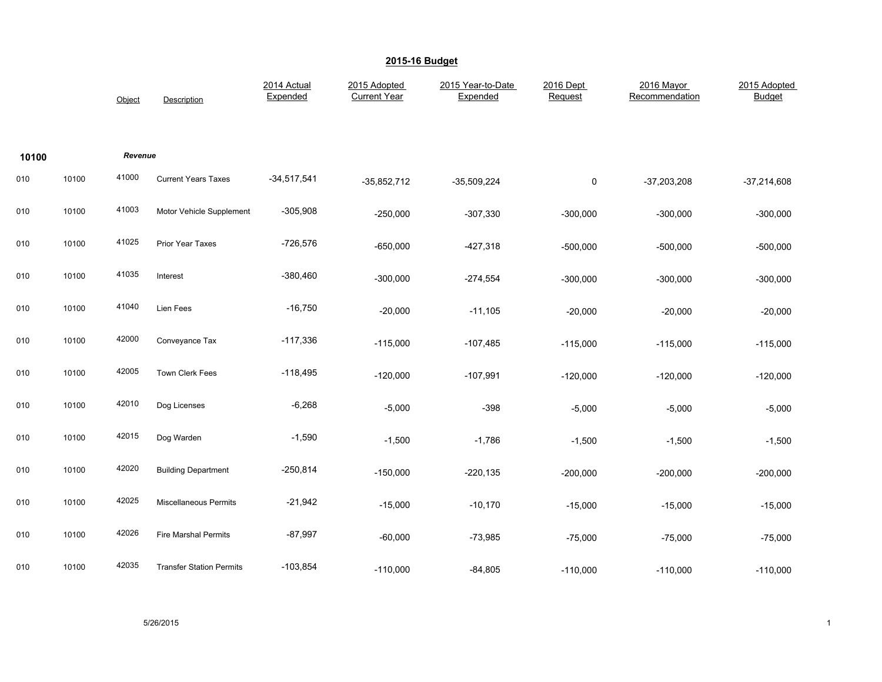|       |       | Object  | Description                     | 2014 Actual<br>Expended | 2015 Adopted<br><b>Current Year</b> | 2015 Year-to-Date<br>Expended | 2016 Dept<br>Request | 2016 Mayor<br>Recommendation | 2015 Adopted<br><b>Budget</b> |
|-------|-------|---------|---------------------------------|-------------------------|-------------------------------------|-------------------------------|----------------------|------------------------------|-------------------------------|
| 10100 |       | Revenue |                                 |                         |                                     |                               |                      |                              |                               |
| 010   | 10100 | 41000   | <b>Current Years Taxes</b>      | $-34,517,541$           | $-35,852,712$                       | $-35,509,224$                 | 0                    | $-37,203,208$                | $-37,214,608$                 |
| 010   | 10100 | 41003   | Motor Vehicle Supplement        | $-305,908$              | $-250,000$                          | $-307,330$                    | $-300,000$           | $-300,000$                   | $-300,000$                    |
| 010   | 10100 | 41025   | Prior Year Taxes                | $-726,576$              | $-650,000$                          | $-427,318$                    | $-500,000$           | $-500,000$                   | $-500,000$                    |
| 010   | 10100 | 41035   | Interest                        | $-380,460$              | $-300,000$                          | $-274,554$                    | $-300,000$           | $-300,000$                   | $-300,000$                    |
| 010   | 10100 | 41040   | Lien Fees                       | $-16,750$               | $-20,000$                           | $-11,105$                     | $-20,000$            | $-20,000$                    | $-20,000$                     |
| 010   | 10100 | 42000   | Conveyance Tax                  | $-117,336$              | $-115,000$                          | $-107,485$                    | $-115,000$           | $-115,000$                   | $-115,000$                    |
| 010   | 10100 | 42005   | Town Clerk Fees                 | $-118,495$              | $-120,000$                          | $-107,991$                    | $-120,000$           | $-120,000$                   | $-120,000$                    |
| 010   | 10100 | 42010   | Dog Licenses                    | $-6,268$                | $-5,000$                            | $-398$                        | $-5,000$             | $-5,000$                     | $-5,000$                      |
| 010   | 10100 | 42015   | Dog Warden                      | $-1,590$                | $-1,500$                            | $-1,786$                      | $-1,500$             | $-1,500$                     | $-1,500$                      |
| 010   | 10100 | 42020   | <b>Building Department</b>      | $-250,814$              | $-150,000$                          | $-220,135$                    | $-200,000$           | $-200,000$                   | $-200,000$                    |
| 010   | 10100 | 42025   | Miscellaneous Permits           | $-21,942$               | $-15,000$                           | $-10,170$                     | $-15,000$            | $-15,000$                    | $-15,000$                     |
| 010   | 10100 | 42026   | <b>Fire Marshal Permits</b>     | $-87,997$               | $-60,000$                           | $-73,985$                     | $-75,000$            | $-75,000$                    | $-75,000$                     |
| 010   | 10100 | 42035   | <b>Transfer Station Permits</b> | $-103,854$              | $-110,000$                          | $-84,805$                     | $-110,000$           | $-110,000$                   | $-110,000$                    |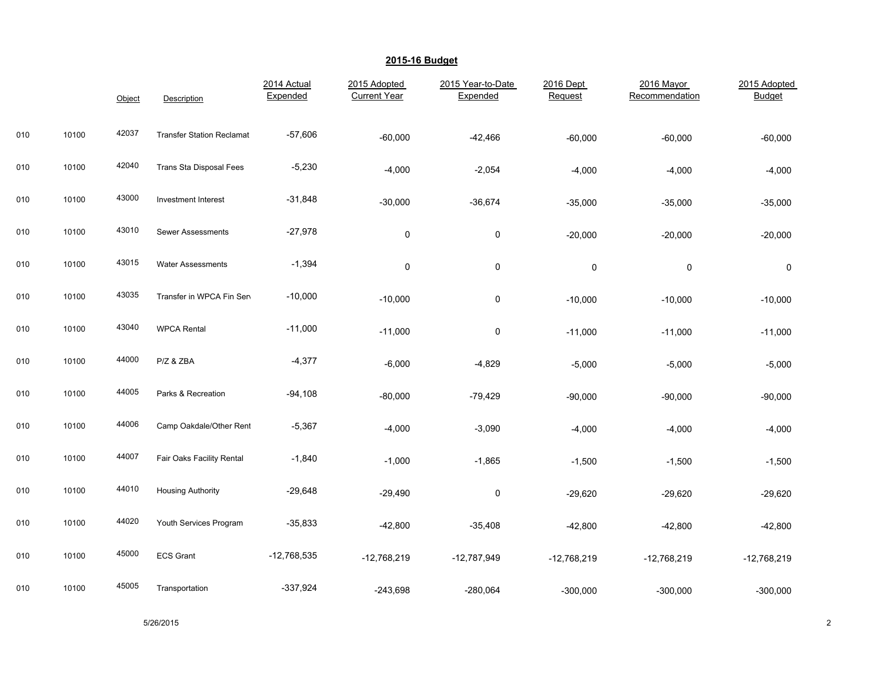|     |       | Object | Description                      | 2014 Actual<br>Expended | 2015 Adopted<br><b>Current Year</b> | 2015 Year-to-Date<br>Expended | 2016 Dept<br>Request | 2016 Mayor<br>Recommendation | 2015 Adopted<br><b>Budget</b> |
|-----|-------|--------|----------------------------------|-------------------------|-------------------------------------|-------------------------------|----------------------|------------------------------|-------------------------------|
| 010 | 10100 | 42037  | <b>Transfer Station Reclamat</b> | $-57,606$               | $-60,000$                           | $-42,466$                     | $-60,000$            | $-60,000$                    | $-60,000$                     |
| 010 | 10100 | 42040  | Trans Sta Disposal Fees          | $-5,230$                | $-4,000$                            | $-2,054$                      | $-4,000$             | $-4,000$                     | $-4,000$                      |
| 010 | 10100 | 43000  | Investment Interest              | $-31,848$               | $-30,000$                           | $-36,674$                     | $-35,000$            | $-35,000$                    | $-35,000$                     |
| 010 | 10100 | 43010  | <b>Sewer Assessments</b>         | $-27,978$               | $\pmb{0}$                           | $\pmb{0}$                     | $-20,000$            | $-20,000$                    | $-20,000$                     |
| 010 | 10100 | 43015  | <b>Water Assessments</b>         | $-1,394$                | $\mathbf 0$                         | 0                             | 0                    | $\pmb{0}$                    | 0                             |
| 010 | 10100 | 43035  | Transfer in WPCA Fin Sen         | $-10,000$               | $-10,000$                           | $\pmb{0}$                     | $-10,000$            | $-10,000$                    | $-10,000$                     |
| 010 | 10100 | 43040  | <b>WPCA Rental</b>               | $-11,000$               | $-11,000$                           | $\pmb{0}$                     | $-11,000$            | $-11,000$                    | $-11,000$                     |
| 010 | 10100 | 44000  | P/Z & ZBA                        | $-4,377$                | $-6,000$                            | $-4,829$                      | $-5,000$             | $-5,000$                     | $-5,000$                      |
| 010 | 10100 | 44005  | Parks & Recreation               | $-94,108$               | $-80,000$                           | $-79,429$                     | $-90,000$            | $-90,000$                    | $-90,000$                     |
| 010 | 10100 | 44006  | Camp Oakdale/Other Rent          | $-5,367$                | $-4,000$                            | $-3,090$                      | $-4,000$             | $-4,000$                     | $-4,000$                      |
| 010 | 10100 | 44007  | Fair Oaks Facility Rental        | $-1,840$                | $-1,000$                            | $-1,865$                      | $-1,500$             | $-1,500$                     | $-1,500$                      |
| 010 | 10100 | 44010  | <b>Housing Authority</b>         | $-29,648$               | $-29,490$                           | $\pmb{0}$                     | $-29,620$            | $-29,620$                    | $-29,620$                     |
| 010 | 10100 | 44020  | Youth Services Program           | $-35,833$               | $-42,800$                           | $-35,408$                     | $-42,800$            | $-42,800$                    | $-42,800$                     |
| 010 | 10100 | 45000  | <b>ECS Grant</b>                 | $-12,768,535$           | $-12,768,219$                       | $-12,787,949$                 | $-12,768,219$        | $-12,768,219$                | $-12,768,219$                 |
| 010 | 10100 | 45005  | Transportation                   | $-337,924$              | $-243,698$                          | $-280,064$                    | $-300,000$           | $-300,000$                   | $-300,000$                    |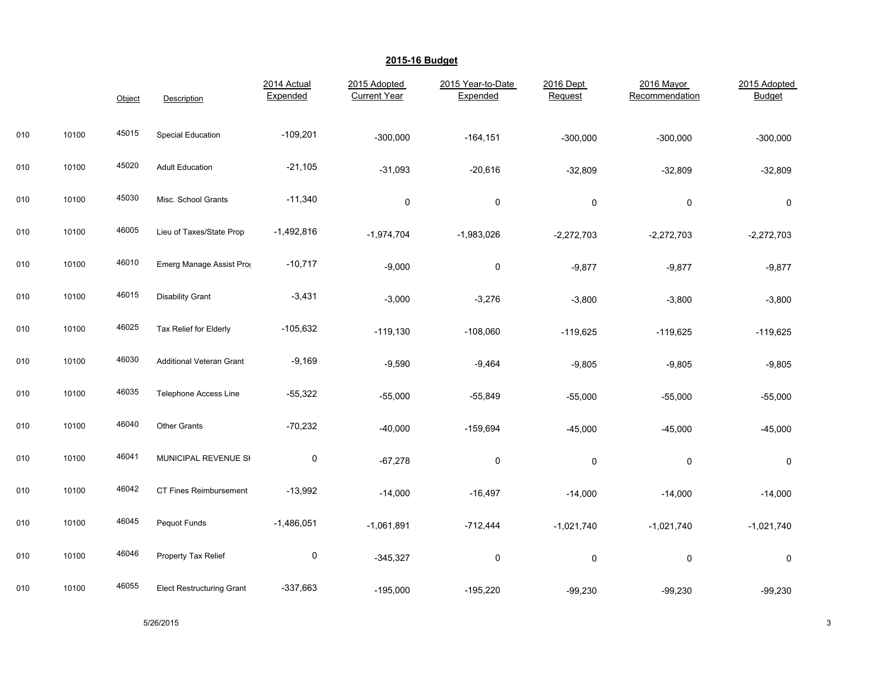|     |       | Object | Description                      | 2014 Actual<br>Expended | 2015 Adopted<br><b>Current Year</b> | 2015 Year-to-Date<br>Expended | 2016 Dept<br>Request | 2016 Mayor<br>Recommendation | 2015 Adopted<br><b>Budget</b> |
|-----|-------|--------|----------------------------------|-------------------------|-------------------------------------|-------------------------------|----------------------|------------------------------|-------------------------------|
| 010 | 10100 | 45015  | <b>Special Education</b>         | $-109,201$              | $-300,000$                          | $-164, 151$                   | $-300,000$           | $-300,000$                   | $-300,000$                    |
| 010 | 10100 | 45020  | <b>Adult Education</b>           | $-21,105$               | $-31,093$                           | $-20,616$                     | $-32,809$            | $-32,809$                    | $-32,809$                     |
| 010 | 10100 | 45030  | Misc. School Grants              | $-11,340$               | $\pmb{0}$                           | $\mathbf 0$                   | $\pmb{0}$            | 0                            | 0                             |
| 010 | 10100 | 46005  | Lieu of Taxes/State Prop         | $-1,492,816$            | $-1,974,704$                        | $-1,983,026$                  | $-2,272,703$         | $-2,272,703$                 | $-2,272,703$                  |
| 010 | 10100 | 46010  | Emerg Manage Assist Prog         | $-10,717$               | $-9,000$                            | 0                             | $-9,877$             | $-9,877$                     | $-9,877$                      |
| 010 | 10100 | 46015  | <b>Disability Grant</b>          | $-3,431$                | $-3,000$                            | $-3,276$                      | $-3,800$             | $-3,800$                     | $-3,800$                      |
| 010 | 10100 | 46025  | Tax Relief for Elderly           | $-105,632$              | $-119,130$                          | $-108,060$                    | $-119,625$           | $-119,625$                   | $-119,625$                    |
| 010 | 10100 | 46030  | <b>Additional Veteran Grant</b>  | $-9,169$                | $-9,590$                            | $-9,464$                      | $-9,805$             | $-9,805$                     | $-9,805$                      |
| 010 | 10100 | 46035  | <b>Telephone Access Line</b>     | $-55,322$               | $-55,000$                           | $-55,849$                     | $-55,000$            | $-55,000$                    | $-55,000$                     |
| 010 | 10100 | 46040  | Other Grants                     | $-70,232$               | $-40,000$                           | $-159,694$                    | $-45,000$            | $-45,000$                    | $-45,000$                     |
| 010 | 10100 | 46041  | MUNICIPAL REVENUE SI             | $\pmb{0}$               | $-67,278$                           | 0                             | 0                    | 0                            | 0                             |
| 010 | 10100 | 46042  | CT Fines Reimbursement           | $-13,992$               | $-14,000$                           | $-16,497$                     | $-14,000$            | $-14,000$                    | $-14,000$                     |
| 010 | 10100 | 46045  | Pequot Funds                     | $-1,486,051$            | $-1,061,891$                        | $-712,444$                    | $-1,021,740$         | $-1,021,740$                 | $-1,021,740$                  |
| 010 | 10100 | 46046  | Property Tax Relief              | 0                       | $-345,327$                          | 0                             | 0                    | 0                            | 0                             |
| 010 | 10100 | 46055  | <b>Elect Restructuring Grant</b> | $-337,663$              | $-195,000$                          | $-195,220$                    | $-99,230$            | $-99,230$                    | $-99,230$                     |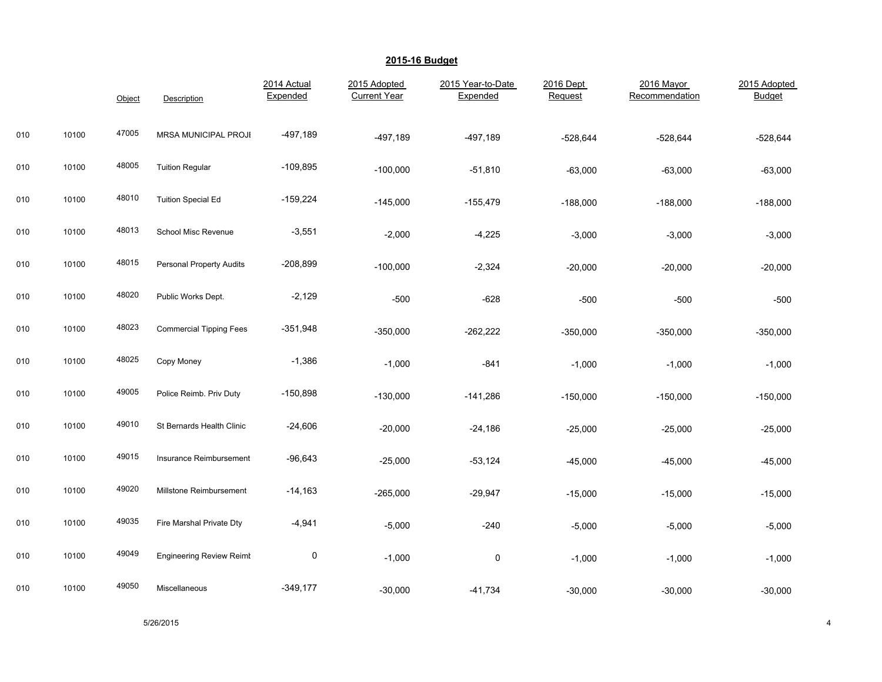|     |       | Object | Description                     | 2014 Actual<br>Expended | 2015 Adopted<br><b>Current Year</b> | 2015 Year-to-Date<br>Expended | 2016 Dept<br>Request | 2016 Mayor<br>Recommendation | 2015 Adopted<br><b>Budget</b> |
|-----|-------|--------|---------------------------------|-------------------------|-------------------------------------|-------------------------------|----------------------|------------------------------|-------------------------------|
| 010 | 10100 | 47005  | MRSA MUNICIPAL PROJI            | $-497,189$              | $-497,189$                          | $-497,189$                    | $-528,644$           | $-528,644$                   | $-528,644$                    |
| 010 | 10100 | 48005  | <b>Tuition Regular</b>          | $-109,895$              | $-100,000$                          | $-51,810$                     | $-63,000$            | $-63,000$                    | $-63,000$                     |
| 010 | 10100 | 48010  | <b>Tuition Special Ed</b>       | $-159,224$              | $-145,000$                          | $-155,479$                    | $-188,000$           | $-188,000$                   | $-188,000$                    |
| 010 | 10100 | 48013  | School Misc Revenue             | $-3,551$                | $-2,000$                            | $-4,225$                      | $-3,000$             | $-3,000$                     | $-3,000$                      |
| 010 | 10100 | 48015  | <b>Personal Property Audits</b> | $-208,899$              | $-100,000$                          | $-2,324$                      | $-20,000$            | $-20,000$                    | $-20,000$                     |
| 010 | 10100 | 48020  | Public Works Dept.              | $-2,129$                | $-500$                              | $-628$                        | $-500$               | $-500$                       | $-500$                        |
| 010 | 10100 | 48023  | <b>Commercial Tipping Fees</b>  | $-351,948$              | $-350,000$                          | $-262,222$                    | $-350,000$           | $-350,000$                   | $-350,000$                    |
| 010 | 10100 | 48025  | Copy Money                      | $-1,386$                | $-1,000$                            | $-841$                        | $-1,000$             | $-1,000$                     | $-1,000$                      |
| 010 | 10100 | 49005  | Police Reimb. Priv Duty         | $-150,898$              | $-130,000$                          | $-141,286$                    | $-150,000$           | $-150,000$                   | $-150,000$                    |
| 010 | 10100 | 49010  | St Bernards Health Clinic       | $-24,606$               | $-20,000$                           | $-24,186$                     | $-25,000$            | $-25,000$                    | $-25,000$                     |
| 010 | 10100 | 49015  | Insurance Reimbursement         | $-96,643$               | $-25,000$                           | $-53,124$                     | $-45,000$            | $-45,000$                    | $-45,000$                     |
| 010 | 10100 | 49020  | Millstone Reimbursement         | $-14,163$               | $-265,000$                          | $-29,947$                     | $-15,000$            | $-15,000$                    | $-15,000$                     |
| 010 | 10100 | 49035  | Fire Marshal Private Dty        | $-4,941$                | $-5,000$                            | $-240$                        | $-5,000$             | $-5,000$                     | $-5,000$                      |
| 010 | 10100 | 49049  | <b>Engineering Review Reimt</b> | 0                       | $-1,000$                            | $\pmb{0}$                     | $-1,000$             | $-1,000$                     | $-1,000$                      |
| 010 | 10100 | 49050  | Miscellaneous                   | $-349,177$              | $-30,000$                           | $-41,734$                     | $-30,000$            | $-30,000$                    | $-30,000$                     |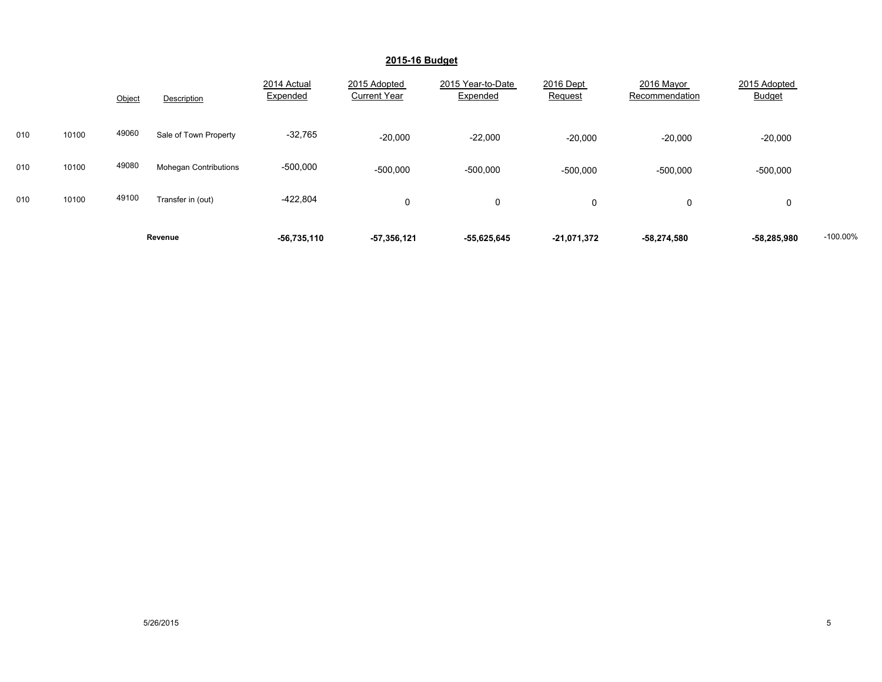|     |       | Object | Description                  | 2014 Actual<br>Expended | 2015 Adopted<br><b>Current Year</b> | 2015 Year-to-Date<br>Expended | 2016 Dept<br>Request | 2016 Mayor<br>Recommendation | 2015 Adopted<br><b>Budget</b> |            |
|-----|-------|--------|------------------------------|-------------------------|-------------------------------------|-------------------------------|----------------------|------------------------------|-------------------------------|------------|
| 010 | 10100 | 49060  | Sale of Town Property        | $-32,765$               | $-20,000$                           | $-22,000$                     | $-20,000$            | $-20,000$                    | $-20,000$                     |            |
| 010 | 10100 | 49080  | <b>Mohegan Contributions</b> | $-500,000$              | $-500,000$                          | $-500,000$                    | $-500,000$           | $-500,000$                   | $-500,000$                    |            |
| 010 | 10100 | 49100  | Transfer in (out)            | $-422,804$              | $\Omega$                            | 0                             | 0                    | $\Omega$                     | 0                             |            |
|     |       |        | Revenue                      | $-56,735,110$           | $-57,356,121$                       | $-55,625,645$                 | $-21,071,372$        | $-58,274,580$                | -58,285,980                   | $-100.00%$ |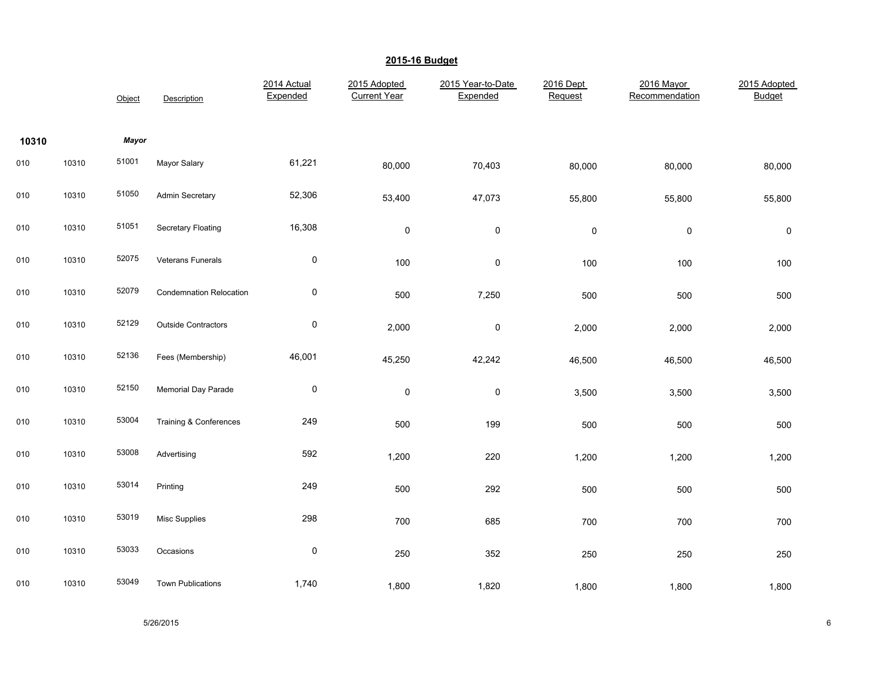|       |       | Object | Description                    | 2014 Actual<br>Expended | 2015 Adopted<br><b>Current Year</b> | 2015 Year-to-Date<br>Expended | 2016 Dept<br>Request | 2016 Mayor<br>Recommendation | 2015 Adopted<br><b>Budget</b> |
|-------|-------|--------|--------------------------------|-------------------------|-------------------------------------|-------------------------------|----------------------|------------------------------|-------------------------------|
| 10310 |       | Mayor  |                                |                         |                                     |                               |                      |                              |                               |
| 010   | 10310 | 51001  | Mayor Salary                   | 61,221                  | 80,000                              | 70,403                        | 80,000               | 80,000                       | 80,000                        |
| 010   | 10310 | 51050  | Admin Secretary                | 52,306                  | 53,400                              | 47,073                        | 55,800               | 55,800                       | 55,800                        |
| 010   | 10310 | 51051  | Secretary Floating             | 16,308                  | $\mathsf 0$                         | $\mathsf{O}\xspace$           | $\pmb{0}$            | $\pmb{0}$                    | $\pmb{0}$                     |
| 010   | 10310 | 52075  | Veterans Funerals              | $\pmb{0}$               | 100                                 | $\mathsf{O}\xspace$           | 100                  | 100                          | 100                           |
| 010   | 10310 | 52079  | <b>Condemnation Relocation</b> | $\pmb{0}$               | 500                                 | 7,250                         | 500                  | 500                          | 500                           |
| 010   | 10310 | 52129  | <b>Outside Contractors</b>     | $\pmb{0}$               | 2,000                               | $\pmb{0}$                     | 2,000                | 2,000                        | 2,000                         |
| 010   | 10310 | 52136  | Fees (Membership)              | 46,001                  | 45,250                              | 42,242                        | 46,500               | 46,500                       | 46,500                        |
| 010   | 10310 | 52150  | <b>Memorial Day Parade</b>     | $\pmb{0}$               | $\mathsf 0$                         | $\pmb{0}$                     | 3,500                | 3,500                        | 3,500                         |
| 010   | 10310 | 53004  | Training & Conferences         | 249                     | 500                                 | 199                           | 500                  | 500                          | 500                           |
| 010   | 10310 | 53008  | Advertising                    | 592                     | 1,200                               | 220                           | 1,200                | 1,200                        | 1,200                         |
| 010   | 10310 | 53014  | Printing                       | 249                     | 500                                 | 292                           | 500                  | 500                          | 500                           |
| 010   | 10310 | 53019  | Misc Supplies                  | 298                     | 700                                 | 685                           | 700                  | 700                          | 700                           |
| 010   | 10310 | 53033  | Occasions                      | $\pmb{0}$               | 250                                 | 352                           | 250                  | 250                          | 250                           |
| 010   | 10310 | 53049  | <b>Town Publications</b>       | 1,740                   | 1,800                               | 1,820                         | 1,800                | 1,800                        | 1,800                         |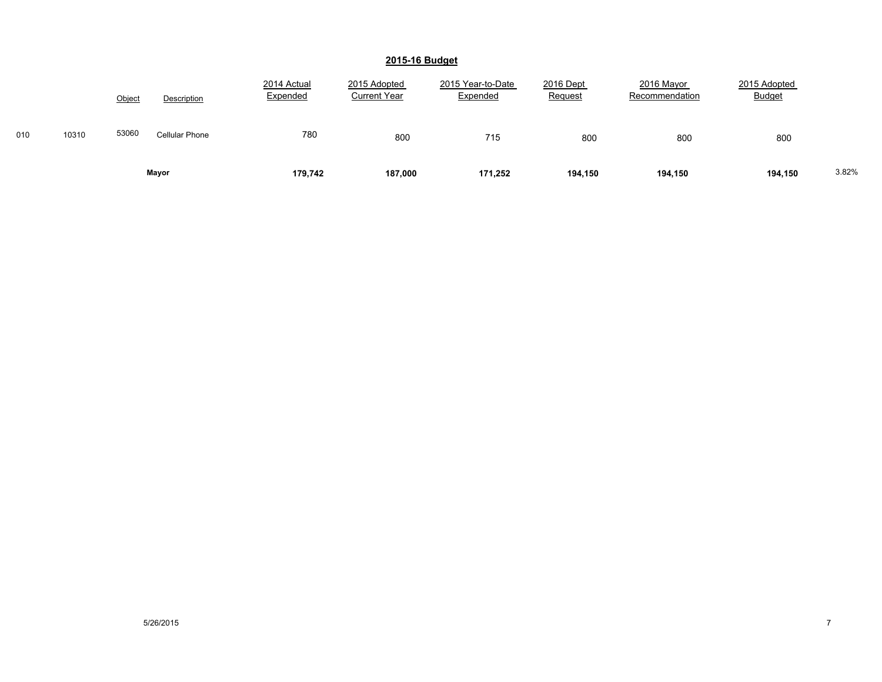|     |       | Object | Description           | 2014 Actual<br>Expended | 2015 Adopted<br><b>Current Year</b> | 2015 Year-to-Date<br>Expended | 2016 Dept<br>Request | 2016 Mayor<br>Recommendation | 2015 Adopted<br><b>Budget</b> |       |
|-----|-------|--------|-----------------------|-------------------------|-------------------------------------|-------------------------------|----------------------|------------------------------|-------------------------------|-------|
| 010 | 10310 | 53060  | <b>Cellular Phone</b> | 780                     | 800                                 | 715                           | 800                  | 800                          | 800                           |       |
|     |       |        | Mayor                 | 179,742                 | 187,000                             | 171,252                       | 194,150              | 194,150                      | 194,150                       | 3.82% |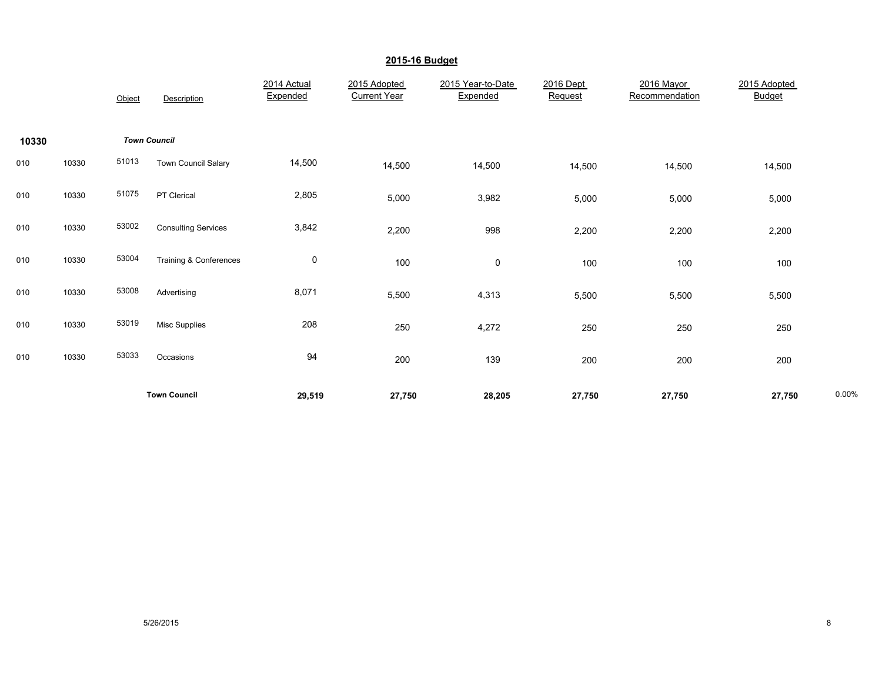|       |       |        | <b>Town Council</b>        | 29,519                  | 27,750                              | 28,205                        | 27,750               | 27,750                       | 27,750                        | 0.00% |
|-------|-------|--------|----------------------------|-------------------------|-------------------------------------|-------------------------------|----------------------|------------------------------|-------------------------------|-------|
| 010   | 10330 | 53033  | Occasions                  | 94                      | 200                                 | 139                           | 200                  | 200                          | 200                           |       |
| 010   | 10330 | 53019  | <b>Misc Supplies</b>       | 208                     | 250                                 | 4,272                         | 250                  | 250                          | 250                           |       |
| 010   | 10330 | 53008  | Advertising                | 8,071                   | 5,500                               | 4,313                         | 5,500                | 5,500                        | 5,500                         |       |
| 010   | 10330 | 53004  | Training & Conferences     | $\mathbf 0$             | 100                                 | 0                             | 100                  | 100                          | 100                           |       |
| 010   | 10330 | 53002  | <b>Consulting Services</b> | 3,842                   | 2,200                               | 998                           | 2,200                | 2,200                        | 2,200                         |       |
| 010   | 10330 | 51075  | PT Clerical                | 2,805                   | 5,000                               | 3,982                         | 5,000                | 5,000                        | 5,000                         |       |
| 010   | 10330 | 51013  | Town Council Salary        | 14,500                  | 14,500                              | 14,500                        | 14,500               | 14,500                       | 14,500                        |       |
| 10330 |       |        | <b>Town Council</b>        |                         |                                     |                               |                      |                              |                               |       |
|       |       | Object | Description                | 2014 Actual<br>Expended | 2015 Adopted<br><b>Current Year</b> | 2015 Year-to-Date<br>Expended | 2016 Dept<br>Request | 2016 Mayor<br>Recommendation | 2015 Adopted<br><b>Budget</b> |       |
|       |       |        |                            |                         |                                     |                               |                      |                              |                               |       |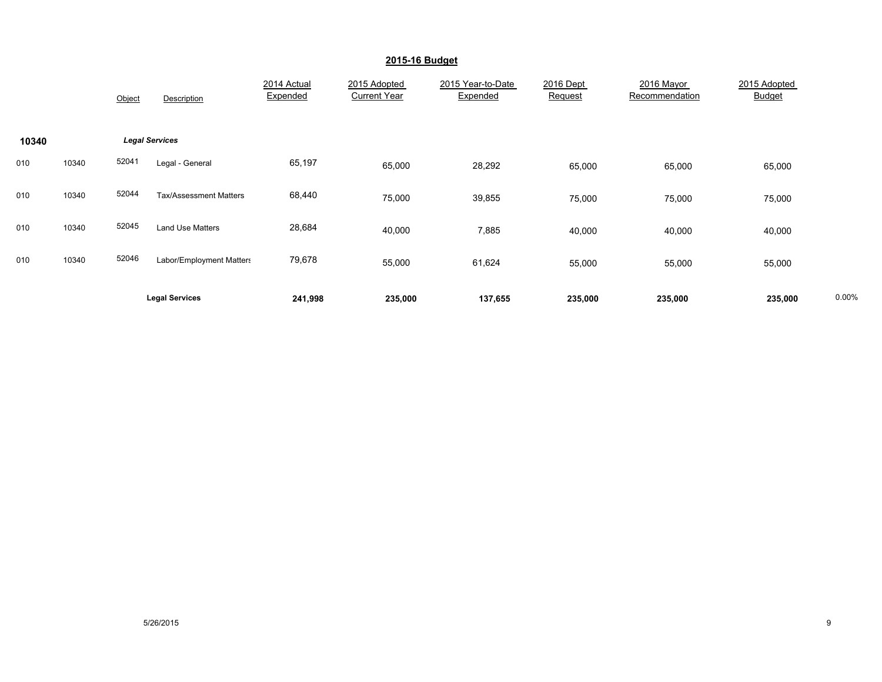|       |       | Object | Description                   | 2014 Actual<br>Expended | 2015 Adopted<br><b>Current Year</b> | 2015 Year-to-Date<br>Expended | 2016 Dept<br>Request | 2016 Mayor<br>Recommendation | 2015 Adopted<br>Budget |       |
|-------|-------|--------|-------------------------------|-------------------------|-------------------------------------|-------------------------------|----------------------|------------------------------|------------------------|-------|
| 10340 |       |        | <b>Legal Services</b>         |                         |                                     |                               |                      |                              |                        |       |
| 010   | 10340 | 52041  | Legal - General               | 65,197                  | 65,000                              | 28,292                        | 65,000               | 65,000                       | 65,000                 |       |
| 010   | 10340 | 52044  | <b>Tax/Assessment Matters</b> | 68,440                  | 75,000                              | 39,855                        | 75,000               | 75,000                       | 75,000                 |       |
| 010   | 10340 | 52045  | <b>Land Use Matters</b>       | 28,684                  | 40,000                              | 7,885                         | 40,000               | 40,000                       | 40,000                 |       |
| 010   | 10340 | 52046  | Labor/Employment Matters      | 79,678                  | 55,000                              | 61,624                        | 55,000               | 55,000                       | 55,000                 |       |
|       |       |        | <b>Legal Services</b>         | 241,998                 | 235,000                             | 137,655                       | 235,000              | 235,000                      | 235,000                | 0.00% |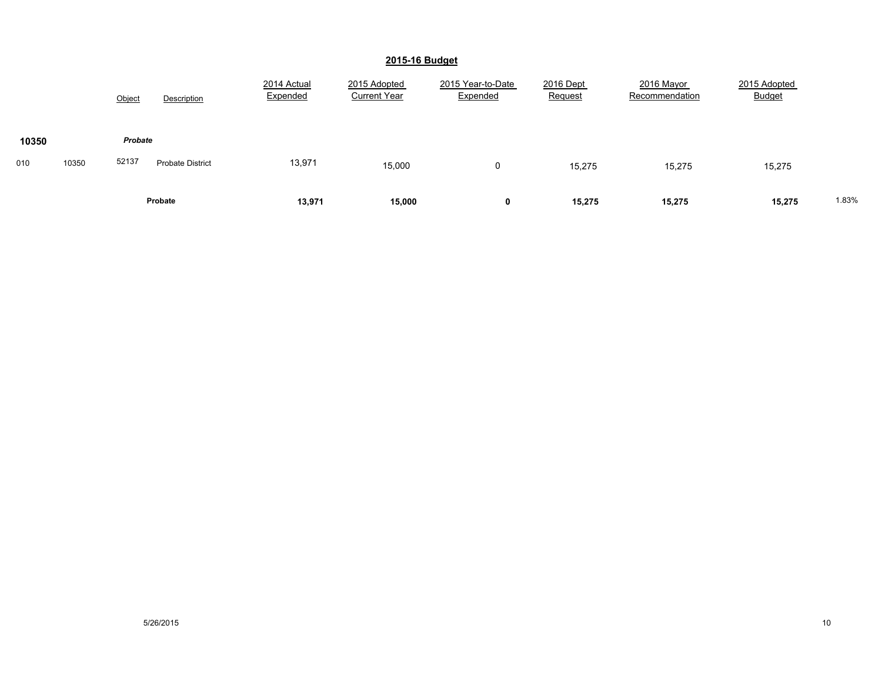|              |  | Object           | Description             | 2014 Actual<br>Expended | 2015 Adopted<br><b>Current Year</b> | 2015 Year-to-Date<br>Expended | 2016 Dept<br>Request | 2016 Mayor<br>Recommendation | 2015 Adopted<br><b>Budget</b> |       |
|--------------|--|------------------|-------------------------|-------------------------|-------------------------------------|-------------------------------|----------------------|------------------------------|-------------------------------|-------|
| 10350        |  | Probate<br>52137 |                         |                         |                                     |                               |                      |                              |                               |       |
| 010<br>10350 |  |                  | <b>Probate District</b> | 13,971                  | 15,000                              | 0                             | 15,275               | 15,275                       | 15,275                        |       |
|              |  |                  | Probate                 | 13,971                  | 15,000                              | v                             | 15,275               | 15,275                       | 15,275                        | 1.83% |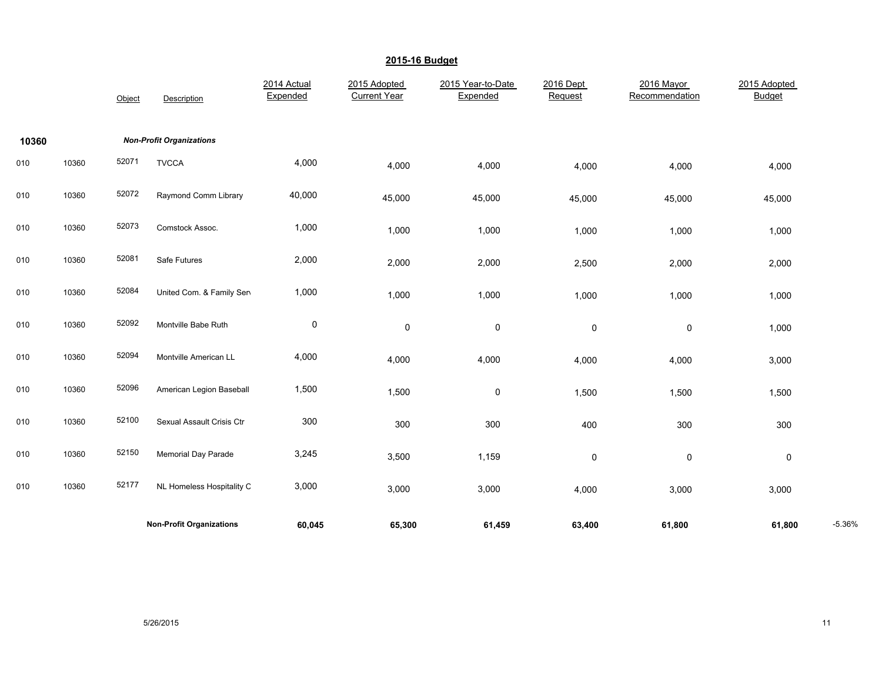|       |       | Object | Description                     | 2014 Actual<br>Expended | 2015 Adopted<br><b>Current Year</b> | 2015 Year-to-Date<br>Expended | 2016 Dept<br>Request | 2016 Mayor<br>Recommendation | 2015 Adopted<br><b>Budget</b> |          |
|-------|-------|--------|---------------------------------|-------------------------|-------------------------------------|-------------------------------|----------------------|------------------------------|-------------------------------|----------|
| 10360 |       |        | <b>Non-Profit Organizations</b> |                         |                                     |                               |                      |                              |                               |          |
| 010   | 10360 | 52071  | <b>TVCCA</b>                    | 4,000                   | 4,000                               | 4,000                         | 4,000                | 4,000                        | 4,000                         |          |
| 010   | 10360 | 52072  | Raymond Comm Library            | 40,000                  | 45,000                              | 45,000                        | 45,000               | 45,000                       | 45,000                        |          |
| 010   | 10360 | 52073  | Comstock Assoc.                 | 1,000                   | 1,000                               | 1,000                         | 1,000                | 1,000                        | 1,000                         |          |
| 010   | 10360 | 52081  | Safe Futures                    | 2,000                   | 2,000                               | 2,000                         | 2,500                | 2,000                        | 2,000                         |          |
| 010   | 10360 | 52084  | United Com. & Family Sen        | 1,000                   | 1,000                               | 1,000                         | 1,000                | 1,000                        | 1,000                         |          |
| 010   | 10360 | 52092  | Montville Babe Ruth             | $\pmb{0}$               | 0                                   | 0                             | $\mathsf 0$          | 0                            | 1,000                         |          |
| 010   | 10360 | 52094  | Montville American LL           | 4,000                   | 4,000                               | 4,000                         | 4,000                | 4,000                        | 3,000                         |          |
| 010   | 10360 | 52096  | American Legion Baseball        | 1,500                   | 1,500                               | 0                             | 1,500                | 1,500                        | 1,500                         |          |
| 010   | 10360 | 52100  | Sexual Assault Crisis Ctr       | 300                     | 300                                 | 300                           | 400                  | 300                          | 300                           |          |
| 010   | 10360 | 52150  | <b>Memorial Day Parade</b>      | 3,245                   | 3,500                               | 1,159                         | $\mathsf 0$          | 0                            | $\pmb{0}$                     |          |
| 010   | 10360 | 52177  | NL Homeless Hospitality C       | 3,000                   | 3,000                               | 3,000                         | 4,000                | 3,000                        | 3,000                         |          |
|       |       |        | <b>Non-Profit Organizations</b> | 60,045                  | 65,300                              | 61,459                        | 63,400               | 61,800                       | 61,800                        | $-5.36%$ |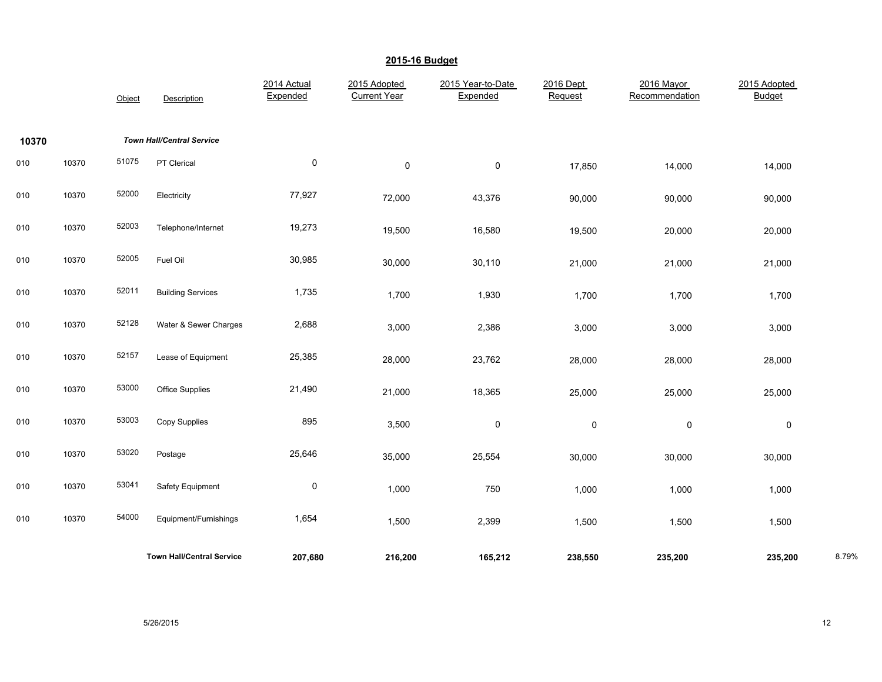|       |       | Object | Description                      | 2014 Actual<br>Expended | 2015 Adopted<br><b>Current Year</b> | 2015 Year-to-Date<br>Expended | 2016 Dept<br>Request | 2016 Mayor<br>Recommendation | 2015 Adopted<br><b>Budget</b> |       |
|-------|-------|--------|----------------------------------|-------------------------|-------------------------------------|-------------------------------|----------------------|------------------------------|-------------------------------|-------|
| 10370 |       |        | <b>Town Hall/Central Service</b> |                         |                                     |                               |                      |                              |                               |       |
| 010   | 10370 | 51075  | PT Clerical                      | 0                       | $\pmb{0}$                           | $\pmb{0}$                     | 17,850               | 14,000                       | 14,000                        |       |
| 010   | 10370 | 52000  | Electricity                      | 77,927                  | 72,000                              | 43,376                        | 90,000               | 90,000                       | 90,000                        |       |
| 010   | 10370 | 52003  | Telephone/Internet               | 19,273                  | 19,500                              | 16,580                        | 19,500               | 20,000                       | 20,000                        |       |
| 010   | 10370 | 52005  | Fuel Oil                         | 30,985                  | 30,000                              | 30,110                        | 21,000               | 21,000                       | 21,000                        |       |
| 010   | 10370 | 52011  | <b>Building Services</b>         | 1,735                   | 1,700                               | 1,930                         | 1,700                | 1,700                        | 1,700                         |       |
| 010   | 10370 | 52128  | Water & Sewer Charges            | 2,688                   | 3,000                               | 2,386                         | 3,000                | 3,000                        | 3,000                         |       |
| 010   | 10370 | 52157  | Lease of Equipment               | 25,385                  | 28,000                              | 23,762                        | 28,000               | 28,000                       | 28,000                        |       |
| 010   | 10370 | 53000  | <b>Office Supplies</b>           | 21,490                  | 21,000                              | 18,365                        | 25,000               | 25,000                       | 25,000                        |       |
| 010   | 10370 | 53003  | Copy Supplies                    | 895                     | 3,500                               | $\pmb{0}$                     | $\pmb{0}$            | $\pmb{0}$                    | $\pmb{0}$                     |       |
| 010   | 10370 | 53020  | Postage                          | 25,646                  | 35,000                              | 25,554                        | 30,000               | 30,000                       | 30,000                        |       |
| 010   | 10370 | 53041  | Safety Equipment                 | $\pmb{0}$               | 1,000                               | 750                           | 1,000                | 1,000                        | 1,000                         |       |
| 010   | 10370 | 54000  | Equipment/Furnishings            | 1,654                   | 1,500                               | 2,399                         | 1,500                | 1,500                        | 1,500                         |       |
|       |       |        | <b>Town Hall/Central Service</b> | 207,680                 | 216,200                             | 165,212                       | 238,550              | 235,200                      | 235,200                       | 8.79% |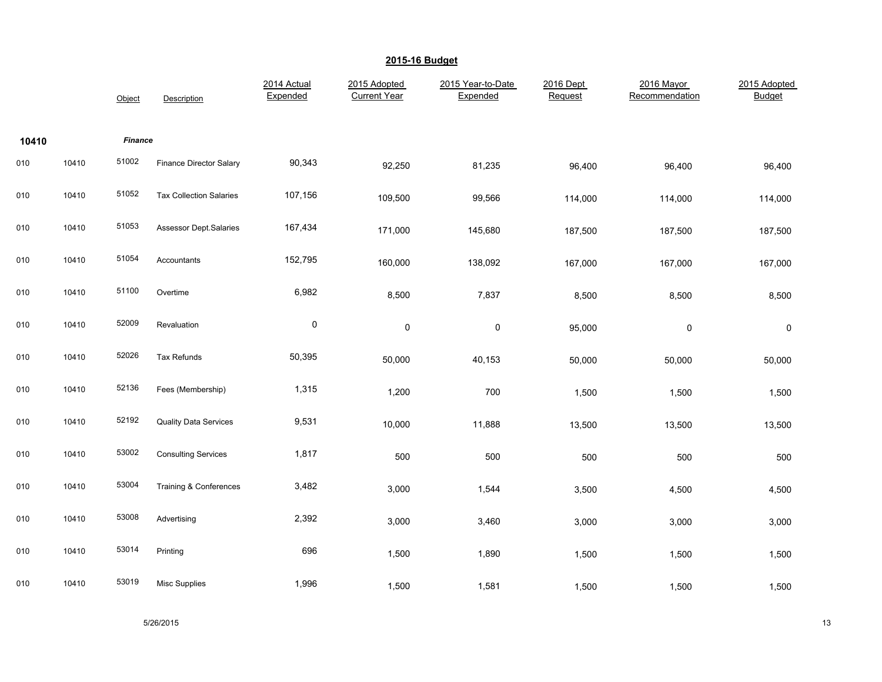|       |       | Object         | Description                       | 2014 Actual<br>Expended | 2015 Adopted<br><b>Current Year</b> | 2015 Year-to-Date<br>Expended | 2016 Dept<br>Request | 2016 Mayor<br>Recommendation | 2015 Adopted<br><b>Budget</b> |
|-------|-------|----------------|-----------------------------------|-------------------------|-------------------------------------|-------------------------------|----------------------|------------------------------|-------------------------------|
| 10410 |       | <b>Finance</b> |                                   |                         |                                     |                               |                      |                              |                               |
| 010   | 10410 | 51002          | <b>Finance Director Salary</b>    | 90,343                  | 92,250                              | 81,235                        | 96,400               | 96,400                       | 96,400                        |
| 010   | 10410 | 51052          | <b>Tax Collection Salaries</b>    | 107,156                 | 109,500                             | 99,566                        | 114,000              | 114,000                      | 114,000                       |
| 010   | 10410 | 51053          | <b>Assessor Dept.Salaries</b>     | 167,434                 | 171,000                             | 145,680                       | 187,500              | 187,500                      | 187,500                       |
| 010   | 10410 | 51054          | Accountants                       | 152,795                 | 160,000                             | 138,092                       | 167,000              | 167,000                      | 167,000                       |
| 010   | 10410 | 51100          | Overtime                          | 6,982                   | 8,500                               | 7,837                         | 8,500                | 8,500                        | 8,500                         |
| 010   | 10410 | 52009          | Revaluation                       | $\pmb{0}$               | $\pmb{0}$                           | $\pmb{0}$                     | 95,000               | $\mathsf{O}\xspace$          | $\pmb{0}$                     |
| 010   | 10410 | 52026          | Tax Refunds                       | 50,395                  | 50,000                              | 40,153                        | 50,000               | 50,000                       | 50,000                        |
| 010   | 10410 | 52136          | Fees (Membership)                 | 1,315                   | 1,200                               | 700                           | 1,500                | 1,500                        | 1,500                         |
| 010   | 10410 | 52192          | <b>Quality Data Services</b>      | 9,531                   | 10,000                              | 11,888                        | 13,500               | 13,500                       | 13,500                        |
| 010   | 10410 | 53002          | <b>Consulting Services</b>        | 1,817                   | 500                                 | 500                           | 500                  | 500                          | 500                           |
| 010   | 10410 | 53004          | <b>Training &amp; Conferences</b> | 3,482                   | 3,000                               | 1,544                         | 3,500                | 4,500                        | 4,500                         |
| 010   | 10410 | 53008          | Advertising                       | 2,392                   | 3,000                               | 3,460                         | 3,000                | 3,000                        | 3,000                         |
| 010   | 10410 | 53014          | Printing                          | 696                     | 1,500                               | 1,890                         | 1,500                | 1,500                        | 1,500                         |
| 010   | 10410 | 53019          | Misc Supplies                     | 1,996                   | 1,500                               | 1,581                         | 1,500                | 1,500                        | 1,500                         |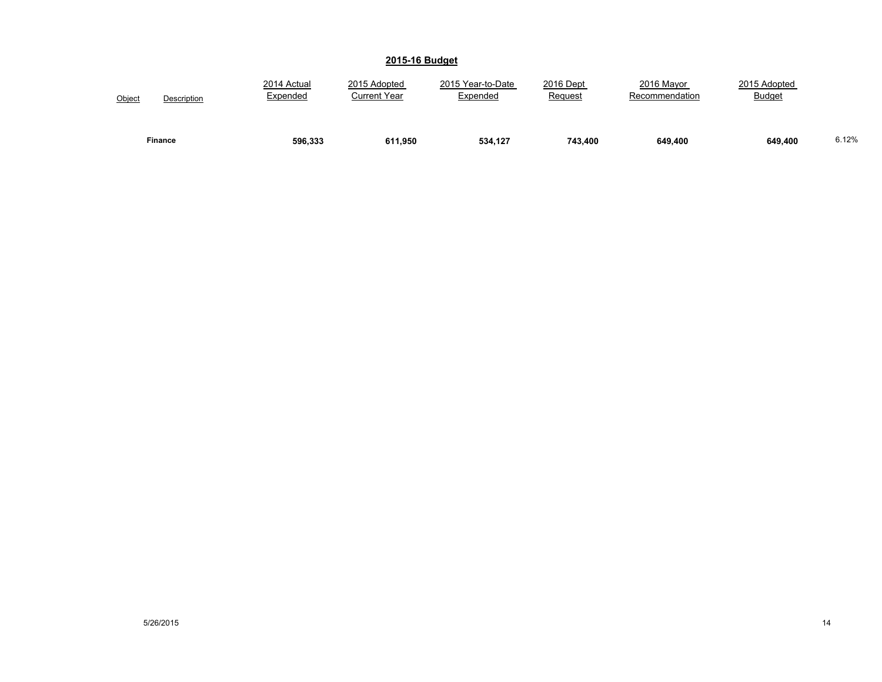| Object | Description    | 2014 Actual<br>Expended | 2015 Adopted<br><b>Current Year</b> | 2015 Year-to-Date<br>Expended | 2016 Dept<br>Request | 2016 Mayor<br>Recommendation | 2015 Adopted<br><b>Budget</b> |       |
|--------|----------------|-------------------------|-------------------------------------|-------------------------------|----------------------|------------------------------|-------------------------------|-------|
|        | <b>Finance</b> | 596.333                 | 611.950                             | 534.127                       | 743.400              | 649,400                      | 649,400                       | 6.12% |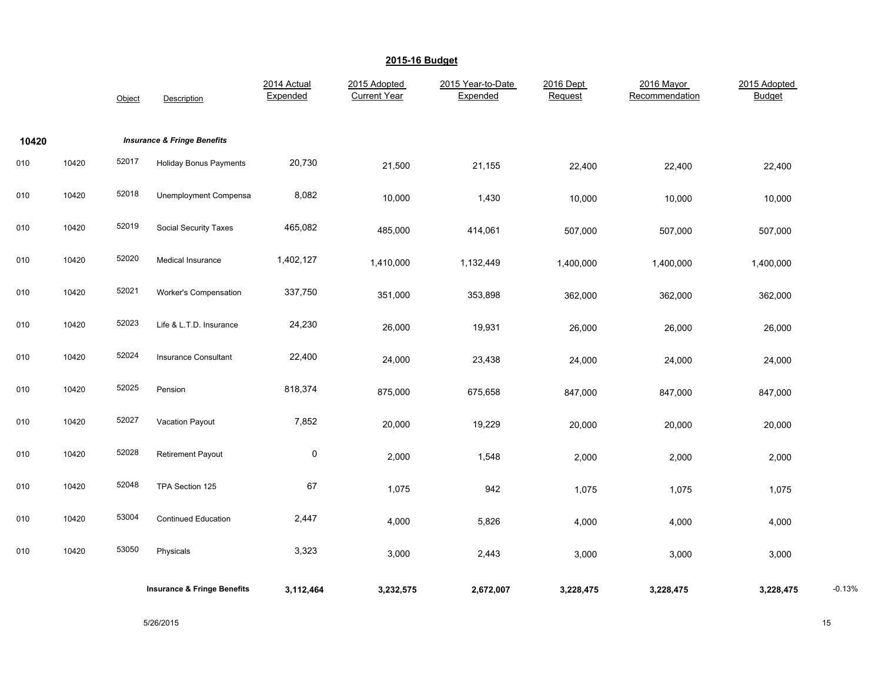|       |       | Object | Description                            | 2014 Actual<br>Expended | 2015 Adopted<br><b>Current Year</b> | 2015 Year-to-Date<br>Expended | 2016 Dept<br>Request | 2016 Mayor<br>Recommendation | 2015 Adopted<br><b>Budget</b> |          |
|-------|-------|--------|----------------------------------------|-------------------------|-------------------------------------|-------------------------------|----------------------|------------------------------|-------------------------------|----------|
| 10420 |       |        | <b>Insurance &amp; Fringe Benefits</b> |                         |                                     |                               |                      |                              |                               |          |
| 010   | 10420 | 52017  | <b>Holiday Bonus Payments</b>          | 20,730                  | 21,500                              | 21,155                        | 22,400               | 22,400                       | 22,400                        |          |
| 010   | 10420 | 52018  | Unemployment Compensa                  | 8,082                   | 10,000                              | 1,430                         | 10,000               | 10,000                       | 10,000                        |          |
| 010   | 10420 | 52019  | Social Security Taxes                  | 465,082                 | 485,000                             | 414,061                       | 507,000              | 507,000                      | 507,000                       |          |
| 010   | 10420 | 52020  | Medical Insurance                      | 1,402,127               | 1,410,000                           | 1,132,449                     | 1,400,000            | 1,400,000                    | 1,400,000                     |          |
| 010   | 10420 | 52021  | Worker's Compensation                  | 337,750                 | 351,000                             | 353,898                       | 362,000              | 362,000                      | 362,000                       |          |
| 010   | 10420 | 52023  | Life & L.T.D. Insurance                | 24,230                  | 26,000                              | 19,931                        | 26,000               | 26,000                       | 26,000                        |          |
| 010   | 10420 | 52024  | Insurance Consultant                   | 22,400                  | 24,000                              | 23,438                        | 24,000               | 24,000                       | 24,000                        |          |
| 010   | 10420 | 52025  | Pension                                | 818,374                 | 875,000                             | 675,658                       | 847,000              | 847,000                      | 847,000                       |          |
| 010   | 10420 | 52027  | Vacation Payout                        | 7,852                   | 20,000                              | 19,229                        | 20,000               | 20,000                       | 20,000                        |          |
| 010   | 10420 | 52028  | <b>Retirement Payout</b>               | $\pmb{0}$               | 2,000                               | 1,548                         | 2,000                | 2,000                        | 2,000                         |          |
| 010   | 10420 | 52048  | TPA Section 125                        | 67                      | 1,075                               | 942                           | 1,075                | 1,075                        | 1,075                         |          |
| 010   | 10420 | 53004  | <b>Continued Education</b>             | 2,447                   | 4,000                               | 5,826                         | 4,000                | 4,000                        | 4,000                         |          |
| 010   | 10420 | 53050  | Physicals                              | 3,323                   | 3,000                               | 2,443                         | 3,000                | 3,000                        | 3,000                         |          |
|       |       |        | <b>Insurance &amp; Fringe Benefits</b> | 3,112,464               | 3,232,575                           | 2,672,007                     | 3,228,475            | 3,228,475                    | 3,228,475                     | $-0.13%$ |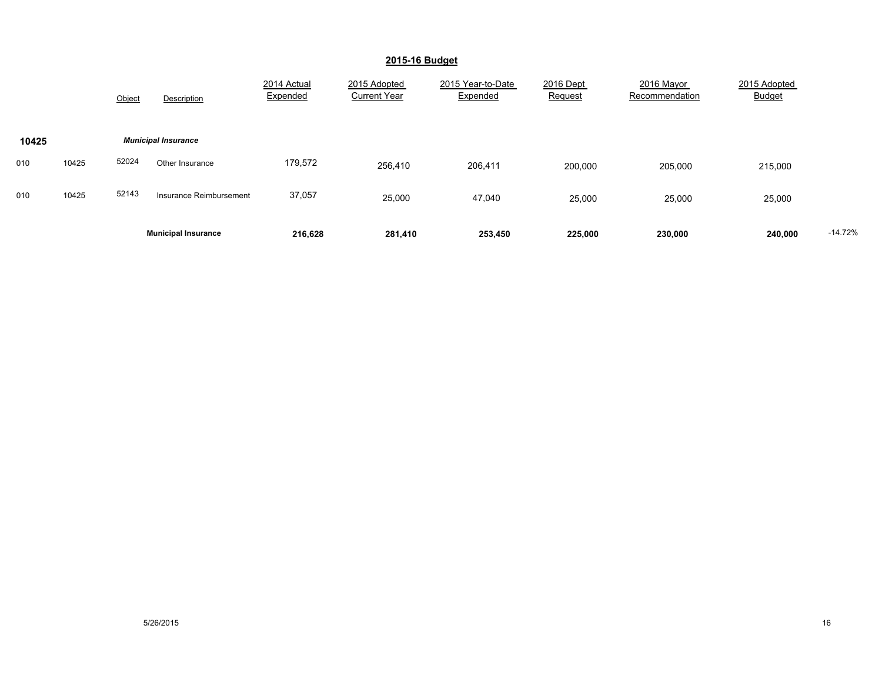|       |       | Object | Description                | 2014 Actual<br>Expended | 2015 Adopted<br><b>Current Year</b> | 2015 Year-to-Date<br>Expended | 2016 Dept<br>Request | 2016 Mayor<br>Recommendation | 2015 Adopted<br><b>Budget</b> |           |
|-------|-------|--------|----------------------------|-------------------------|-------------------------------------|-------------------------------|----------------------|------------------------------|-------------------------------|-----------|
| 10425 |       |        | <b>Municipal Insurance</b> |                         |                                     |                               |                      |                              |                               |           |
| 010   | 10425 | 52024  | Other Insurance            | 179,572                 | 256,410                             | 206,411                       | 200,000              | 205,000                      | 215,000                       |           |
| 010   | 10425 | 52143  | Insurance Reimbursement    | 37,057                  | 25,000                              | 47,040                        | 25,000               | 25,000                       | 25,000                        |           |
|       |       |        | <b>Municipal Insurance</b> | 216,628                 | 281,410                             | 253,450                       | 225,000              | 230,000                      | 240,000                       | $-14.72%$ |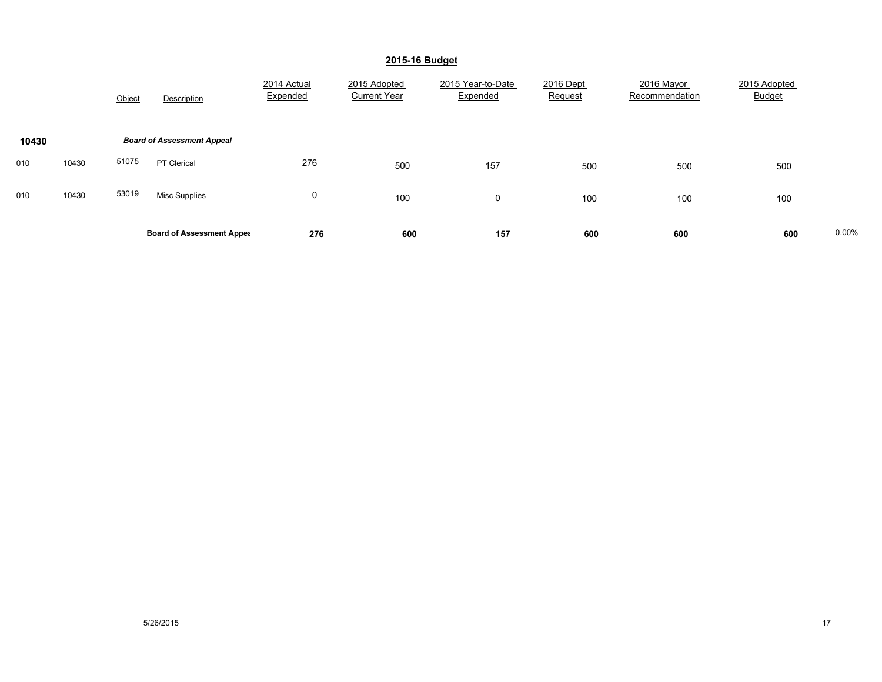|       |       | Object | Description                       | 2014 Actual<br>Expended | 2015 Adopted<br><b>Current Year</b> | 2015 Year-to-Date<br>Expended | 2016 Dept<br>Request | 2016 Mayor<br>Recommendation | 2015 Adopted<br><b>Budget</b> |       |
|-------|-------|--------|-----------------------------------|-------------------------|-------------------------------------|-------------------------------|----------------------|------------------------------|-------------------------------|-------|
| 10430 |       |        | <b>Board of Assessment Appeal</b> |                         |                                     |                               |                      |                              |                               |       |
| 010   | 10430 | 51075  | PT Clerical                       | 276                     | 500                                 | 157                           | 500                  | 500                          | 500                           |       |
| 010   | 10430 | 53019  | Misc Supplies                     | 0                       | 100                                 | 0                             | 100                  | 100                          | 100                           |       |
|       |       |        | <b>Board of Assessment Appea</b>  | 276                     | 600                                 | 157                           | 600                  | 600                          | 600                           | 0.00% |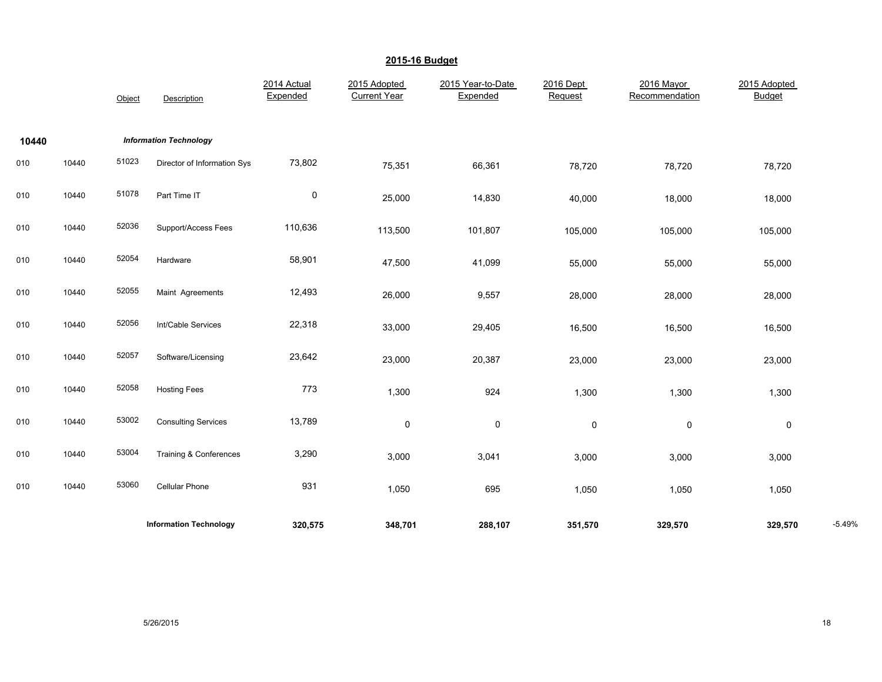|       |       | Object | Description                   | 2014 Actual<br>Expended | 2015 Adopted<br><b>Current Year</b> | 2015 Year-to-Date<br>Expended | 2016 Dept<br>Request | 2016 Mayor<br>Recommendation | 2015 Adopted<br><b>Budget</b> |          |
|-------|-------|--------|-------------------------------|-------------------------|-------------------------------------|-------------------------------|----------------------|------------------------------|-------------------------------|----------|
| 10440 |       |        | <b>Information Technology</b> |                         |                                     |                               |                      |                              |                               |          |
| 010   | 10440 | 51023  | Director of Information Sys   | 73,802                  | 75,351                              | 66,361                        | 78,720               | 78,720                       | 78,720                        |          |
| 010   | 10440 | 51078  | Part Time IT                  | $\mathsf 0$             | 25,000                              | 14,830                        | 40,000               | 18,000                       | 18,000                        |          |
| 010   | 10440 | 52036  | Support/Access Fees           | 110,636                 | 113,500                             | 101,807                       | 105,000              | 105,000                      | 105,000                       |          |
| 010   | 10440 | 52054  | Hardware                      | 58,901                  | 47,500                              | 41,099                        | 55,000               | 55,000                       | 55,000                        |          |
| 010   | 10440 | 52055  | Maint Agreements              | 12,493                  | 26,000                              | 9,557                         | 28,000               | 28,000                       | 28,000                        |          |
| 010   | 10440 | 52056  | Int/Cable Services            | 22,318                  | 33,000                              | 29,405                        | 16,500               | 16,500                       | 16,500                        |          |
| 010   | 10440 | 52057  | Software/Licensing            | 23,642                  | 23,000                              | 20,387                        | 23,000               | 23,000                       | 23,000                        |          |
| 010   | 10440 | 52058  | <b>Hosting Fees</b>           | 773                     | 1,300                               | 924                           | 1,300                | 1,300                        | 1,300                         |          |
| 010   | 10440 | 53002  | <b>Consulting Services</b>    | 13,789                  | 0                                   | 0                             | 0                    | 0                            | $\pmb{0}$                     |          |
| 010   | 10440 | 53004  | Training & Conferences        | 3,290                   | 3,000                               | 3,041                         | 3,000                | 3,000                        | 3,000                         |          |
| 010   | 10440 | 53060  | <b>Cellular Phone</b>         | 931                     | 1,050                               | 695                           | 1,050                | 1,050                        | 1,050                         |          |
|       |       |        | <b>Information Technology</b> | 320,575                 | 348,701                             | 288,107                       | 351,570              | 329,570                      | 329,570                       | $-5.49%$ |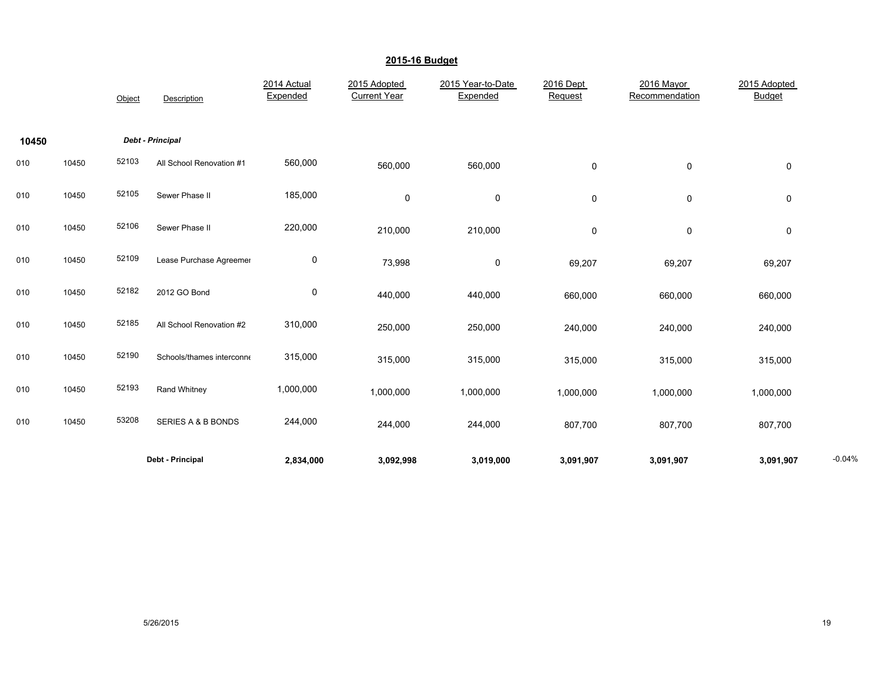|       |       | Object | Description               | 2014 Actual<br>Expended | 2015 Adopted<br><b>Current Year</b> | 2015 Year-to-Date<br>Expended | 2016 Dept<br>Request | 2016 Mayor<br>Recommendation | 2015 Adopted<br><b>Budget</b> |          |
|-------|-------|--------|---------------------------|-------------------------|-------------------------------------|-------------------------------|----------------------|------------------------------|-------------------------------|----------|
| 10450 |       |        | Debt - Principal          |                         |                                     |                               |                      |                              |                               |          |
| 010   | 10450 | 52103  | All School Renovation #1  | 560,000                 | 560,000                             | 560,000                       | 0                    | 0                            | $\pmb{0}$                     |          |
| 010   | 10450 | 52105  | Sewer Phase II            | 185,000                 | 0                                   | 0                             | 0                    | 0                            | 0                             |          |
| 010   | 10450 | 52106  | Sewer Phase II            | 220,000                 | 210,000                             | 210,000                       | 0                    | $\mathsf 0$                  | $\pmb{0}$                     |          |
| 010   | 10450 | 52109  | Lease Purchase Agreemer   | $\boldsymbol{0}$        | 73,998                              | 0                             | 69,207               | 69,207                       | 69,207                        |          |
| 010   | 10450 | 52182  | 2012 GO Bond              | $\mathbf 0$             | 440,000                             | 440,000                       | 660,000              | 660,000                      | 660,000                       |          |
| 010   | 10450 | 52185  | All School Renovation #2  | 310,000                 | 250,000                             | 250,000                       | 240,000              | 240,000                      | 240,000                       |          |
| 010   | 10450 | 52190  | Schools/thames interconne | 315,000                 | 315,000                             | 315,000                       | 315,000              | 315,000                      | 315,000                       |          |
| 010   | 10450 | 52193  | Rand Whitney              | 1,000,000               | 1,000,000                           | 1,000,000                     | 1,000,000            | 1,000,000                    | 1,000,000                     |          |
| 010   | 10450 | 53208  | SERIES A & B BONDS        | 244,000                 | 244,000                             | 244,000                       | 807,700              | 807,700                      | 807,700                       |          |
|       |       |        | Debt - Principal          | 2,834,000               | 3,092,998                           | 3,019,000                     | 3,091,907            | 3,091,907                    | 3,091,907                     | $-0.04%$ |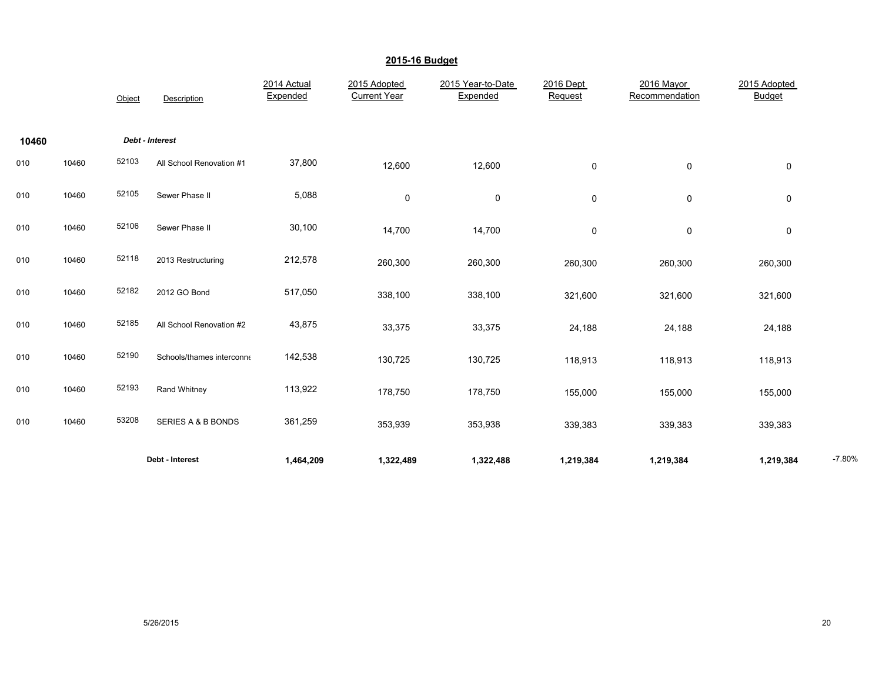|       |       | Object | Description               | 2014 Actual<br>Expended | 2015 Adopted<br><b>Current Year</b> | 2015 Year-to-Date<br>Expended | 2016 Dept<br>Request | 2016 Mayor<br>Recommendation | 2015 Adopted<br><b>Budget</b> |          |
|-------|-------|--------|---------------------------|-------------------------|-------------------------------------|-------------------------------|----------------------|------------------------------|-------------------------------|----------|
| 10460 |       |        | Debt - Interest           |                         |                                     |                               |                      |                              |                               |          |
| 010   | 10460 | 52103  | All School Renovation #1  | 37,800                  | 12,600                              | 12,600                        | 0                    | $\pmb{0}$                    | $\pmb{0}$                     |          |
| 010   | 10460 | 52105  | Sewer Phase II            | 5,088                   | 0                                   | 0                             | 0                    | $\mathbf 0$                  | $\mathbf 0$                   |          |
| 010   | 10460 | 52106  | Sewer Phase II            | 30,100                  | 14,700                              | 14,700                        | 0                    | 0                            | 0                             |          |
| 010   | 10460 | 52118  | 2013 Restructuring        | 212,578                 | 260,300                             | 260,300                       | 260,300              | 260,300                      | 260,300                       |          |
| 010   | 10460 | 52182  | 2012 GO Bond              | 517,050                 | 338,100                             | 338,100                       | 321,600              | 321,600                      | 321,600                       |          |
| 010   | 10460 | 52185  | All School Renovation #2  | 43,875                  | 33,375                              | 33,375                        | 24,188               | 24,188                       | 24,188                        |          |
| 010   | 10460 | 52190  | Schools/thames interconne | 142,538                 | 130,725                             | 130,725                       | 118,913              | 118,913                      | 118,913                       |          |
| 010   | 10460 | 52193  | Rand Whitney              | 113,922                 | 178,750                             | 178,750                       | 155,000              | 155,000                      | 155,000                       |          |
| 010   | 10460 | 53208  | SERIES A & B BONDS        | 361,259                 | 353,939                             | 353,938                       | 339,383              | 339,383                      | 339,383                       |          |
|       |       |        | Debt - Interest           | 1,464,209               | 1,322,489                           | 1,322,488                     | 1,219,384            | 1,219,384                    | 1,219,384                     | $-7.80%$ |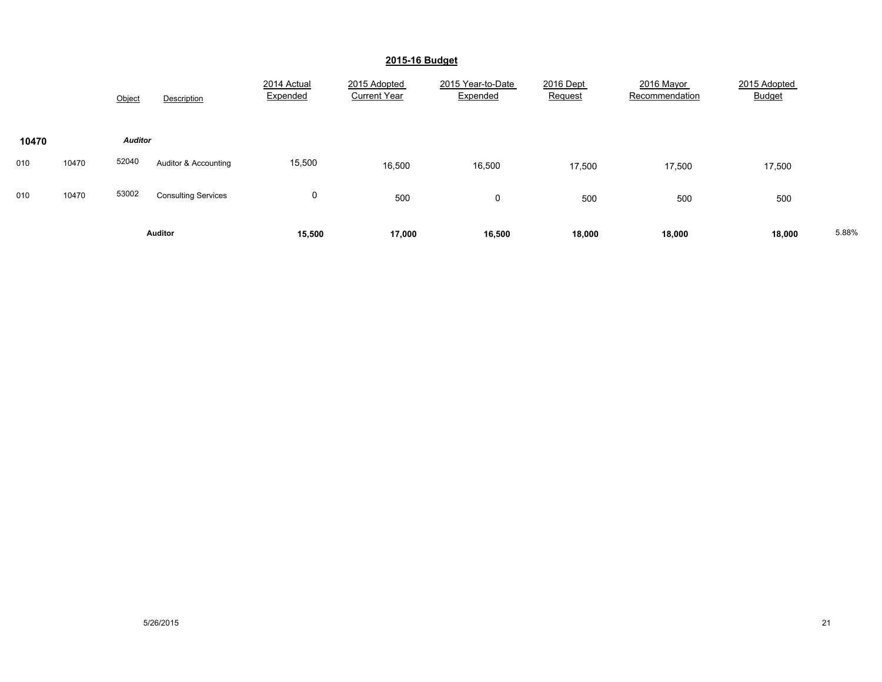|       |                | Object         | Description                | 2014 Actual<br>Expended | 2015 Adopted<br><b>Current Year</b> | 2015 Year-to-Date<br>Expended | 2016 Dept<br>Request | 2016 Mayor<br>Recommendation | 2015 Adopted<br><b>Budget</b> |  |
|-------|----------------|----------------|----------------------------|-------------------------|-------------------------------------|-------------------------------|----------------------|------------------------------|-------------------------------|--|
| 10470 |                | <b>Auditor</b> |                            |                         |                                     |                               |                      |                              |                               |  |
| 010   | 10470          | 52040          | Auditor & Accounting       | 15,500                  | 16,500                              | 16,500                        | 17,500               | 17,500                       | 17,500                        |  |
| 010   | 10470          | 53002          | <b>Consulting Services</b> | 0                       | 500                                 | $\mathbf 0$                   | 500                  | 500                          | 500                           |  |
|       | <b>Auditor</b> |                | 15,500                     | 17,000                  | 16,500                              | 18,000                        | 18,000               | 18,000                       | 5.88%                         |  |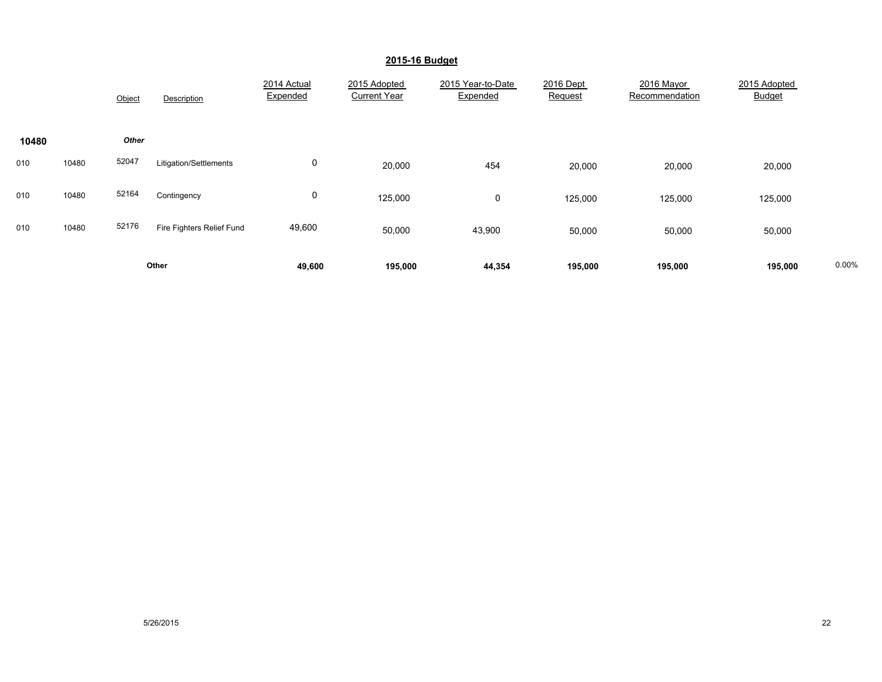|       |       | Object | Description               | 2014 Actual<br>Expended | 2015 Adopted<br><b>Current Year</b> | 2015 Year-to-Date<br>Expended | 2016 Dept<br>Request | 2016 Mayor<br>Recommendation | 2015 Adopted<br><b>Budget</b> |       |
|-------|-------|--------|---------------------------|-------------------------|-------------------------------------|-------------------------------|----------------------|------------------------------|-------------------------------|-------|
| 10480 |       | Other  |                           |                         |                                     |                               |                      |                              |                               |       |
| 010   | 10480 | 52047  | Litigation/Settlements    | 0                       | 20,000                              | 454                           | 20,000               | 20,000                       | 20,000                        |       |
| 010   | 10480 | 52164  | Contingency               | 0                       | 125,000                             | 0                             | 125,000              | 125,000                      | 125,000                       |       |
| 010   | 10480 | 52176  | Fire Fighters Relief Fund | 49,600                  | 50,000                              | 43,900                        | 50,000               | 50,000                       | 50,000                        |       |
|       | Other |        |                           | 49,600                  | 195,000                             | 44,354                        | 195,000              | 195,000                      | 195,000                       | 0.00% |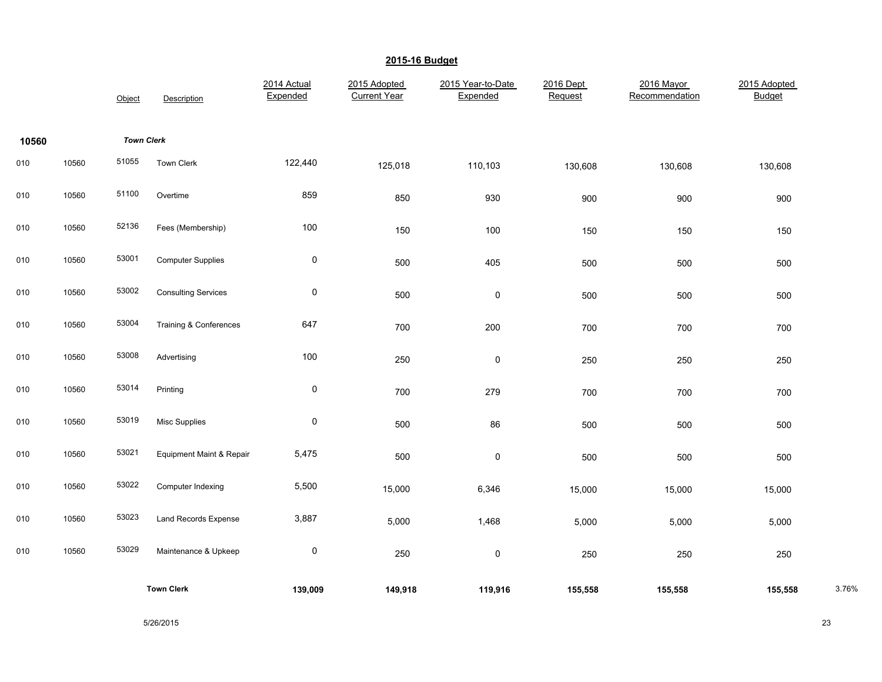|       |       | Object            | Description                       | 2014 Actual<br>Expended | 2015 Adopted<br><b>Current Year</b> | 2015 Year-to-Date<br>Expended | 2016 Dept<br>Request | 2016 Mayor<br>Recommendation | 2015 Adopted<br><b>Budget</b> |       |
|-------|-------|-------------------|-----------------------------------|-------------------------|-------------------------------------|-------------------------------|----------------------|------------------------------|-------------------------------|-------|
| 10560 |       | <b>Town Clerk</b> |                                   |                         |                                     |                               |                      |                              |                               |       |
| 010   | 10560 | 51055             | Town Clerk                        | 122,440                 | 125,018                             | 110,103                       | 130,608              | 130,608                      | 130,608                       |       |
| 010   | 10560 | 51100             | Overtime                          | 859                     | 850                                 | 930                           | 900                  | 900                          | 900                           |       |
| 010   | 10560 | 52136             | Fees (Membership)                 | 100                     | 150                                 | 100                           | 150                  | 150                          | 150                           |       |
| 010   | 10560 | 53001             | <b>Computer Supplies</b>          | $\pmb{0}$               | 500                                 | 405                           | 500                  | 500                          | 500                           |       |
| 010   | 10560 | 53002             | <b>Consulting Services</b>        | $\pmb{0}$               | 500                                 | $\mathsf 0$                   | 500                  | 500                          | 500                           |       |
| 010   | 10560 | 53004             | <b>Training &amp; Conferences</b> | 647                     | 700                                 | 200                           | 700                  | 700                          | 700                           |       |
| 010   | 10560 | 53008             | Advertising                       | 100                     | 250                                 | $\mathsf 0$                   | 250                  | 250                          | 250                           |       |
| 010   | 10560 | 53014             | Printing                          | $\pmb{0}$               | 700                                 | 279                           | 700                  | 700                          | 700                           |       |
| 010   | 10560 | 53019             | Misc Supplies                     | $\pmb{0}$               | 500                                 | 86                            | 500                  | 500                          | 500                           |       |
| 010   | 10560 | 53021             | Equipment Maint & Repair          | 5,475                   | 500                                 | $\mathsf 0$                   | 500                  | 500                          | 500                           |       |
| 010   | 10560 | 53022             | Computer Indexing                 | 5,500                   | 15,000                              | 6,346                         | 15,000               | 15,000                       | 15,000                        |       |
| 010   | 10560 | 53023             | Land Records Expense              | 3,887                   | 5,000                               | 1,468                         | 5,000                | 5,000                        | 5,000                         |       |
| 010   | 10560 | 53029             | Maintenance & Upkeep              | $\pmb{0}$               | 250                                 | $\mathsf{O}\xspace$           | 250                  | 250                          | 250                           |       |
|       |       |                   | <b>Town Clerk</b>                 | 139,009                 | 149,918                             | 119,916                       | 155,558              | 155,558                      | 155,558                       | 3.76% |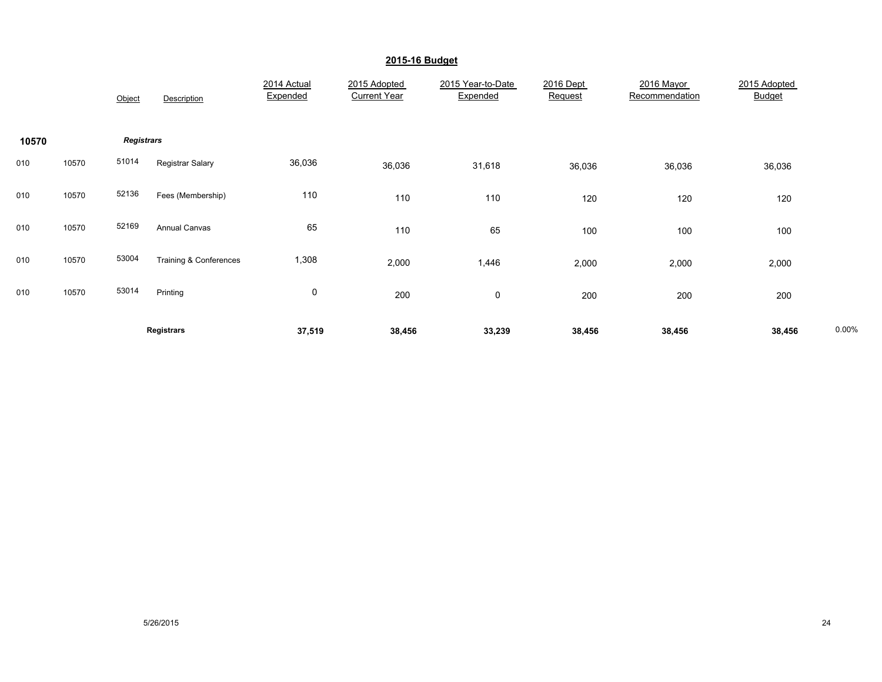|       |       | Object            | Description            | 2014 Actual<br>Expended | 2015 Adopted<br><b>Current Year</b> | 2015 Year-to-Date<br>Expended | 2016 Dept<br>Request | 2016 Mayor<br>Recommendation | 2015 Adopted<br><b>Budget</b> |       |
|-------|-------|-------------------|------------------------|-------------------------|-------------------------------------|-------------------------------|----------------------|------------------------------|-------------------------------|-------|
| 10570 |       | <b>Registrars</b> |                        |                         |                                     |                               |                      |                              |                               |       |
| 010   | 10570 | 51014             | Registrar Salary       | 36,036                  | 36,036                              | 31,618                        | 36,036               | 36,036                       | 36,036                        |       |
| 010   | 10570 | 52136             | Fees (Membership)      | 110                     | 110                                 | 110                           | 120                  | 120                          | 120                           |       |
| 010   | 10570 | 52169             | <b>Annual Canvas</b>   | 65                      | 110                                 | 65                            | 100                  | 100                          | 100                           |       |
| 010   | 10570 | 53004             | Training & Conferences | 1,308                   | 2,000                               | 1,446                         | 2,000                | 2,000                        | 2,000                         |       |
| 010   | 10570 | 53014             | Printing               | 0                       | 200                                 | 0                             | 200                  | 200                          | 200                           |       |
|       |       |                   | <b>Registrars</b>      | 37,519                  | 38,456                              | 33,239                        | 38,456               | 38,456                       | 38,456                        | 0.00% |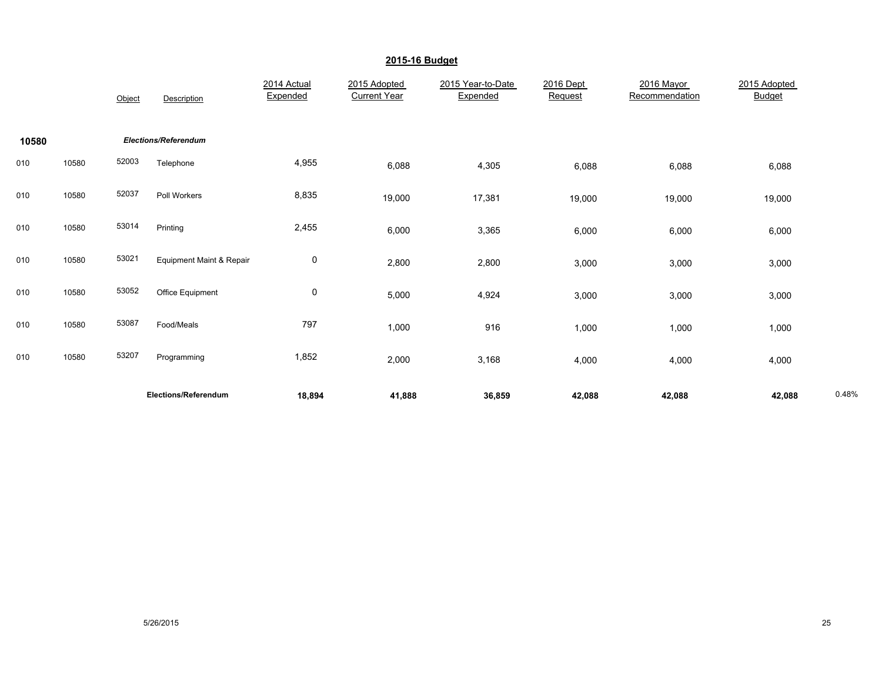|       |       | Object | Description                         | 2014 Actual<br>Expended | 2015 Adopted<br><b>Current Year</b> | 2015 Year-to-Date<br>Expended | 2016 Dept<br>Request | 2016 Mayor<br>Recommendation | 2015 Adopted<br><b>Budget</b> |       |
|-------|-------|--------|-------------------------------------|-------------------------|-------------------------------------|-------------------------------|----------------------|------------------------------|-------------------------------|-------|
| 10580 |       |        | <b>Elections/Referendum</b>         |                         |                                     |                               |                      |                              |                               |       |
| 010   | 10580 | 52003  | Telephone                           | 4,955                   | 6,088                               | 4,305                         | 6,088                | 6,088                        | 6,088                         |       |
| 010   | 10580 | 52037  | Poll Workers                        | 8,835                   | 19,000                              | 17,381                        | 19,000               | 19,000                       | 19,000                        |       |
| 010   | 10580 | 53014  | Printing                            | 2,455                   | 6,000                               | 3,365                         | 6,000                | 6,000                        | 6,000                         |       |
| 010   | 10580 | 53021  | <b>Equipment Maint &amp; Repair</b> | $\pmb{0}$               | 2,800                               | 2,800                         | 3,000                | 3,000                        | 3,000                         |       |
| 010   | 10580 | 53052  | Office Equipment                    | 0                       | 5,000                               | 4,924                         | 3,000                | 3,000                        | 3,000                         |       |
| 010   | 10580 | 53087  | Food/Meals                          | 797                     | 1,000                               | 916                           | 1,000                | 1,000                        | 1,000                         |       |
| 010   | 10580 | 53207  | Programming                         | 1,852                   | 2,000                               | 3,168                         | 4,000                | 4,000                        | 4,000                         |       |
|       |       |        | Elections/Referendum                | 18,894                  | 41,888                              | 36,859                        | 42,088               | 42,088                       | 42,088                        | 0.48% |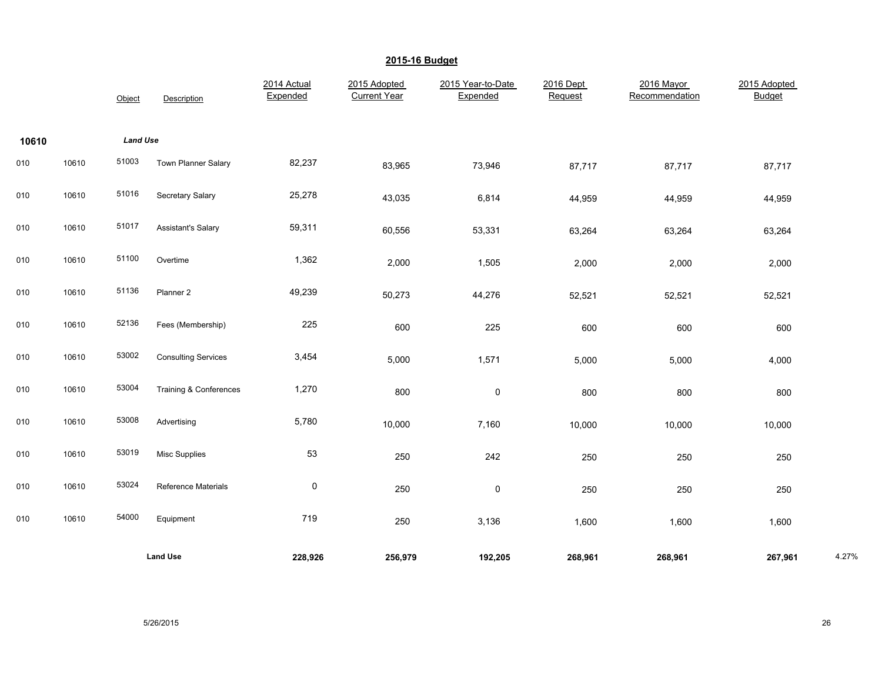|       |       | Object          | Description                | 2014 Actual<br>Expended | 2015 Adopted<br><b>Current Year</b> | 2015 Year-to-Date<br>Expended | 2016 Dept<br>Request | 2016 Mayor<br>Recommendation | 2015 Adopted<br><b>Budget</b> |       |
|-------|-------|-----------------|----------------------------|-------------------------|-------------------------------------|-------------------------------|----------------------|------------------------------|-------------------------------|-------|
| 10610 |       | <b>Land Use</b> |                            |                         |                                     |                               |                      |                              |                               |       |
| 010   | 10610 | 51003           | <b>Town Planner Salary</b> | 82,237                  | 83,965                              | 73,946                        | 87,717               | 87,717                       | 87,717                        |       |
| 010   | 10610 | 51016           | Secretary Salary           | 25,278                  | 43,035                              | 6,814                         | 44,959               | 44,959                       | 44,959                        |       |
| 010   | 10610 | 51017           | <b>Assistant's Salary</b>  | 59,311                  | 60,556                              | 53,331                        | 63,264               | 63,264                       | 63,264                        |       |
| 010   | 10610 | 51100           | Overtime                   | 1,362                   | 2,000                               | 1,505                         | 2,000                | 2,000                        | 2,000                         |       |
| 010   | 10610 | 51136           | Planner 2                  | 49,239                  | 50,273                              | 44,276                        | 52,521               | 52,521                       | 52,521                        |       |
| 010   | 10610 | 52136           | Fees (Membership)          | 225                     | 600                                 | 225                           | 600                  | 600                          | 600                           |       |
| 010   | 10610 | 53002           | <b>Consulting Services</b> | 3,454                   | 5,000                               | 1,571                         | 5,000                | 5,000                        | 4,000                         |       |
| 010   | 10610 | 53004           | Training & Conferences     | 1,270                   | 800                                 | 0                             | 800                  | 800                          | 800                           |       |
| 010   | 10610 | 53008           | Advertising                | 5,780                   | 10,000                              | 7,160                         | 10,000               | 10,000                       | 10,000                        |       |
| 010   | 10610 | 53019           | <b>Misc Supplies</b>       | 53                      | 250                                 | 242                           | 250                  | 250                          | 250                           |       |
| 010   | 10610 | 53024           | Reference Materials        | 0                       | 250                                 | 0                             | 250                  | 250                          | 250                           |       |
| 010   | 10610 | 54000           | Equipment                  | 719                     | 250                                 | 3,136                         | 1,600                | 1,600                        | 1,600                         |       |
|       |       |                 | <b>Land Use</b>            | 228,926                 | 256,979                             | 192,205                       | 268,961              | 268,961                      | 267,961                       | 4.27% |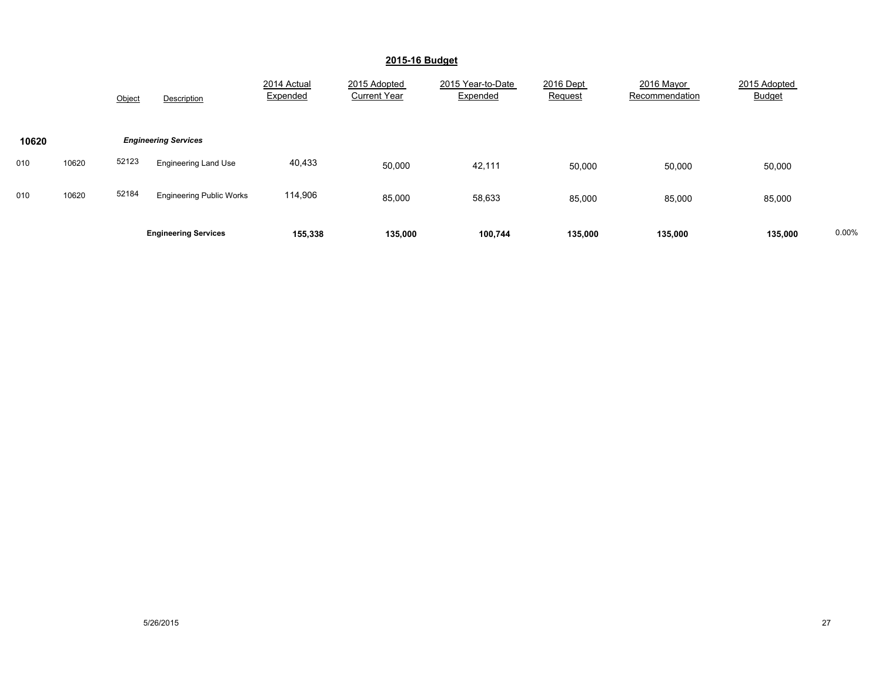|       |       | Object | Description                     | 2014 Actual<br>Expended | 2015 Adopted<br><b>Current Year</b> | 2015 Year-to-Date<br>Expended | 2016 Dept<br>Request | 2016 Mayor<br>Recommendation | 2015 Adopted<br><b>Budget</b> |       |
|-------|-------|--------|---------------------------------|-------------------------|-------------------------------------|-------------------------------|----------------------|------------------------------|-------------------------------|-------|
| 10620 |       |        | <b>Engineering Services</b>     |                         |                                     |                               |                      |                              |                               |       |
| 010   | 10620 | 52123  | <b>Engineering Land Use</b>     | 40,433                  | 50,000                              | 42,111                        | 50,000               | 50,000                       | 50,000                        |       |
| 010   | 10620 | 52184  | <b>Engineering Public Works</b> | 114,906                 | 85,000                              | 58,633                        | 85,000               | 85,000                       | 85,000                        |       |
|       |       |        | <b>Engineering Services</b>     | 155,338                 | 135,000                             | 100,744                       | 135,000              | 135,000                      | 135,000                       | 0.00% |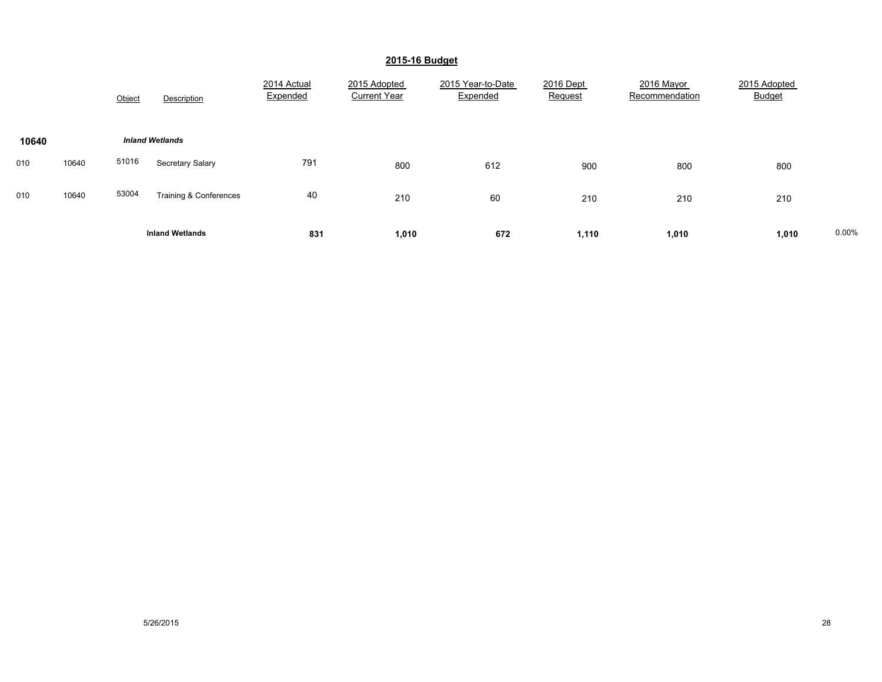|       |                        | Object | Description            | 2014 Actual<br>Expended | 2015 Adopted<br><b>Current Year</b> | 2015 Year-to-Date<br>Expended | 2016 Dept<br>Request | 2016 Mayor<br>Recommendation | 2015 Adopted<br><b>Budget</b> |       |
|-------|------------------------|--------|------------------------|-------------------------|-------------------------------------|-------------------------------|----------------------|------------------------------|-------------------------------|-------|
| 10640 | <b>Inland Wetlands</b> |        |                        |                         |                                     |                               |                      |                              |                               |       |
| 010   | 10640                  | 51016  | Secretary Salary       | 791                     | 800                                 | 612                           | 900                  | 800                          | 800                           |       |
| 010   | 10640                  | 53004  | Training & Conferences | 40                      | 210                                 | 60                            | 210                  | 210                          | 210                           |       |
|       |                        |        | <b>Inland Wetlands</b> | 831                     | 1,010                               | 672                           | 1,110                | 1,010                        | 1,010                         | 0.00% |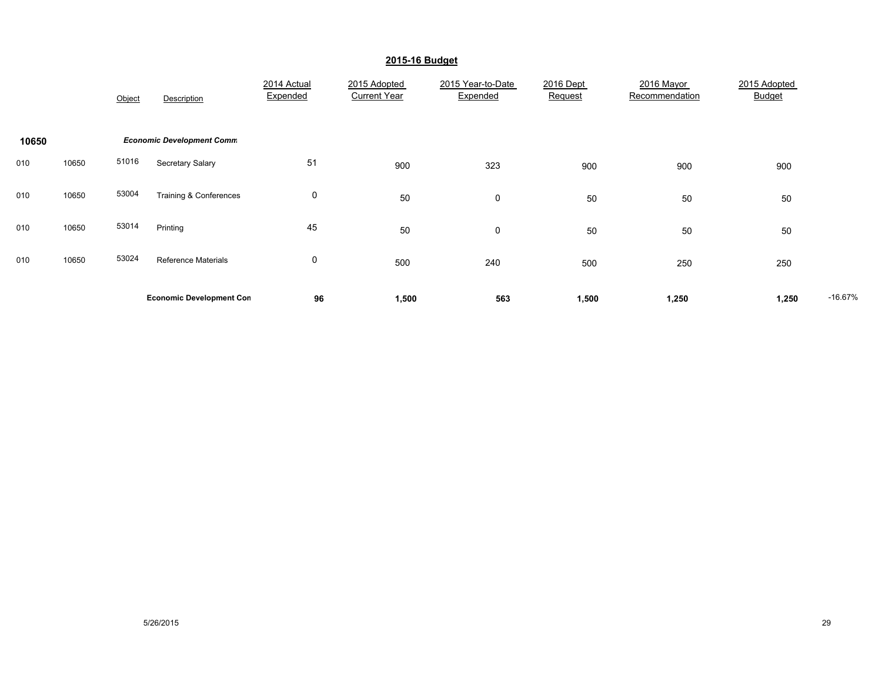|       |       | Object | Description                      | 2014 Actual<br>Expended | 2015 Adopted<br><b>Current Year</b> | 2015 Year-to-Date<br>Expended | 2016 Dept<br>Request | 2016 Mayor<br>Recommendation | 2015 Adopted<br>Budget |           |
|-------|-------|--------|----------------------------------|-------------------------|-------------------------------------|-------------------------------|----------------------|------------------------------|------------------------|-----------|
| 10650 |       |        | <b>Economic Development Comm</b> |                         |                                     |                               |                      |                              |                        |           |
| 010   | 10650 | 51016  | Secretary Salary                 | 51                      | 900                                 | 323                           | 900                  | 900                          | 900                    |           |
| 010   | 10650 | 53004  | Training & Conferences           | 0                       | 50                                  | $\mathbf 0$                   | 50                   | 50                           | 50                     |           |
| 010   | 10650 | 53014  | Printing                         | 45                      | 50                                  | $\mathbf 0$                   | 50                   | 50                           | 50                     |           |
| 010   | 10650 | 53024  | <b>Reference Materials</b>       | 0                       | 500                                 | 240                           | 500                  | 250                          | 250                    |           |
|       |       |        | <b>Economic Development Con</b>  | 96                      | 1,500                               | 563                           | 1,500                | 1,250                        | 1,250                  | $-16.67%$ |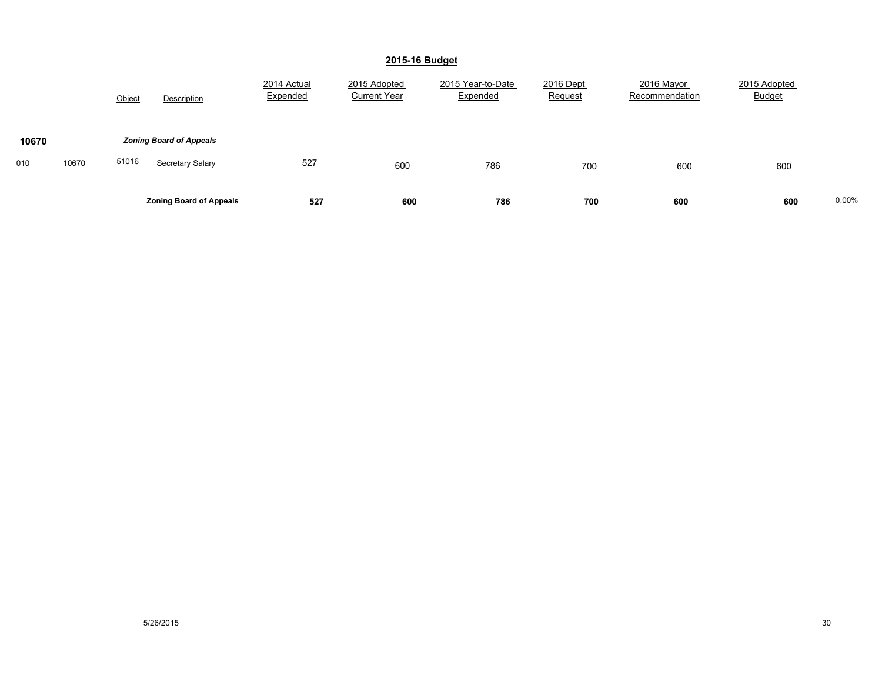|                       | Object<br>Description                                       | 2014 Actual<br>Expended | 2015 Adopted<br><b>Current Year</b> | 2015 Year-to-Date<br>Expended | 2016 Dept<br>Request | 2016 Mayor<br>Recommendation | 2015 Adopted<br><b>Budget</b> |       |
|-----------------------|-------------------------------------------------------------|-------------------------|-------------------------------------|-------------------------------|----------------------|------------------------------|-------------------------------|-------|
| 10670<br>10670<br>010 | <b>Zoning Board of Appeals</b><br>51016<br>Secretary Salary | 527                     | 600                                 | 786                           | 700                  | 600                          | 600                           |       |
|                       | <b>Zoning Board of Appeals</b>                              | 527                     | 600                                 | 786                           | 700                  | 600                          | 600                           | 0.00% |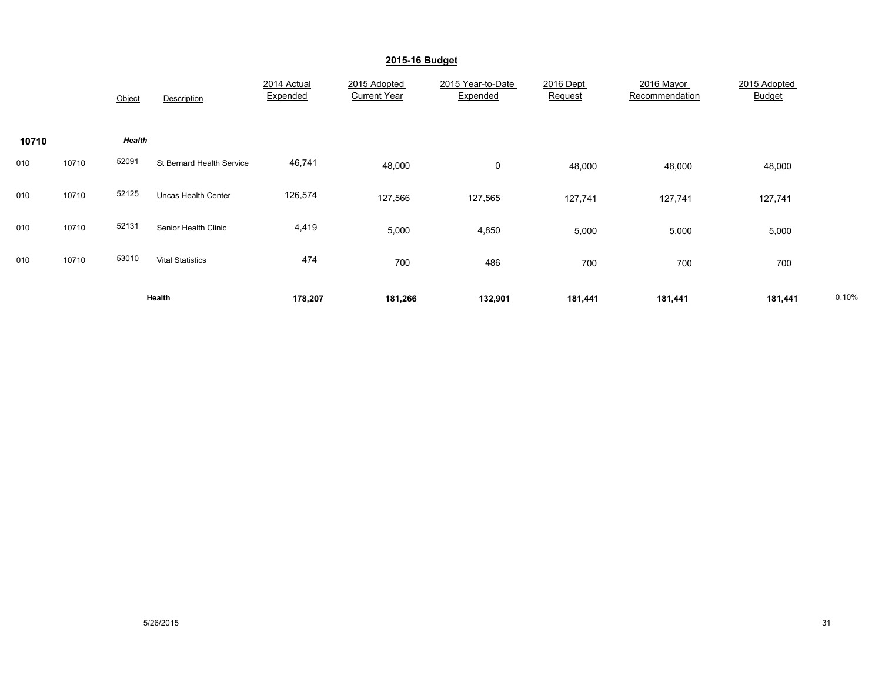|       |       | Object | Description               | 2014 Actual<br>Expended | 2015 Adopted<br><b>Current Year</b> | 2015 Year-to-Date<br>Expended | 2016 Dept<br>Request | 2016 Mayor<br>Recommendation | 2015 Adopted<br>Budget |       |
|-------|-------|--------|---------------------------|-------------------------|-------------------------------------|-------------------------------|----------------------|------------------------------|------------------------|-------|
| 10710 |       | Health |                           |                         |                                     |                               |                      |                              |                        |       |
| 010   | 10710 | 52091  | St Bernard Health Service | 46,741                  | 48,000                              | $\mathbf 0$                   | 48,000               | 48,000                       | 48,000                 |       |
| 010   | 10710 | 52125  | Uncas Health Center       | 126,574                 | 127,566                             | 127,565                       | 127,741              | 127,741                      | 127,741                |       |
| 010   | 10710 | 52131  | Senior Health Clinic      | 4,419                   | 5,000                               | 4,850                         | 5,000                | 5,000                        | 5,000                  |       |
| 010   | 10710 | 53010  | <b>Vital Statistics</b>   | 474                     | 700                                 | 486                           | 700                  | 700                          | 700                    |       |
|       |       |        | Health                    | 178,207                 | 181,266                             | 132,901                       | 181,441              | 181,441                      | 181,441                | 0.10% |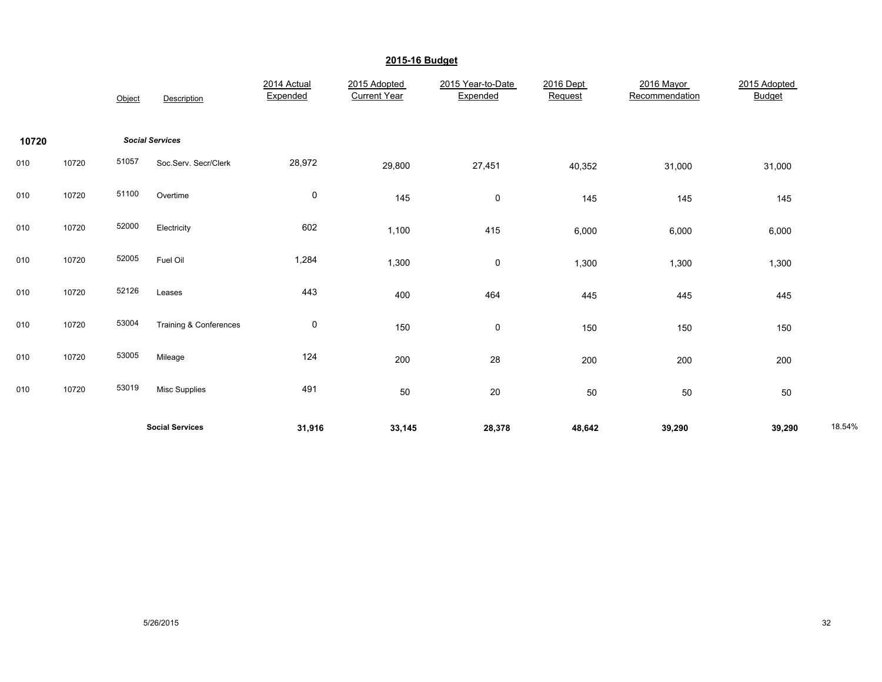|       |       | Object | Description            | 2014 Actual<br>Expended | 2015 Adopted<br><b>Current Year</b> | 2015 Year-to-Date<br>Expended | 2016 Dept<br>Request | 2016 Mayor<br>Recommendation | 2015 Adopted<br><b>Budget</b> |        |
|-------|-------|--------|------------------------|-------------------------|-------------------------------------|-------------------------------|----------------------|------------------------------|-------------------------------|--------|
| 10720 |       |        | <b>Social Services</b> |                         |                                     |                               |                      |                              |                               |        |
| 010   | 10720 | 51057  | Soc.Serv. Secr/Clerk   | 28,972                  | 29,800                              | 27,451                        | 40,352               | 31,000                       | 31,000                        |        |
| 010   | 10720 | 51100  | Overtime               | $\pmb{0}$               | 145                                 | 0                             | 145                  | 145                          | 145                           |        |
| 010   | 10720 | 52000  | Electricity            | 602                     | 1,100                               | 415                           | 6,000                | 6,000                        | 6,000                         |        |
| 010   | 10720 | 52005  | Fuel Oil               | 1,284                   | 1,300                               | 0                             | 1,300                | 1,300                        | 1,300                         |        |
| 010   | 10720 | 52126  | Leases                 | 443                     | 400                                 | 464                           | 445                  | 445                          | 445                           |        |
| 010   | 10720 | 53004  | Training & Conferences | $\mathbf 0$             | 150                                 | 0                             | 150                  | 150                          | 150                           |        |
| 010   | 10720 | 53005  | Mileage                | 124                     | 200                                 | 28                            | 200                  | 200                          | 200                           |        |
| 010   | 10720 | 53019  | <b>Misc Supplies</b>   | 491                     | 50                                  | 20                            | 50                   | 50                           | 50                            |        |
|       |       |        | <b>Social Services</b> | 31,916                  | 33,145                              | 28,378                        | 48,642               | 39,290                       | 39,290                        | 18.54% |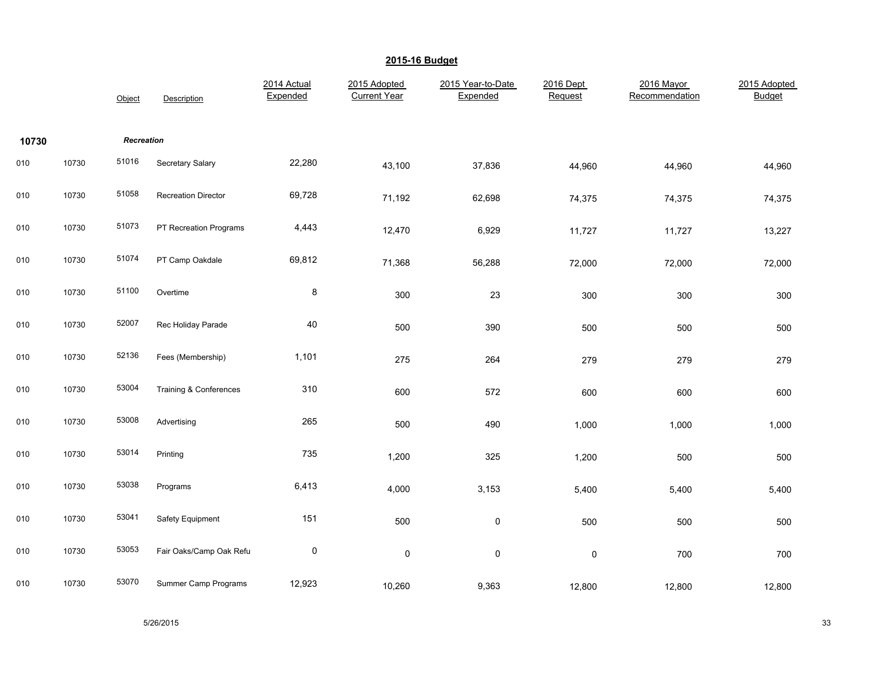|       |       | Object     | Description                | 2014 Actual<br>Expended | 2015 Adopted<br><b>Current Year</b> | 2015 Year-to-Date<br>Expended | 2016 Dept<br>Request | 2016 Mayor<br>Recommendation | 2015 Adopted<br><b>Budget</b> |
|-------|-------|------------|----------------------------|-------------------------|-------------------------------------|-------------------------------|----------------------|------------------------------|-------------------------------|
| 10730 |       | Recreation |                            |                         |                                     |                               |                      |                              |                               |
| 010   | 10730 | 51016      | Secretary Salary           | 22,280                  | 43,100                              | 37,836                        | 44,960               | 44,960                       | 44,960                        |
| 010   | 10730 | 51058      | <b>Recreation Director</b> | 69,728                  | 71,192                              | 62,698                        | 74,375               | 74,375                       | 74,375                        |
| 010   | 10730 | 51073      | PT Recreation Programs     | 4,443                   | 12,470                              | 6,929                         | 11,727               | 11,727                       | 13,227                        |
| 010   | 10730 | 51074      | PT Camp Oakdale            | 69,812                  | 71,368                              | 56,288                        | 72,000               | 72,000                       | 72,000                        |
| 010   | 10730 | 51100      | Overtime                   | $\bf 8$                 | 300                                 | 23                            | 300                  | 300                          | 300                           |
| 010   | 10730 | 52007      | Rec Holiday Parade         | 40                      | 500                                 | 390                           | 500                  | 500                          | 500                           |
| 010   | 10730 | 52136      | Fees (Membership)          | 1,101                   | 275                                 | 264                           | 279                  | 279                          | 279                           |
| 010   | 10730 | 53004      | Training & Conferences     | 310                     | 600                                 | 572                           | 600                  | 600                          | 600                           |
| 010   | 10730 | 53008      | Advertising                | 265                     | 500                                 | 490                           | 1,000                | 1,000                        | 1,000                         |
| 010   | 10730 | 53014      | Printing                   | 735                     | 1,200                               | 325                           | 1,200                | 500                          | 500                           |
| 010   | 10730 | 53038      | Programs                   | 6,413                   | 4,000                               | 3,153                         | 5,400                | 5,400                        | 5,400                         |
| 010   | 10730 | 53041      | Safety Equipment           | 151                     | 500                                 | $\pmb{0}$                     | 500                  | 500                          | 500                           |
| 010   | 10730 | 53053      | Fair Oaks/Camp Oak Refu    | $\pmb{0}$               | 0                                   | $\pmb{0}$                     | $\pmb{0}$            | 700                          | 700                           |
| 010   | 10730 | 53070      | Summer Camp Programs       | 12,923                  | 10,260                              | 9,363                         | 12,800               | 12,800                       | 12,800                        |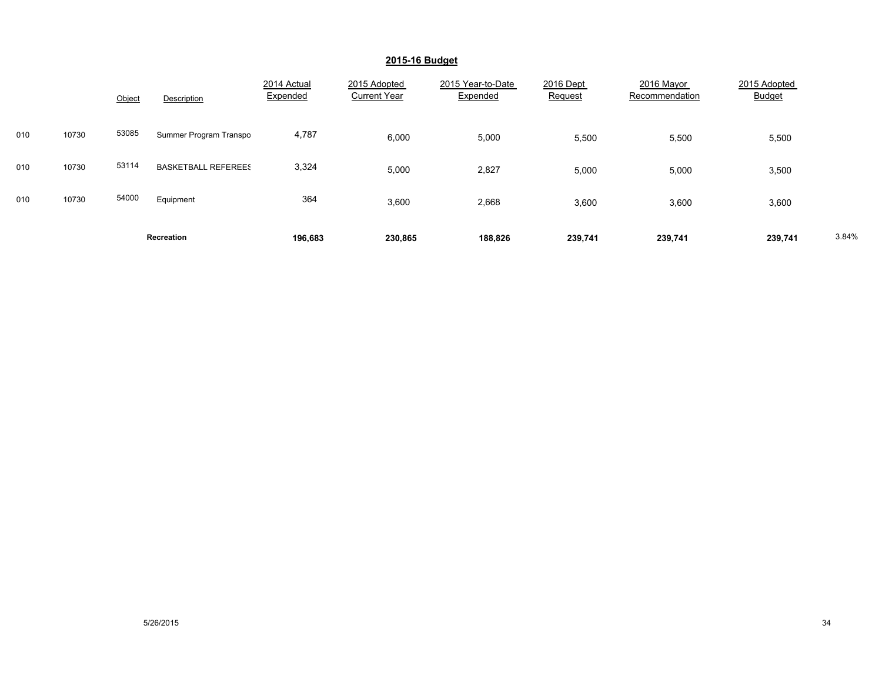|     |       | Object             | Description                | 2014 Actual<br>Expended | 2015 Adopted<br><b>Current Year</b> | 2015 Year-to-Date<br>Expended | 2016 Dept<br>Request | 2016 Mayor<br>Recommendation | 2015 Adopted<br><b>Budget</b> |       |
|-----|-------|--------------------|----------------------------|-------------------------|-------------------------------------|-------------------------------|----------------------|------------------------------|-------------------------------|-------|
| 010 | 10730 | 53085              | Summer Program Transpo     | 4,787                   | 6,000                               | 5,000                         | 5,500                | 5,500                        | 5,500                         |       |
| 010 | 10730 | 53114              | <b>BASKETBALL REFEREES</b> | 3,324                   | 5,000                               | 2,827                         | 5,000                | 5,000                        | 3,500                         |       |
| 010 | 10730 | 54000<br>Equipment |                            | 364                     | 3,600                               | 2,668                         | 3,600                | 3,600                        | 3,600                         |       |
|     |       | Recreation         |                            | 196,683                 | 230,865                             | 188,826                       | 239,741              | 239,741                      | 239,741                       | 3.84% |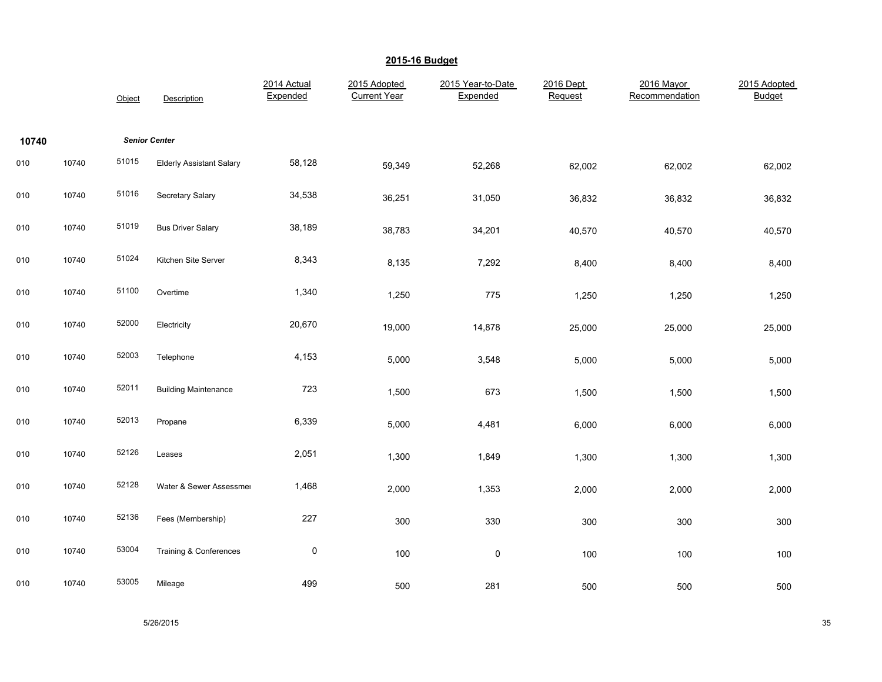|       |       | Object | Description                     | 2014 Actual<br>Expended | 2015 Adopted<br><b>Current Year</b> | 2015 Year-to-Date<br>Expended | 2016 Dept<br>Request | 2016 Mayor<br>Recommendation | 2015 Adopted<br><b>Budget</b> |
|-------|-------|--------|---------------------------------|-------------------------|-------------------------------------|-------------------------------|----------------------|------------------------------|-------------------------------|
| 10740 |       |        | <b>Senior Center</b>            |                         |                                     |                               |                      |                              |                               |
| 010   | 10740 | 51015  | <b>Elderly Assistant Salary</b> | 58,128                  | 59,349                              | 52,268                        | 62,002               | 62,002                       | 62,002                        |
| 010   | 10740 | 51016  | Secretary Salary                | 34,538                  | 36,251                              | 31,050                        | 36,832               | 36,832                       | 36,832                        |
| 010   | 10740 | 51019  | <b>Bus Driver Salary</b>        | 38,189                  | 38,783                              | 34,201                        | 40,570               | 40,570                       | 40,570                        |
| 010   | 10740 | 51024  | Kitchen Site Server             | 8,343                   | 8,135                               | 7,292                         | 8,400                | 8,400                        | 8,400                         |
| 010   | 10740 | 51100  | Overtime                        | 1,340                   | 1,250                               | 775                           | 1,250                | 1,250                        | 1,250                         |
| 010   | 10740 | 52000  | Electricity                     | 20,670                  | 19,000                              | 14,878                        | 25,000               | 25,000                       | 25,000                        |
| 010   | 10740 | 52003  | Telephone                       | 4,153                   | 5,000                               | 3,548                         | 5,000                | 5,000                        | 5,000                         |
| 010   | 10740 | 52011  | <b>Building Maintenance</b>     | 723                     | 1,500                               | 673                           | 1,500                | 1,500                        | 1,500                         |
| 010   | 10740 | 52013  | Propane                         | 6,339                   | 5,000                               | 4,481                         | 6,000                | 6,000                        | 6,000                         |
| 010   | 10740 | 52126  | Leases                          | 2,051                   | 1,300                               | 1,849                         | 1,300                | 1,300                        | 1,300                         |
| 010   | 10740 | 52128  | Water & Sewer Assessmer         | 1,468                   | 2,000                               | 1,353                         | 2,000                | 2,000                        | 2,000                         |
| 010   | 10740 | 52136  | Fees (Membership)               | 227                     | 300                                 | 330                           | 300                  | 300                          | 300                           |
| 010   | 10740 | 53004  | Training & Conferences          | $\pmb{0}$               | 100                                 | $\pmb{0}$                     | 100                  | 100                          | 100                           |
| 010   | 10740 | 53005  | Mileage                         | 499                     | 500                                 | 281                           | 500                  | 500                          | 500                           |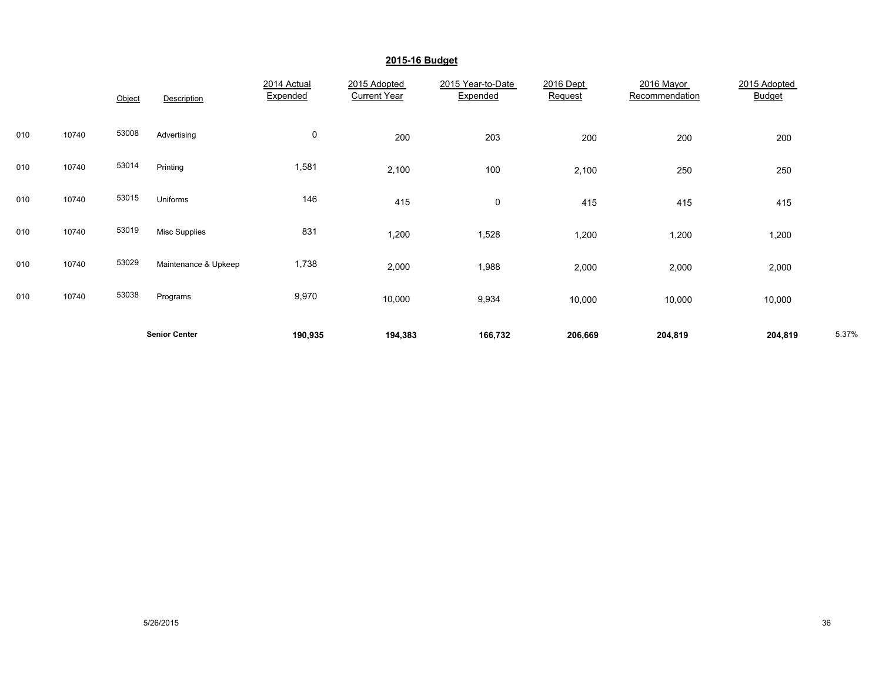|     |       | Object | Description          | 2014 Actual<br>Expended | 2015 Adopted<br><b>Current Year</b> | 2015 Year-to-Date<br>Expended | 2016 Dept<br>Request | 2016 Mayor<br>Recommendation | 2015 Adopted<br><b>Budget</b> |       |
|-----|-------|--------|----------------------|-------------------------|-------------------------------------|-------------------------------|----------------------|------------------------------|-------------------------------|-------|
| 010 | 10740 | 53008  | Advertising          | $\mathbf 0$             | 200                                 | 203                           | 200                  | 200                          | 200                           |       |
| 010 | 10740 | 53014  | Printing             | 1,581                   | 2,100                               | 100                           | 2,100                | 250                          | 250                           |       |
| 010 | 10740 | 53015  | Uniforms             | 146                     | 415                                 | 0                             | 415                  | 415                          | 415                           |       |
| 010 | 10740 | 53019  | <b>Misc Supplies</b> | 831                     | 1,200                               | 1,528                         | 1,200                | 1,200                        | 1,200                         |       |
| 010 | 10740 | 53029  | Maintenance & Upkeep | 1,738                   | 2,000                               | 1,988                         | 2,000                | 2,000                        | 2,000                         |       |
| 010 | 10740 | 53038  | Programs             | 9,970                   | 10,000                              | 9,934                         | 10,000               | 10,000                       | 10,000                        |       |
|     |       |        | <b>Senior Center</b> | 190,935                 | 194,383                             | 166,732                       | 206,669              | 204,819                      | 204,819                       | 5.37% |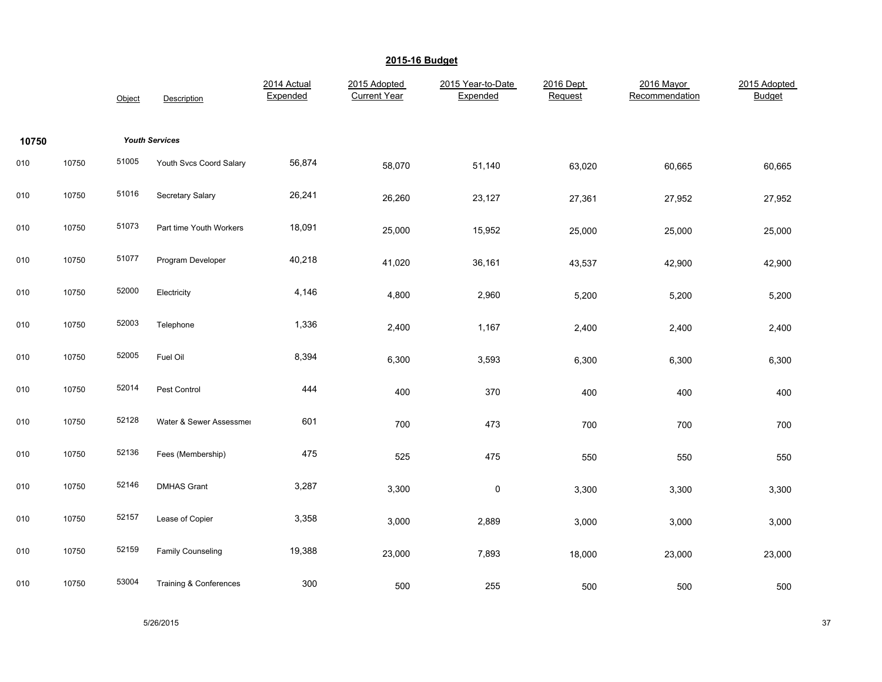|       |       | Object | Description             | 2014 Actual<br>Expended | 2015 Adopted<br><b>Current Year</b> | 2015 Year-to-Date<br>Expended | 2016 Dept<br>Request | 2016 Mayor<br>Recommendation | 2015 Adopted<br><b>Budget</b> |
|-------|-------|--------|-------------------------|-------------------------|-------------------------------------|-------------------------------|----------------------|------------------------------|-------------------------------|
| 10750 |       |        | <b>Youth Services</b>   |                         |                                     |                               |                      |                              |                               |
| 010   | 10750 | 51005  | Youth Svcs Coord Salary | 56,874                  | 58,070                              | 51,140                        | 63,020               | 60,665                       | 60,665                        |
| 010   | 10750 | 51016  | Secretary Salary        | 26,241                  | 26,260                              | 23,127                        | 27,361               | 27,952                       | 27,952                        |
| 010   | 10750 | 51073  | Part time Youth Workers | 18,091                  | 25,000                              | 15,952                        | 25,000               | 25,000                       | 25,000                        |
| 010   | 10750 | 51077  | Program Developer       | 40,218                  | 41,020                              | 36,161                        | 43,537               | 42,900                       | 42,900                        |
| 010   | 10750 | 52000  | Electricity             | 4,146                   | 4,800                               | 2,960                         | 5,200                | 5,200                        | 5,200                         |
| 010   | 10750 | 52003  | Telephone               | 1,336                   | 2,400                               | 1,167                         | 2,400                | 2,400                        | 2,400                         |
| 010   | 10750 | 52005  | Fuel Oil                | 8,394                   | 6,300                               | 3,593                         | 6,300                | 6,300                        | 6,300                         |
| 010   | 10750 | 52014  | Pest Control            | 444                     | 400                                 | 370                           | 400                  | 400                          | 400                           |
| 010   | 10750 | 52128  | Water & Sewer Assessmer | 601                     | 700                                 | 473                           | 700                  | 700                          | 700                           |
| 010   | 10750 | 52136  | Fees (Membership)       | 475                     | 525                                 | 475                           | 550                  | 550                          | 550                           |
| 010   | 10750 | 52146  | <b>DMHAS Grant</b>      | 3,287                   | 3,300                               | $\pmb{0}$                     | 3,300                | 3,300                        | 3,300                         |
| 010   | 10750 | 52157  | Lease of Copier         | 3,358                   | 3,000                               | 2,889                         | 3,000                | 3,000                        | 3,000                         |
| 010   | 10750 | 52159  | Family Counseling       | 19,388                  | 23,000                              | 7,893                         | 18,000               | 23,000                       | 23,000                        |
| 010   | 10750 | 53004  | Training & Conferences  | 300                     | 500                                 | 255                           | 500                  | 500                          | 500                           |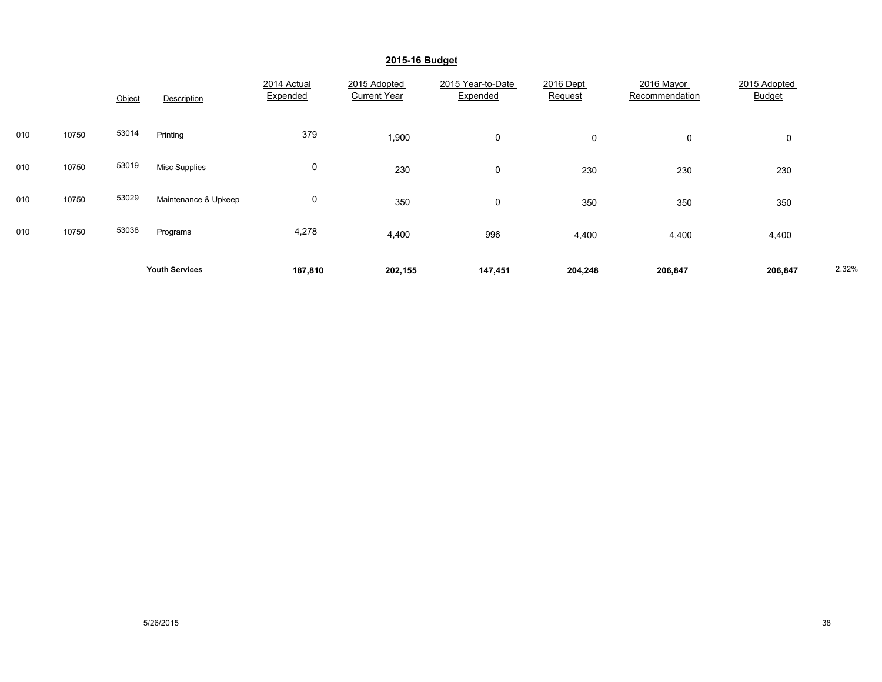|     |       | Object | Description           | 2014 Actual<br>Expended | 2015 Adopted<br><b>Current Year</b> | 2015 Year-to-Date<br>Expended | 2016 Dept<br>Request | 2016 Mayor<br>Recommendation | 2015 Adopted<br><b>Budget</b> |       |
|-----|-------|--------|-----------------------|-------------------------|-------------------------------------|-------------------------------|----------------------|------------------------------|-------------------------------|-------|
| 010 | 10750 | 53014  | Printing              | 379                     | 1,900                               | $\mathbf 0$                   | 0                    | 0                            | 0                             |       |
| 010 | 10750 | 53019  | <b>Misc Supplies</b>  | 0                       | 230                                 | $\mathbf 0$                   | 230                  | 230                          | 230                           |       |
| 010 | 10750 | 53029  | Maintenance & Upkeep  | 0                       | 350                                 | $\mathbf 0$                   | 350                  | 350                          | 350                           |       |
| 010 | 10750 | 53038  | Programs              | 4,278                   | 4,400                               | 996                           | 4,400                | 4,400                        | 4,400                         |       |
|     |       |        | <b>Youth Services</b> | 187,810                 | 202,155                             | 147,451                       | 204,248              | 206,847                      | 206,847                       | 2.32% |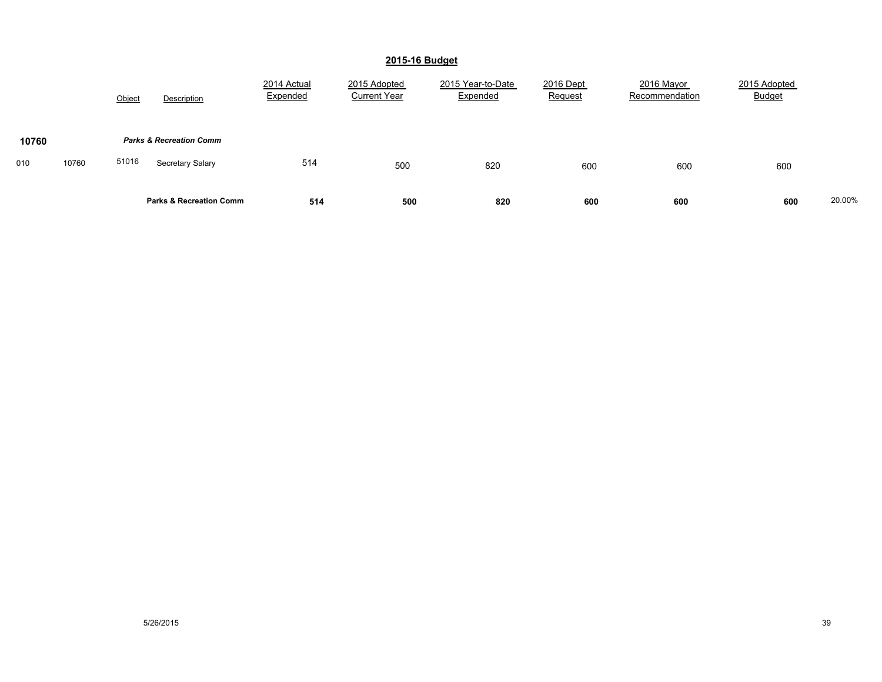|              | Object<br>Description              | 2014 Actual<br>Expended | 2015 Adopted<br><b>Current Year</b> | 2015 Year-to-Date<br>Expended | 2016 Dept<br>Request | 2016 Mayor<br>Recommendation | 2015 Adopted<br><b>Budget</b> |        |
|--------------|------------------------------------|-------------------------|-------------------------------------|-------------------------------|----------------------|------------------------------|-------------------------------|--------|
| 10760        | <b>Parks &amp; Recreation Comm</b> |                         |                                     |                               |                      |                              |                               |        |
| 10760<br>010 | 51016<br>Secretary Salary          | 514                     | 500                                 | 820                           | 600                  | 600                          | 600                           |        |
|              | <b>Parks &amp; Recreation Comm</b> | 514                     | 500                                 | 820                           | 600                  | 600                          | 600                           | 20.00% |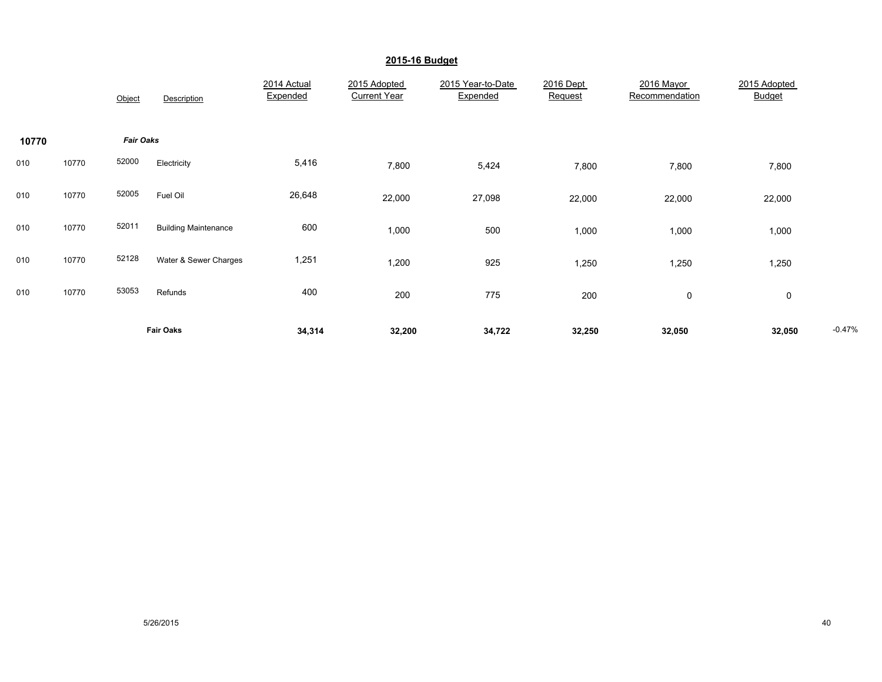|       |       | Object           | Description                 | 2014 Actual<br>Expended | 2015 Adopted<br><b>Current Year</b> | 2015 Year-to-Date<br>Expended | 2016 Dept<br>Request | 2016 Mayor<br>Recommendation | 2015 Adopted<br><b>Budget</b> |          |
|-------|-------|------------------|-----------------------------|-------------------------|-------------------------------------|-------------------------------|----------------------|------------------------------|-------------------------------|----------|
| 10770 |       | <b>Fair Oaks</b> |                             |                         |                                     |                               |                      |                              |                               |          |
| 010   | 10770 | 52000            | Electricity                 | 5,416                   | 7,800                               | 5,424                         | 7,800                | 7,800                        | 7,800                         |          |
| 010   | 10770 | 52005            | Fuel Oil                    | 26,648                  | 22,000                              | 27,098                        | 22,000               | 22,000                       | 22,000                        |          |
| 010   | 10770 | 52011            | <b>Building Maintenance</b> | 600                     | 1,000                               | 500                           | 1,000                | 1,000                        | 1,000                         |          |
| 010   | 10770 | 52128            | Water & Sewer Charges       | 1,251                   | 1,200                               | 925                           | 1,250                | 1,250                        | 1,250                         |          |
| 010   | 10770 | 53053            | Refunds                     | 400                     | 200                                 | 775                           | 200                  | 0                            | $\mathbf 0$                   |          |
|       |       |                  | <b>Fair Oaks</b>            | 34,314                  | 32,200                              | 34,722                        | 32,250               | 32,050                       | 32,050                        | $-0.47%$ |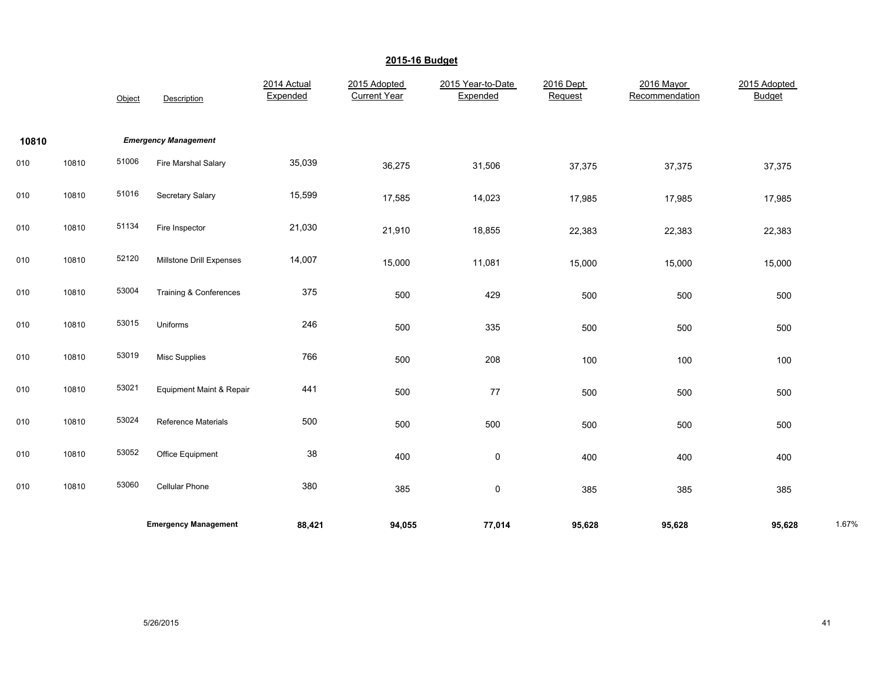|       |       | Object | Description                 | 2014 Actual<br>Expended | 2015 Adopted<br><b>Current Year</b> | 2015 Year-to-Date<br>Expended | 2016 Dept<br>Request | 2016 Mayor<br>Recommendation | 2015 Adopted<br><b>Budget</b> |       |
|-------|-------|--------|-----------------------------|-------------------------|-------------------------------------|-------------------------------|----------------------|------------------------------|-------------------------------|-------|
| 10810 |       |        | <b>Emergency Management</b> |                         |                                     |                               |                      |                              |                               |       |
| 010   | 10810 | 51006  | Fire Marshal Salary         | 35,039                  | 36,275                              | 31,506                        | 37,375               | 37,375                       | 37,375                        |       |
| 010   | 10810 | 51016  | Secretary Salary            | 15,599                  | 17,585                              | 14,023                        | 17,985               | 17,985                       | 17,985                        |       |
| 010   | 10810 | 51134  | Fire Inspector              | 21,030                  | 21,910                              | 18,855                        | 22,383               | 22,383                       | 22,383                        |       |
| 010   | 10810 | 52120  | Millstone Drill Expenses    | 14,007                  | 15,000                              | 11,081                        | 15,000               | 15,000                       | 15,000                        |       |
| 010   | 10810 | 53004  | Training & Conferences      | 375                     | 500                                 | 429                           | 500                  | 500                          | 500                           |       |
| 010   | 10810 | 53015  | Uniforms                    | 246                     | 500                                 | 335                           | 500                  | 500                          | 500                           |       |
| 010   | 10810 | 53019  | <b>Misc Supplies</b>        | 766                     | 500                                 | 208                           | 100                  | 100                          | 100                           |       |
| 010   | 10810 | 53021  | Equipment Maint & Repair    | 441                     | 500                                 | 77                            | 500                  | 500                          | 500                           |       |
| 010   | 10810 | 53024  | Reference Materials         | 500                     | 500                                 | 500                           | 500                  | 500                          | 500                           |       |
| 010   | 10810 | 53052  | Office Equipment            | 38                      | 400                                 | 0                             | 400                  | 400                          | 400                           |       |
| 010   | 10810 | 53060  | <b>Cellular Phone</b>       | 380                     | 385                                 | $\pmb{0}$                     | 385                  | 385                          | 385                           |       |
|       |       |        | <b>Emergency Management</b> | 88,421                  | 94,055                              | 77,014                        | 95,628               | 95,628                       | 95,628                        | 1.67% |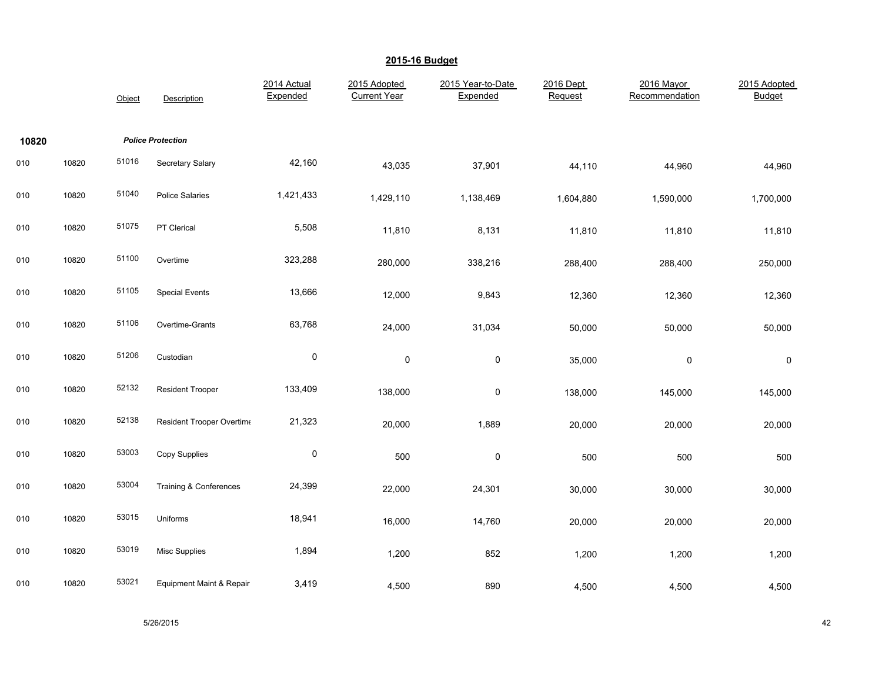|       |       | Object | Description               | 2014 Actual<br>Expended | 2015 Adopted<br><b>Current Year</b> | 2015 Year-to-Date<br>Expended | 2016 Dept<br>Request | 2016 Mayor<br>Recommendation | 2015 Adopted<br>Budget |
|-------|-------|--------|---------------------------|-------------------------|-------------------------------------|-------------------------------|----------------------|------------------------------|------------------------|
| 10820 |       |        | <b>Police Protection</b>  |                         |                                     |                               |                      |                              |                        |
| 010   | 10820 | 51016  | Secretary Salary          | 42,160                  | 43,035                              | 37,901                        | 44,110               | 44,960                       | 44,960                 |
| 010   | 10820 | 51040  | <b>Police Salaries</b>    | 1,421,433               | 1,429,110                           | 1,138,469                     | 1,604,880            | 1,590,000                    | 1,700,000              |
| 010   | 10820 | 51075  | PT Clerical               | 5,508                   | 11,810                              | 8,131                         | 11,810               | 11,810                       | 11,810                 |
| 010   | 10820 | 51100  | Overtime                  | 323,288                 | 280,000                             | 338,216                       | 288,400              | 288,400                      | 250,000                |
| 010   | 10820 | 51105  | <b>Special Events</b>     | 13,666                  | 12,000                              | 9,843                         | 12,360               | 12,360                       | 12,360                 |
| 010   | 10820 | 51106  | Overtime-Grants           | 63,768                  | 24,000                              | 31,034                        | 50,000               | 50,000                       | 50,000                 |
| 010   | 10820 | 51206  | Custodian                 | $\pmb{0}$               | 0                                   | $\pmb{0}$                     | 35,000               | 0                            | 0                      |
| 010   | 10820 | 52132  | <b>Resident Trooper</b>   | 133,409                 | 138,000                             | $\pmb{0}$                     | 138,000              | 145,000                      | 145,000                |
| 010   | 10820 | 52138  | Resident Trooper Overtime | 21,323                  | 20,000                              | 1,889                         | 20,000               | 20,000                       | 20,000                 |
| 010   | 10820 | 53003  | Copy Supplies             | $\pmb{0}$               | 500                                 | $\pmb{0}$                     | 500                  | 500                          | 500                    |
| 010   | 10820 | 53004  | Training & Conferences    | 24,399                  | 22,000                              | 24,301                        | 30,000               | 30,000                       | 30,000                 |
| 010   | 10820 | 53015  | Uniforms                  | 18,941                  | 16,000                              | 14,760                        | 20,000               | 20,000                       | 20,000                 |
| 010   | 10820 | 53019  | <b>Misc Supplies</b>      | 1,894                   | 1,200                               | 852                           | 1,200                | 1,200                        | 1,200                  |
| 010   | 10820 | 53021  | Equipment Maint & Repair  | 3,419                   | 4,500                               | 890                           | 4,500                | 4,500                        | 4,500                  |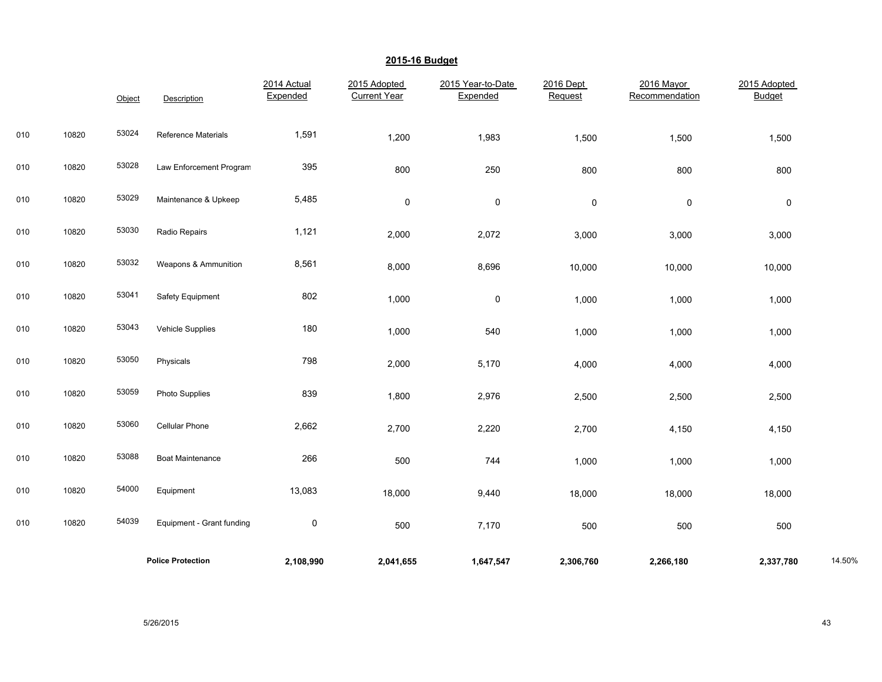|     |       | Object | Description               | 2014 Actual<br>Expended | 2015 Adopted<br><b>Current Year</b> | 2015 Year-to-Date<br>Expended | 2016 Dept<br>Request | 2016 Mayor<br>Recommendation | 2015 Adopted<br><b>Budget</b> |        |
|-----|-------|--------|---------------------------|-------------------------|-------------------------------------|-------------------------------|----------------------|------------------------------|-------------------------------|--------|
| 010 | 10820 | 53024  | Reference Materials       | 1,591                   | 1,200                               | 1,983                         | 1,500                | 1,500                        | 1,500                         |        |
| 010 | 10820 | 53028  | Law Enforcement Program   | 395                     | 800                                 | 250                           | 800                  | 800                          | 800                           |        |
| 010 | 10820 | 53029  | Maintenance & Upkeep      | 5,485                   | 0                                   | 0                             | $\pmb{0}$            | 0                            | $\pmb{0}$                     |        |
| 010 | 10820 | 53030  | Radio Repairs             | 1,121                   | 2,000                               | 2,072                         | 3,000                | 3,000                        | 3,000                         |        |
| 010 | 10820 | 53032  | Weapons & Ammunition      | 8,561                   | 8,000                               | 8,696                         | 10,000               | 10,000                       | 10,000                        |        |
| 010 | 10820 | 53041  | Safety Equipment          | 802                     | 1,000                               | 0                             | 1,000                | 1,000                        | 1,000                         |        |
| 010 | 10820 | 53043  | Vehicle Supplies          | 180                     | 1,000                               | 540                           | 1,000                | 1,000                        | 1,000                         |        |
| 010 | 10820 | 53050  | Physicals                 | 798                     | 2,000                               | 5,170                         | 4,000                | 4,000                        | 4,000                         |        |
| 010 | 10820 | 53059  | <b>Photo Supplies</b>     | 839                     | 1,800                               | 2,976                         | 2,500                | 2,500                        | 2,500                         |        |
| 010 | 10820 | 53060  | Cellular Phone            | 2,662                   | 2,700                               | 2,220                         | 2,700                | 4,150                        | 4,150                         |        |
| 010 | 10820 | 53088  | <b>Boat Maintenance</b>   | 266                     | 500                                 | 744                           | 1,000                | 1,000                        | 1,000                         |        |
| 010 | 10820 | 54000  | Equipment                 | 13,083                  | 18,000                              | 9,440                         | 18,000               | 18,000                       | 18,000                        |        |
| 010 | 10820 | 54039  | Equipment - Grant funding | $\pmb{0}$               | 500                                 | 7,170                         | 500                  | 500                          | 500                           |        |
|     |       |        | <b>Police Protection</b>  | 2,108,990               | 2,041,655                           | 1,647,547                     | 2,306,760            | 2,266,180                    | 2,337,780                     | 14.50% |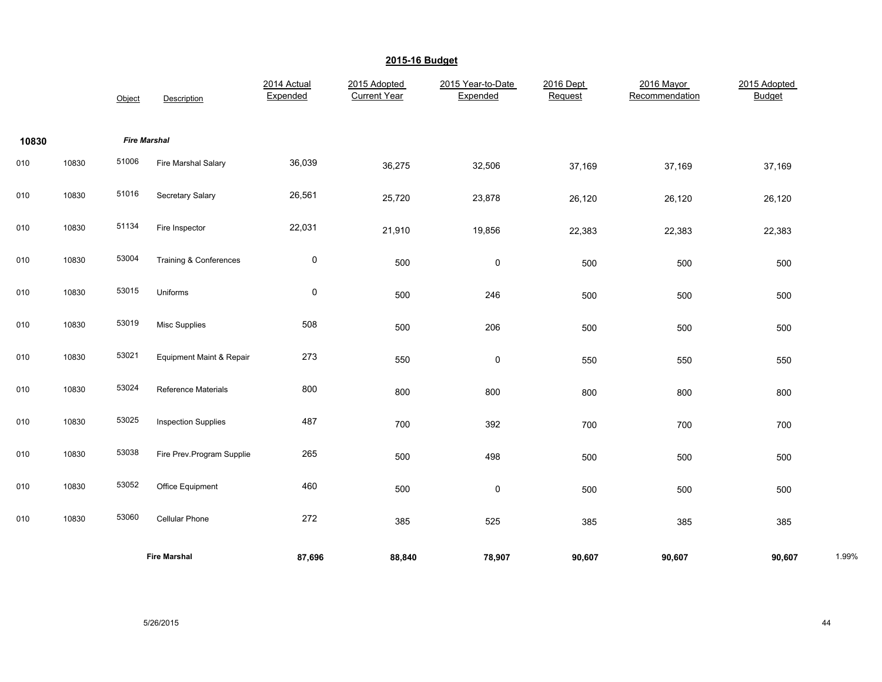|       |       | Object              | Description                | 2014 Actual<br>Expended | 2015 Adopted<br><b>Current Year</b> | 2015 Year-to-Date<br>Expended | 2016 Dept<br>Request | 2016 Mayor<br>Recommendation | 2015 Adopted<br><b>Budget</b> |       |
|-------|-------|---------------------|----------------------------|-------------------------|-------------------------------------|-------------------------------|----------------------|------------------------------|-------------------------------|-------|
| 10830 |       | <b>Fire Marshal</b> |                            |                         |                                     |                               |                      |                              |                               |       |
| 010   | 10830 | 51006               | Fire Marshal Salary        | 36,039                  | 36,275                              | 32,506                        | 37,169               | 37,169                       | 37,169                        |       |
| 010   | 10830 | 51016               | Secretary Salary           | 26,561                  | 25,720                              | 23,878                        | 26,120               | 26,120                       | 26,120                        |       |
| 010   | 10830 | 51134               | Fire Inspector             | 22,031                  | 21,910                              | 19,856                        | 22,383               | 22,383                       | 22,383                        |       |
| 010   | 10830 | 53004               | Training & Conferences     | $\pmb{0}$               | 500                                 | 0                             | 500                  | 500                          | 500                           |       |
| 010   | 10830 | 53015               | Uniforms                   | 0                       | 500                                 | 246                           | 500                  | 500                          | 500                           |       |
| 010   | 10830 | 53019               | <b>Misc Supplies</b>       | 508                     | 500                                 | 206                           | 500                  | 500                          | 500                           |       |
| 010   | 10830 | 53021               | Equipment Maint & Repair   | 273                     | 550                                 | $\mathsf 0$                   | 550                  | 550                          | 550                           |       |
| 010   | 10830 | 53024               | <b>Reference Materials</b> | 800                     | 800                                 | 800                           | 800                  | 800                          | 800                           |       |
| 010   | 10830 | 53025               | <b>Inspection Supplies</b> | 487                     | 700                                 | 392                           | 700                  | 700                          | 700                           |       |
| 010   | 10830 | 53038               | Fire Prev.Program Supplie  | 265                     | 500                                 | 498                           | 500                  | 500                          | 500                           |       |
| 010   | 10830 | 53052               | Office Equipment           | 460                     | 500                                 | $\mathsf 0$                   | 500                  | 500                          | 500                           |       |
| 010   | 10830 | 53060               | Cellular Phone             | 272                     | 385                                 | 525                           | 385                  | 385                          | 385                           |       |
|       |       |                     | <b>Fire Marshal</b>        | 87,696                  | 88,840                              | 78,907                        | 90,607               | 90,607                       | 90,607                        | 1.99% |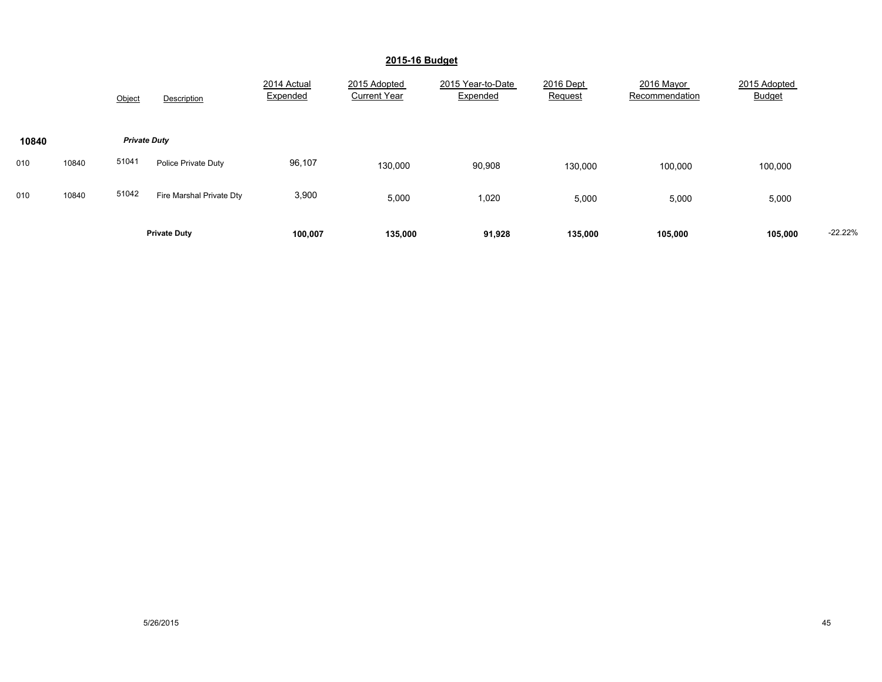|       |       | Object              | Description              | 2014 Actual<br>Expended | 2015 Adopted<br><b>Current Year</b> | 2015 Year-to-Date<br>Expended | 2016 Dept<br>Request | 2016 Mayor<br>Recommendation | 2015 Adopted<br><b>Budget</b> |           |
|-------|-------|---------------------|--------------------------|-------------------------|-------------------------------------|-------------------------------|----------------------|------------------------------|-------------------------------|-----------|
| 10840 |       | <b>Private Duty</b> |                          |                         |                                     |                               |                      |                              |                               |           |
| 010   | 10840 | 51041               | Police Private Duty      | 96,107                  | 130,000                             | 90,908                        | 130,000              | 100,000                      | 100,000                       |           |
| 010   | 10840 | 51042               | Fire Marshal Private Dty | 3,900                   | 5,000                               | 1,020                         | 5,000                | 5,000                        | 5,000                         |           |
|       |       |                     | <b>Private Duty</b>      | 100,007                 | 135,000                             | 91,928                        | 135,000              | 105,000                      | 105,000                       | $-22.22%$ |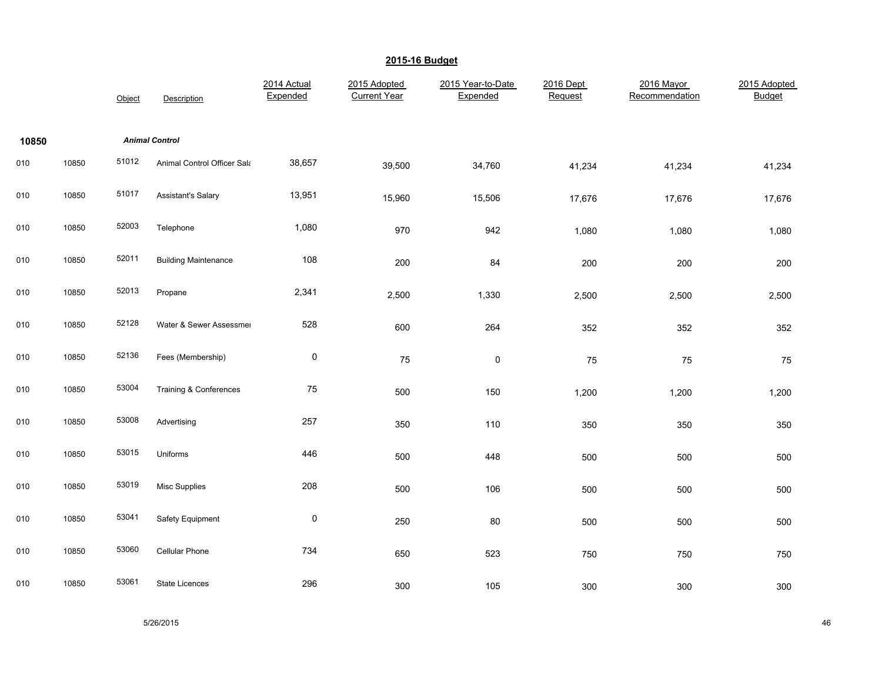|       |       | Object | Description                 | 2014 Actual<br>Expended | 2015 Adopted<br><b>Current Year</b> | 2015 Year-to-Date<br>Expended | 2016 Dept<br>Request | 2016 Mayor<br>Recommendation | 2015 Adopted<br><b>Budget</b> |
|-------|-------|--------|-----------------------------|-------------------------|-------------------------------------|-------------------------------|----------------------|------------------------------|-------------------------------|
| 10850 |       |        | <b>Animal Control</b>       |                         |                                     |                               |                      |                              |                               |
| 010   | 10850 | 51012  | Animal Control Officer Sala | 38,657                  | 39,500                              | 34,760                        | 41,234               | 41,234                       | 41,234                        |
| 010   | 10850 | 51017  | Assistant's Salary          | 13,951                  | 15,960                              | 15,506                        | 17,676               | 17,676                       | 17,676                        |
| 010   | 10850 | 52003  | Telephone                   | 1,080                   | 970                                 | 942                           | 1,080                | 1,080                        | 1,080                         |
| 010   | 10850 | 52011  | <b>Building Maintenance</b> | 108                     | 200                                 | 84                            | 200                  | 200                          | 200                           |
| 010   | 10850 | 52013  | Propane                     | 2,341                   | 2,500                               | 1,330                         | 2,500                | 2,500                        | 2,500                         |
| 010   | 10850 | 52128  | Water & Sewer Assessmer     | 528                     | 600                                 | 264                           | 352                  | 352                          | 352                           |
| 010   | 10850 | 52136  | Fees (Membership)           | $\pmb{0}$               | 75                                  | $\pmb{0}$                     | 75                   | 75                           | 75                            |
| 010   | 10850 | 53004  | Training & Conferences      | 75                      | 500                                 | 150                           | 1,200                | 1,200                        | 1,200                         |
| 010   | 10850 | 53008  | Advertising                 | 257                     | 350                                 | 110                           | 350                  | 350                          | 350                           |
| 010   | 10850 | 53015  | Uniforms                    | 446                     | 500                                 | 448                           | 500                  | 500                          | 500                           |
| 010   | 10850 | 53019  | <b>Misc Supplies</b>        | 208                     | 500                                 | 106                           | 500                  | 500                          | 500                           |
| 010   | 10850 | 53041  | Safety Equipment            | 0                       | 250                                 | 80                            | 500                  | 500                          | 500                           |
| 010   | 10850 | 53060  | Cellular Phone              | 734                     | 650                                 | 523                           | 750                  | 750                          | 750                           |
| 010   | 10850 | 53061  | <b>State Licences</b>       | 296                     | 300                                 | 105                           | 300                  | 300                          | 300                           |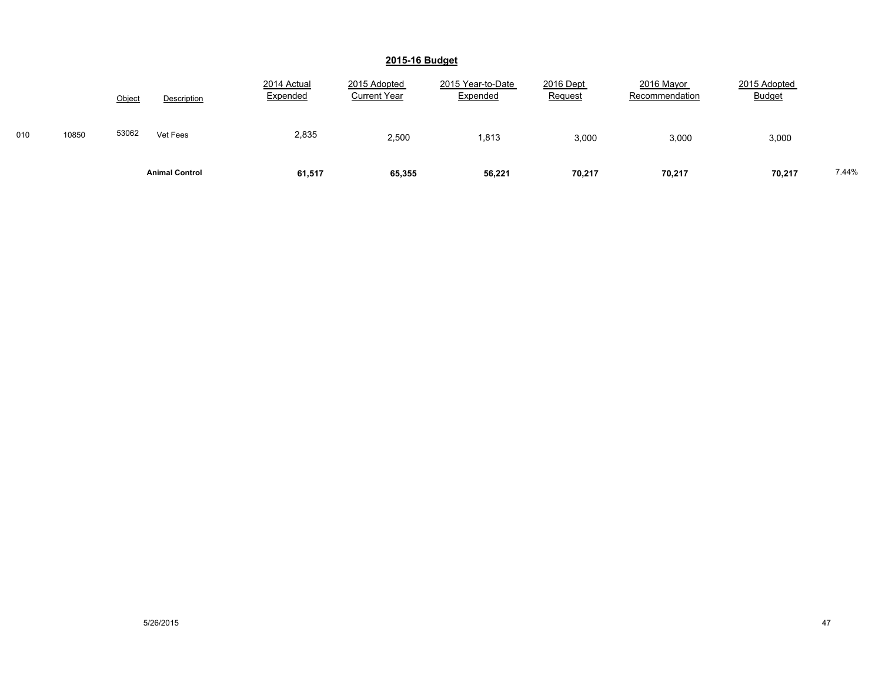|     |       | Object | Description           | 2014 Actual<br>Expended | 2015 Adopted<br><b>Current Year</b> | 2015 Year-to-Date<br>Expended | 2016 Dept<br>Request | 2016 Mayor<br>Recommendation | 2015 Adopted<br><b>Budget</b> |       |
|-----|-------|--------|-----------------------|-------------------------|-------------------------------------|-------------------------------|----------------------|------------------------------|-------------------------------|-------|
| 010 | 10850 | 53062  | Vet Fees              | 2,835                   | 2,500                               | 1,813                         | 3,000                | 3,000                        | 3,000                         |       |
|     |       |        | <b>Animal Control</b> | 61,517                  | 65,355                              | 56,221                        | 70,217               | 70,217                       | 70,217                        | 7.44% |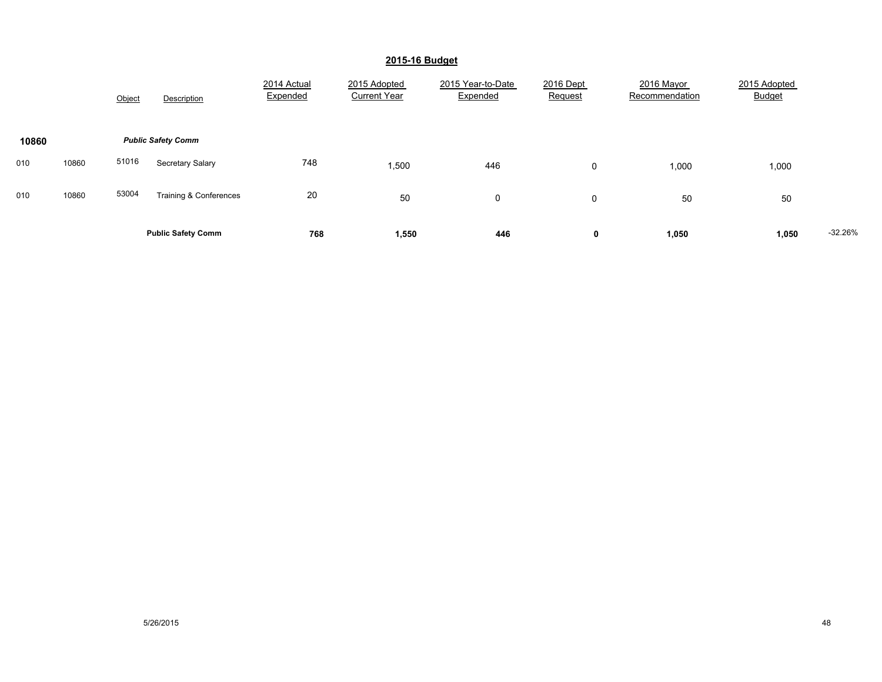|       |       | Object | Description               | 2014 Actual<br>Expended | 2015 Adopted<br><b>Current Year</b> | 2015 Year-to-Date<br>Expended | 2016 Dept<br>Request | 2016 Mayor<br>Recommendation | 2015 Adopted<br><b>Budget</b> |           |
|-------|-------|--------|---------------------------|-------------------------|-------------------------------------|-------------------------------|----------------------|------------------------------|-------------------------------|-----------|
| 10860 |       |        | <b>Public Safety Comm</b> |                         |                                     |                               |                      |                              |                               |           |
| 010   | 10860 | 51016  | <b>Secretary Salary</b>   | 748                     | 1,500                               | 446                           | 0                    | 1,000                        | 1,000                         |           |
| 010   | 10860 | 53004  | Training & Conferences    | 20                      | 50                                  | 0                             | $\mathbf 0$          | 50                           | 50                            |           |
|       |       |        | <b>Public Safety Comm</b> | 768                     | 1,550                               | 446                           | 0                    | 1,050                        | 1,050                         | $-32.26%$ |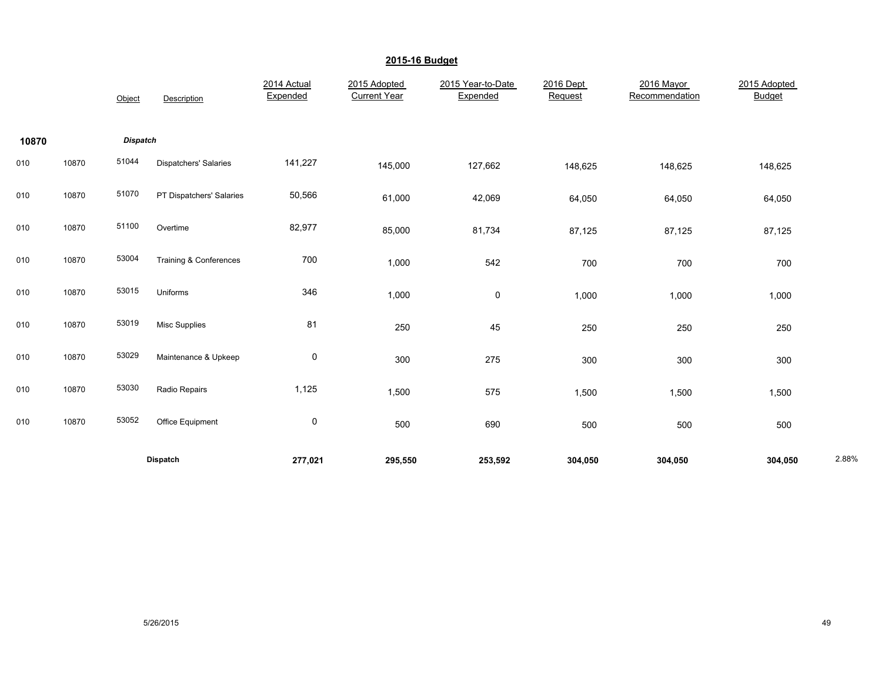|       |       | Object          | Description              | 2014 Actual<br>Expended | 2015 Adopted<br><b>Current Year</b> | 2015 Year-to-Date<br>Expended | 2016 Dept<br>Request | 2016 Mayor<br>Recommendation | 2015 Adopted<br><b>Budget</b> |       |
|-------|-------|-----------------|--------------------------|-------------------------|-------------------------------------|-------------------------------|----------------------|------------------------------|-------------------------------|-------|
| 10870 |       | <b>Dispatch</b> |                          |                         |                                     |                               |                      |                              |                               |       |
| 010   | 10870 | 51044           | Dispatchers' Salaries    | 141,227                 | 145,000                             | 127,662                       | 148,625              | 148,625                      | 148,625                       |       |
| 010   | 10870 | 51070           | PT Dispatchers' Salaries | 50,566                  | 61,000                              | 42,069                        | 64,050               | 64,050                       | 64,050                        |       |
| 010   | 10870 | 51100           | Overtime                 | 82,977                  | 85,000                              | 81,734                        | 87,125               | 87,125                       | 87,125                        |       |
| 010   | 10870 | 53004           | Training & Conferences   | 700                     | 1,000                               | 542                           | 700                  | 700                          | 700                           |       |
| 010   | 10870 | 53015           | Uniforms                 | 346                     | 1,000                               | $\mathbf 0$                   | 1,000                | 1,000                        | 1,000                         |       |
| 010   | 10870 | 53019           | Misc Supplies            | 81                      | 250                                 | 45                            | 250                  | 250                          | 250                           |       |
| 010   | 10870 | 53029           | Maintenance & Upkeep     | $\pmb{0}$               | 300                                 | 275                           | 300                  | 300                          | 300                           |       |
| 010   | 10870 | 53030           | Radio Repairs            | 1,125                   | 1,500                               | 575                           | 1,500                | 1,500                        | 1,500                         |       |
| 010   | 10870 | 53052           | Office Equipment         | $\mathsf 0$             | 500                                 | 690                           | 500                  | 500                          | 500                           |       |
|       |       |                 | Dispatch                 | 277,021                 | 295,550                             | 253,592                       | 304,050              | 304,050                      | 304,050                       | 2.88% |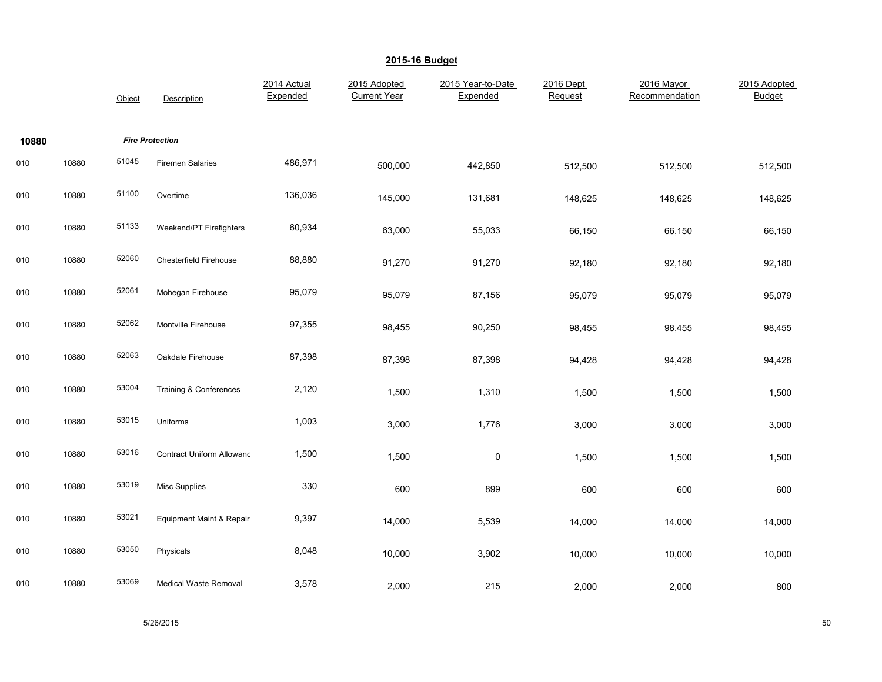|       |       | Object | Description                       | 2014 Actual<br>Expended | 2015 Adopted<br><b>Current Year</b> | 2015 Year-to-Date<br>Expended | 2016 Dept<br>Request | 2016 Mayor<br>Recommendation | 2015 Adopted<br>Budget |
|-------|-------|--------|-----------------------------------|-------------------------|-------------------------------------|-------------------------------|----------------------|------------------------------|------------------------|
| 10880 |       |        | <b>Fire Protection</b>            |                         |                                     |                               |                      |                              |                        |
| 010   | 10880 | 51045  | <b>Firemen Salaries</b>           | 486,971                 | 500,000                             | 442,850                       | 512,500              | 512,500                      | 512,500                |
| 010   | 10880 | 51100  | Overtime                          | 136,036                 | 145,000                             | 131,681                       | 148,625              | 148,625                      | 148,625                |
| 010   | 10880 | 51133  | Weekend/PT Firefighters           | 60,934                  | 63,000                              | 55,033                        | 66,150               | 66,150                       | 66,150                 |
| 010   | 10880 | 52060  | <b>Chesterfield Firehouse</b>     | 88,880                  | 91,270                              | 91,270                        | 92,180               | 92,180                       | 92,180                 |
| 010   | 10880 | 52061  | Mohegan Firehouse                 | 95,079                  | 95,079                              | 87,156                        | 95,079               | 95,079                       | 95,079                 |
| 010   | 10880 | 52062  | Montville Firehouse               | 97,355                  | 98,455                              | 90,250                        | 98,455               | 98,455                       | 98,455                 |
| 010   | 10880 | 52063  | Oakdale Firehouse                 | 87,398                  | 87,398                              | 87,398                        | 94,428               | 94,428                       | 94,428                 |
| 010   | 10880 | 53004  | <b>Training &amp; Conferences</b> | 2,120                   | 1,500                               | 1,310                         | 1,500                | 1,500                        | 1,500                  |
| 010   | 10880 | 53015  | Uniforms                          | 1,003                   | 3,000                               | 1,776                         | 3,000                | 3,000                        | 3,000                  |
| 010   | 10880 | 53016  | <b>Contract Uniform Allowanc</b>  | 1,500                   | 1,500                               | $\pmb{0}$                     | 1,500                | 1,500                        | 1,500                  |
| 010   | 10880 | 53019  | <b>Misc Supplies</b>              | 330                     | 600                                 | 899                           | 600                  | 600                          | 600                    |
| 010   | 10880 | 53021  | Equipment Maint & Repair          | 9,397                   | 14,000                              | 5,539                         | 14,000               | 14,000                       | 14,000                 |
| 010   | 10880 | 53050  | Physicals                         | 8,048                   | 10,000                              | 3,902                         | 10,000               | 10,000                       | 10,000                 |
| 010   | 10880 | 53069  | <b>Medical Waste Removal</b>      | 3,578                   | 2,000                               | 215                           | 2,000                | 2,000                        | 800                    |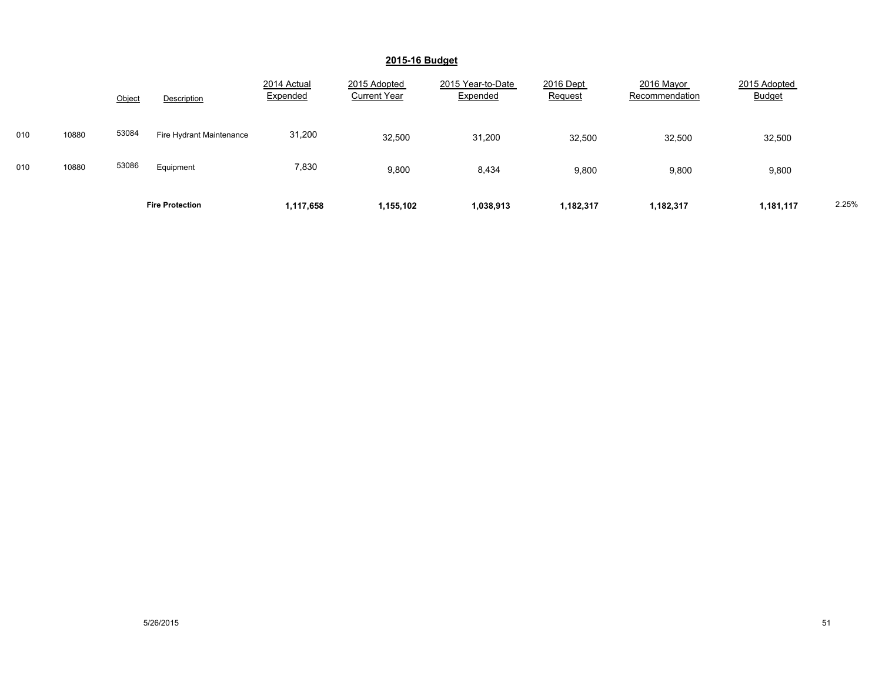|     |       | Object | Description              | 2014 Actual<br>Expended | 2015 Adopted<br><b>Current Year</b> | 2015 Year-to-Date<br>Expended | 2016 Dept<br>Request | 2016 Mayor<br>Recommendation | 2015 Adopted<br><b>Budget</b> |       |
|-----|-------|--------|--------------------------|-------------------------|-------------------------------------|-------------------------------|----------------------|------------------------------|-------------------------------|-------|
| 010 | 10880 | 53084  | Fire Hydrant Maintenance | 31,200                  | 32,500                              | 31,200                        | 32,500               | 32,500                       | 32,500                        |       |
| 010 | 10880 | 53086  | Equipment                | 7,830                   | 9,800                               | 8,434                         | 9,800                | 9,800                        | 9,800                         |       |
|     |       |        | <b>Fire Protection</b>   | 1,117,658               | 1,155,102                           | 1,038,913                     | 1,182,317            | 1,182,317                    | 1,181,117                     | 2.25% |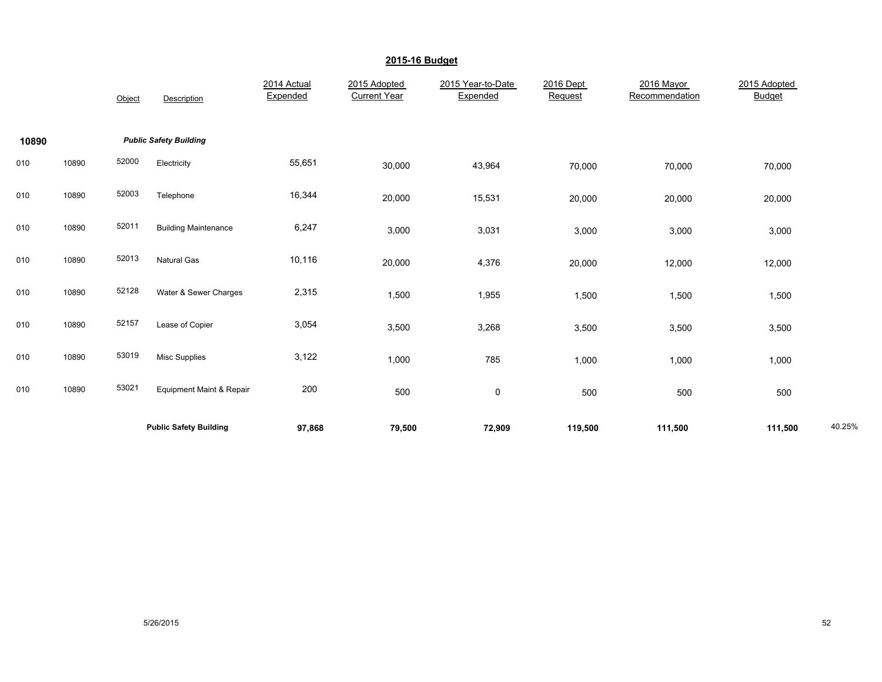|       |       | Object | Description                         | 2014 Actual<br>Expended | 2015 Adopted<br><b>Current Year</b> | 2015 Year-to-Date<br>Expended | 2016 Dept<br>Request | 2016 Mayor<br>Recommendation | 2015 Adopted<br><b>Budget</b> |        |
|-------|-------|--------|-------------------------------------|-------------------------|-------------------------------------|-------------------------------|----------------------|------------------------------|-------------------------------|--------|
| 10890 |       |        | <b>Public Safety Building</b>       |                         |                                     |                               |                      |                              |                               |        |
| 010   | 10890 | 52000  | Electricity                         | 55,651                  | 30,000                              | 43,964                        | 70,000               | 70,000                       | 70,000                        |        |
| 010   | 10890 | 52003  | Telephone                           | 16,344                  | 20,000                              | 15,531                        | 20,000               | 20,000                       | 20,000                        |        |
| 010   | 10890 | 52011  | <b>Building Maintenance</b>         | 6,247                   | 3,000                               | 3,031                         | 3,000                | 3,000                        | 3,000                         |        |
| 010   | 10890 | 52013  | <b>Natural Gas</b>                  | 10,116                  | 20,000                              | 4,376                         | 20,000               | 12,000                       | 12,000                        |        |
| 010   | 10890 | 52128  | Water & Sewer Charges               | 2,315                   | 1,500                               | 1,955                         | 1,500                | 1,500                        | 1,500                         |        |
| 010   | 10890 | 52157  | Lease of Copier                     | 3,054                   | 3,500                               | 3,268                         | 3,500                | 3,500                        | 3,500                         |        |
| 010   | 10890 | 53019  | <b>Misc Supplies</b>                | 3,122                   | 1,000                               | 785                           | 1,000                | 1,000                        | 1,000                         |        |
| 010   | 10890 | 53021  | <b>Equipment Maint &amp; Repair</b> | 200                     | 500                                 | $\mathsf 0$                   | 500                  | 500                          | 500                           |        |
|       |       |        | <b>Public Safety Building</b>       | 97,868                  | 79,500                              | 72,909                        | 119,500              | 111,500                      | 111,500                       | 40.25% |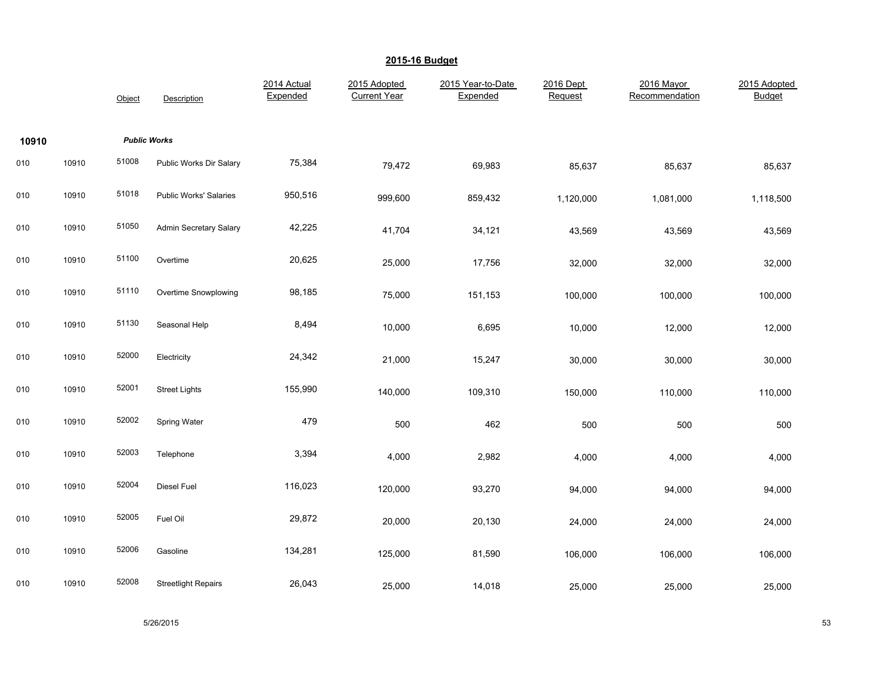|       |       | Object              | Description                   | 2014 Actual<br>Expended | 2015 Adopted<br><b>Current Year</b> | 2015 Year-to-Date<br>Expended | 2016 Dept<br>Request | 2016 Mayor<br>Recommendation | 2015 Adopted<br>Budget |
|-------|-------|---------------------|-------------------------------|-------------------------|-------------------------------------|-------------------------------|----------------------|------------------------------|------------------------|
| 10910 |       | <b>Public Works</b> |                               |                         |                                     |                               |                      |                              |                        |
| 010   | 10910 | 51008               | Public Works Dir Salary       | 75,384                  | 79,472                              | 69,983                        | 85,637               | 85,637                       | 85,637                 |
| 010   | 10910 | 51018               | Public Works' Salaries        | 950,516                 | 999,600                             | 859,432                       | 1,120,000            | 1,081,000                    | 1,118,500              |
| 010   | 10910 | 51050               | <b>Admin Secretary Salary</b> | 42,225                  | 41,704                              | 34,121                        | 43,569               | 43,569                       | 43,569                 |
| 010   | 10910 | 51100               | Overtime                      | 20,625                  | 25,000                              | 17,756                        | 32,000               | 32,000                       | 32,000                 |
| 010   | 10910 | 51110               | Overtime Snowplowing          | 98,185                  | 75,000                              | 151,153                       | 100,000              | 100,000                      | 100,000                |
| 010   | 10910 | 51130               | Seasonal Help                 | 8,494                   | 10,000                              | 6,695                         | 10,000               | 12,000                       | 12,000                 |
| 010   | 10910 | 52000               | Electricity                   | 24,342                  | 21,000                              | 15,247                        | 30,000               | 30,000                       | 30,000                 |
| 010   | 10910 | 52001               | <b>Street Lights</b>          | 155,990                 | 140,000                             | 109,310                       | 150,000              | 110,000                      | 110,000                |
| 010   | 10910 | 52002               | Spring Water                  | 479                     | 500                                 | 462                           | 500                  | 500                          | 500                    |
| 010   | 10910 | 52003               | Telephone                     | 3,394                   | 4,000                               | 2,982                         | 4,000                | 4,000                        | 4,000                  |
| 010   | 10910 | 52004               | Diesel Fuel                   | 116,023                 | 120,000                             | 93,270                        | 94,000               | 94,000                       | 94,000                 |
| 010   | 10910 | 52005               | Fuel Oil                      | 29,872                  | 20,000                              | 20,130                        | 24,000               | 24,000                       | 24,000                 |
| 010   | 10910 | 52006               | Gasoline                      | 134,281                 | 125,000                             | 81,590                        | 106,000              | 106,000                      | 106,000                |
| 010   | 10910 | 52008               | <b>Streetlight Repairs</b>    | 26,043                  | 25,000                              | 14,018                        | 25,000               | 25,000                       | 25,000                 |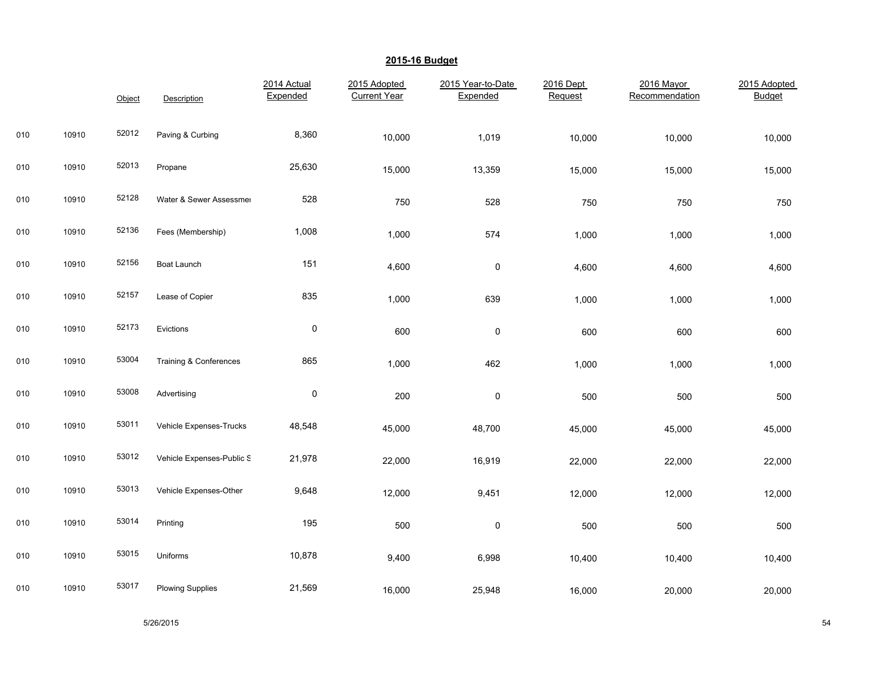|     |       | Object | Description               | 2014 Actual<br>Expended | 2015 Adopted<br><b>Current Year</b> | 2015 Year-to-Date<br>Expended | 2016 Dept<br>Request | 2016 Mayor<br>Recommendation | 2015 Adopted<br><b>Budget</b> |
|-----|-------|--------|---------------------------|-------------------------|-------------------------------------|-------------------------------|----------------------|------------------------------|-------------------------------|
| 010 | 10910 | 52012  | Paving & Curbing          | 8,360                   | 10,000                              | 1,019                         | 10,000               | 10,000                       | 10,000                        |
| 010 | 10910 | 52013  | Propane                   | 25,630                  | 15,000                              | 13,359                        | 15,000               | 15,000                       | 15,000                        |
| 010 | 10910 | 52128  | Water & Sewer Assessmer   | 528                     | 750                                 | 528                           | 750                  | 750                          | 750                           |
| 010 | 10910 | 52136  | Fees (Membership)         | 1,008                   | 1,000                               | 574                           | 1,000                | 1,000                        | 1,000                         |
| 010 | 10910 | 52156  | Boat Launch               | 151                     | 4,600                               | $\pmb{0}$                     | 4,600                | 4,600                        | 4,600                         |
| 010 | 10910 | 52157  | Lease of Copier           | 835                     | 1,000                               | 639                           | 1,000                | 1,000                        | 1,000                         |
| 010 | 10910 | 52173  | Evictions                 | 0                       | 600                                 | $\pmb{0}$                     | 600                  | 600                          | 600                           |
| 010 | 10910 | 53004  | Training & Conferences    | 865                     | 1,000                               | 462                           | 1,000                | 1,000                        | 1,000                         |
| 010 | 10910 | 53008  | Advertising               | 0                       | 200                                 | $\pmb{0}$                     | 500                  | 500                          | 500                           |
| 010 | 10910 | 53011  | Vehicle Expenses-Trucks   | 48,548                  | 45,000                              | 48,700                        | 45,000               | 45,000                       | 45,000                        |
| 010 | 10910 | 53012  | Vehicle Expenses-Public S | 21,978                  | 22,000                              | 16,919                        | 22,000               | 22,000                       | 22,000                        |
| 010 | 10910 | 53013  | Vehicle Expenses-Other    | 9,648                   | 12,000                              | 9,451                         | 12,000               | 12,000                       | 12,000                        |
| 010 | 10910 | 53014  | Printing                  | 195                     | 500                                 | $\pmb{0}$                     | 500                  | 500                          | 500                           |
| 010 | 10910 | 53015  | Uniforms                  | 10,878                  | 9,400                               | 6,998                         | 10,400               | 10,400                       | 10,400                        |
| 010 | 10910 | 53017  | <b>Plowing Supplies</b>   | 21,569                  | 16,000                              | 25,948                        | 16,000               | 20,000                       | 20,000                        |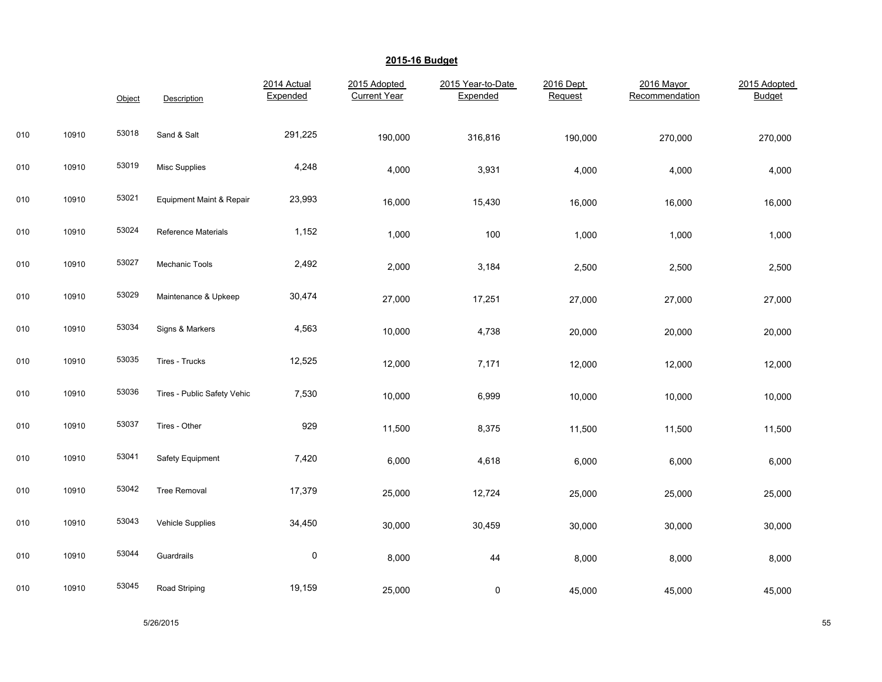|     |       | Object | Description                 | 2014 Actual<br>Expended | 2015 Adopted<br><b>Current Year</b> | 2015 Year-to-Date<br>Expended | 2016 Dept<br>Request | 2016 Mayor<br>Recommendation | 2015 Adopted<br><b>Budget</b> |
|-----|-------|--------|-----------------------------|-------------------------|-------------------------------------|-------------------------------|----------------------|------------------------------|-------------------------------|
| 010 | 10910 | 53018  | Sand & Salt                 | 291,225                 | 190,000                             | 316,816                       | 190,000              | 270,000                      | 270,000                       |
| 010 | 10910 | 53019  | <b>Misc Supplies</b>        | 4,248                   | 4,000                               | 3,931                         | 4,000                | 4,000                        | 4,000                         |
| 010 | 10910 | 53021  | Equipment Maint & Repair    | 23,993                  | 16,000                              | 15,430                        | 16,000               | 16,000                       | 16,000                        |
| 010 | 10910 | 53024  | <b>Reference Materials</b>  | 1,152                   | 1,000                               | 100                           | 1,000                | 1,000                        | 1,000                         |
| 010 | 10910 | 53027  | <b>Mechanic Tools</b>       | 2,492                   | 2,000                               | 3,184                         | 2,500                | 2,500                        | 2,500                         |
| 010 | 10910 | 53029  | Maintenance & Upkeep        | 30,474                  | 27,000                              | 17,251                        | 27,000               | 27,000                       | 27,000                        |
| 010 | 10910 | 53034  | Signs & Markers             | 4,563                   | 10,000                              | 4,738                         | 20,000               | 20,000                       | 20,000                        |
| 010 | 10910 | 53035  | Tires - Trucks              | 12,525                  | 12,000                              | 7,171                         | 12,000               | 12,000                       | 12,000                        |
| 010 | 10910 | 53036  | Tires - Public Safety Vehic | 7,530                   | 10,000                              | 6,999                         | 10,000               | 10,000                       | 10,000                        |
| 010 | 10910 | 53037  | Tires - Other               | 929                     | 11,500                              | 8,375                         | 11,500               | 11,500                       | 11,500                        |
| 010 | 10910 | 53041  | Safety Equipment            | 7,420                   | 6,000                               | 4,618                         | 6,000                | 6,000                        | 6,000                         |
| 010 | 10910 | 53042  | <b>Tree Removal</b>         | 17,379                  | 25,000                              | 12,724                        | 25,000               | 25,000                       | 25,000                        |
| 010 | 10910 | 53043  | <b>Vehicle Supplies</b>     | 34,450                  | 30,000                              | 30,459                        | 30,000               | 30,000                       | 30,000                        |
| 010 | 10910 | 53044  | Guardrails                  | $\pmb{0}$               | 8,000                               | 44                            | 8,000                | 8,000                        | 8,000                         |
| 010 | 10910 | 53045  | Road Striping               | 19,159                  | 25,000                              | $\pmb{0}$                     | 45,000               | 45,000                       | 45,000                        |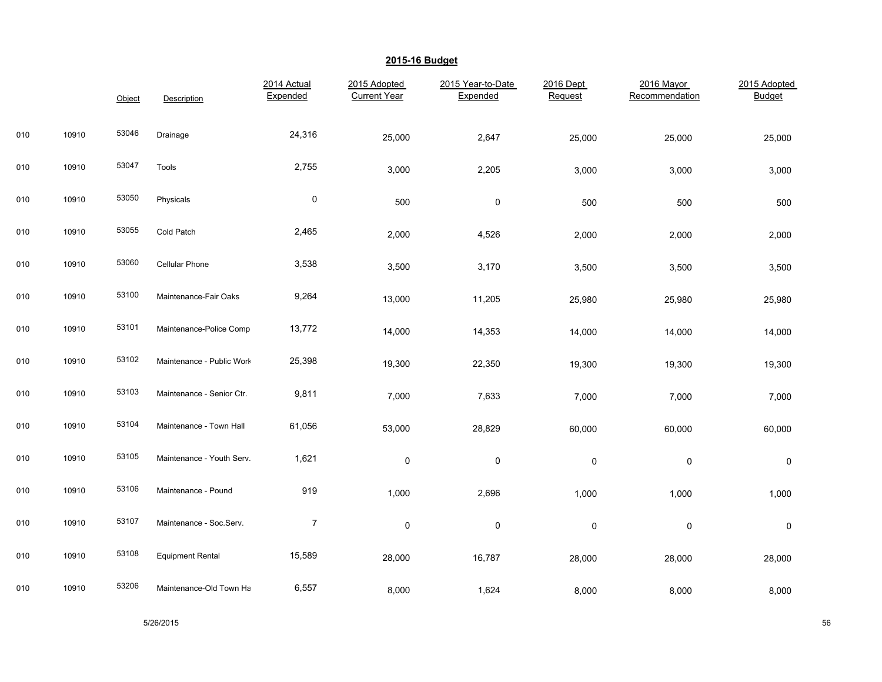|     |       | Object | Description               | 2014 Actual<br>Expended | 2015 Adopted<br><b>Current Year</b> | 2015 Year-to-Date<br>Expended | 2016 Dept<br>Request | 2016 Mayor<br>Recommendation | 2015 Adopted<br><b>Budget</b> |
|-----|-------|--------|---------------------------|-------------------------|-------------------------------------|-------------------------------|----------------------|------------------------------|-------------------------------|
| 010 | 10910 | 53046  | Drainage                  | 24,316                  | 25,000                              | 2,647                         | 25,000               | 25,000                       | 25,000                        |
| 010 | 10910 | 53047  | Tools                     | 2,755                   | 3,000                               | 2,205                         | 3,000                | 3,000                        | 3,000                         |
| 010 | 10910 | 53050  | Physicals                 | $\pmb{0}$               | 500                                 | $\pmb{0}$                     | 500                  | 500                          | 500                           |
| 010 | 10910 | 53055  | Cold Patch                | 2,465                   | 2,000                               | 4,526                         | 2,000                | 2,000                        | 2,000                         |
| 010 | 10910 | 53060  | Cellular Phone            | 3,538                   | 3,500                               | 3,170                         | 3,500                | 3,500                        | 3,500                         |
| 010 | 10910 | 53100  | Maintenance-Fair Oaks     | 9,264                   | 13,000                              | 11,205                        | 25,980               | 25,980                       | 25,980                        |
| 010 | 10910 | 53101  | Maintenance-Police Compl  | 13,772                  | 14,000                              | 14,353                        | 14,000               | 14,000                       | 14,000                        |
| 010 | 10910 | 53102  | Maintenance - Public Work | 25,398                  | 19,300                              | 22,350                        | 19,300               | 19,300                       | 19,300                        |
| 010 | 10910 | 53103  | Maintenance - Senior Ctr. | 9,811                   | 7,000                               | 7,633                         | 7,000                | 7,000                        | 7,000                         |
| 010 | 10910 | 53104  | Maintenance - Town Hall   | 61,056                  | 53,000                              | 28,829                        | 60,000               | 60,000                       | 60,000                        |
| 010 | 10910 | 53105  | Maintenance - Youth Serv. | 1,621                   | $\pmb{0}$                           | $\pmb{0}$                     | 0                    | $\pmb{0}$                    | $\pmb{0}$                     |
| 010 | 10910 | 53106  | Maintenance - Pound       | 919                     | 1,000                               | 2,696                         | 1,000                | 1,000                        | 1,000                         |
| 010 | 10910 | 53107  | Maintenance - Soc.Serv.   | $\overline{7}$          | 0                                   | 0                             | $\pmb{0}$            | $\pmb{0}$                    | $\pmb{0}$                     |
| 010 | 10910 | 53108  | <b>Equipment Rental</b>   | 15,589                  | 28,000                              | 16,787                        | 28,000               | 28,000                       | 28,000                        |
| 010 | 10910 | 53206  | Maintenance-Old Town Ha   | 6,557                   | 8,000                               | 1,624                         | 8,000                | 8,000                        | 8,000                         |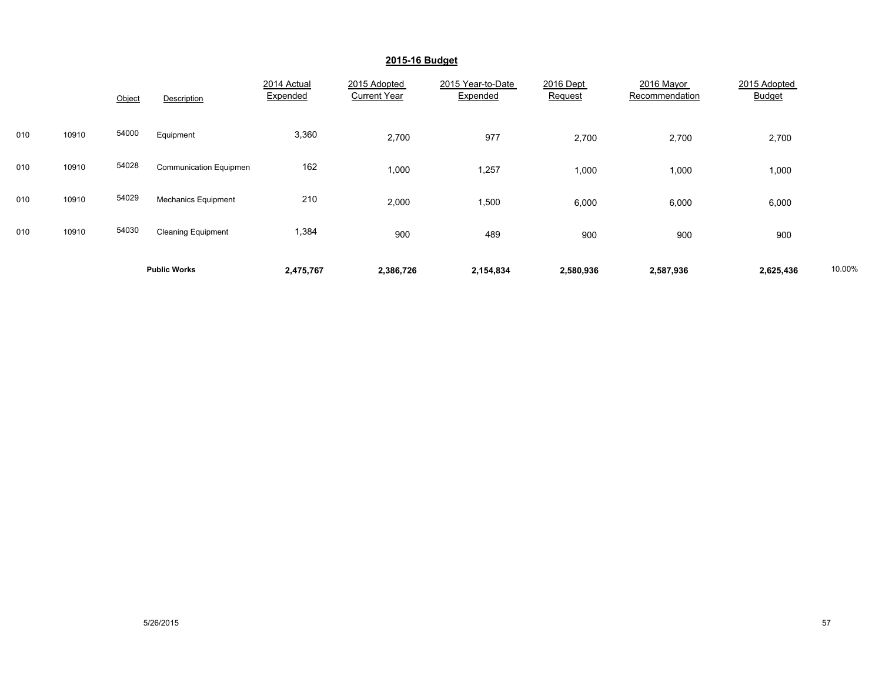|     |       |        | <b>Public Works</b>           | 2,475,767               | 2,386,726                           | 2,154,834                     | 2,580,936            | 2,587,936                    | 2,625,436                     | 10.00% |
|-----|-------|--------|-------------------------------|-------------------------|-------------------------------------|-------------------------------|----------------------|------------------------------|-------------------------------|--------|
| 010 | 10910 | 54030  | <b>Cleaning Equipment</b>     | 1,384                   | 900                                 | 489                           | 900                  | 900                          | 900                           |        |
| 010 | 10910 | 54029  | <b>Mechanics Equipment</b>    | 210                     | 2,000                               | 1,500                         | 6,000                | 6,000                        | 6,000                         |        |
| 010 | 10910 | 54028  | <b>Communication Equipmen</b> | 162                     | 1,000                               | 1,257                         | 1,000                | 1,000                        | 1,000                         |        |
| 010 | 10910 | 54000  | Equipment                     | 3,360                   | 2,700                               | 977                           | 2,700                | 2,700                        | 2,700                         |        |
|     |       | Object | Description                   | 2014 Actual<br>Expended | 2015 Adopted<br><b>Current Year</b> | 2015 Year-to-Date<br>Expended | 2016 Dept<br>Request | 2016 Mayor<br>Recommendation | 2015 Adopted<br><b>Budget</b> |        |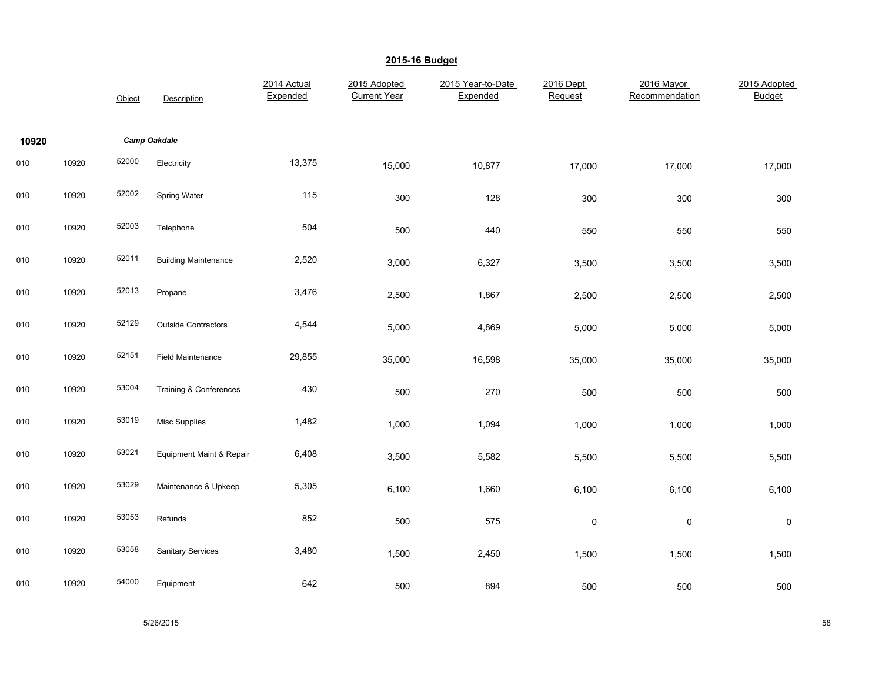|       |       | Object | Description                 | 2014 Actual<br>Expended | 2015 Adopted<br><b>Current Year</b> | 2015 Year-to-Date<br>Expended | 2016 Dept<br>Request | 2016 Mayor<br>Recommendation | 2015 Adopted<br><b>Budget</b> |
|-------|-------|--------|-----------------------------|-------------------------|-------------------------------------|-------------------------------|----------------------|------------------------------|-------------------------------|
| 10920 |       |        | <b>Camp Oakdale</b>         |                         |                                     |                               |                      |                              |                               |
| 010   | 10920 | 52000  | Electricity                 | 13,375                  | 15,000                              | 10,877                        | 17,000               | 17,000                       | 17,000                        |
| 010   | 10920 | 52002  | Spring Water                | 115                     | 300                                 | 128                           | 300                  | 300                          | 300                           |
| 010   | 10920 | 52003  | Telephone                   | 504                     | 500                                 | 440                           | 550                  | 550                          | 550                           |
| 010   | 10920 | 52011  | <b>Building Maintenance</b> | 2,520                   | 3,000                               | 6,327                         | 3,500                | 3,500                        | 3,500                         |
| 010   | 10920 | 52013  | Propane                     | 3,476                   | 2,500                               | 1,867                         | 2,500                | 2,500                        | 2,500                         |
| 010   | 10920 | 52129  | Outside Contractors         | 4,544                   | 5,000                               | 4,869                         | 5,000                | 5,000                        | 5,000                         |
| 010   | 10920 | 52151  | <b>Field Maintenance</b>    | 29,855                  | 35,000                              | 16,598                        | 35,000               | 35,000                       | 35,000                        |
| 010   | 10920 | 53004  | Training & Conferences      | 430                     | 500                                 | 270                           | 500                  | 500                          | 500                           |
| 010   | 10920 | 53019  | <b>Misc Supplies</b>        | 1,482                   | 1,000                               | 1,094                         | 1,000                | 1,000                        | 1,000                         |
| 010   | 10920 | 53021  | Equipment Maint & Repair    | 6,408                   | 3,500                               | 5,582                         | 5,500                | 5,500                        | 5,500                         |
| 010   | 10920 | 53029  | Maintenance & Upkeep        | 5,305                   | 6,100                               | 1,660                         | 6,100                | 6,100                        | 6,100                         |
| 010   | 10920 | 53053  | Refunds                     | 852                     | 500                                 | 575                           | $\pmb{0}$            | $\mathsf{O}\xspace$          | $\mathsf 0$                   |
| 010   | 10920 | 53058  | <b>Sanitary Services</b>    | 3,480                   | 1,500                               | 2,450                         | 1,500                | 1,500                        | 1,500                         |
| 010   | 10920 | 54000  | Equipment                   | 642                     | 500                                 | 894                           | 500                  | 500                          | 500                           |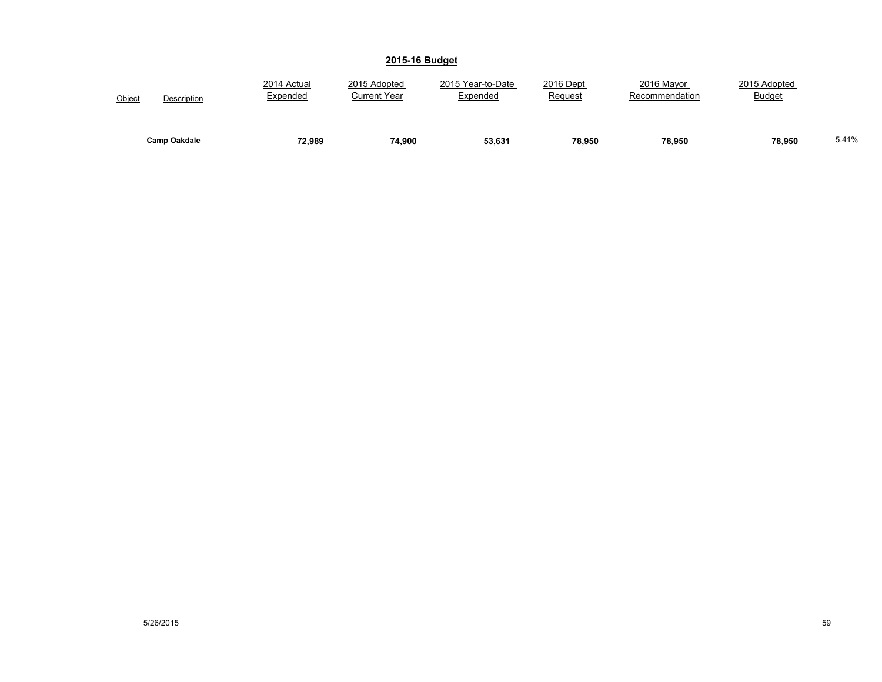| Object              | 2014 Actual | 2015 Adopted        | 2015 Year-to-Date | 2016 Dept | 2016 Mayor     | 2015 Adopted  |       |
|---------------------|-------------|---------------------|-------------------|-----------|----------------|---------------|-------|
| Description         | Expended    | <b>Current Year</b> | Expended          | Request   | Recommendation | <b>Budget</b> |       |
| <b>Camp Oakdale</b> | 72,989      | 74.900              | 53,631            | 78,950    | 78,950         | 78,950        | 5.41% |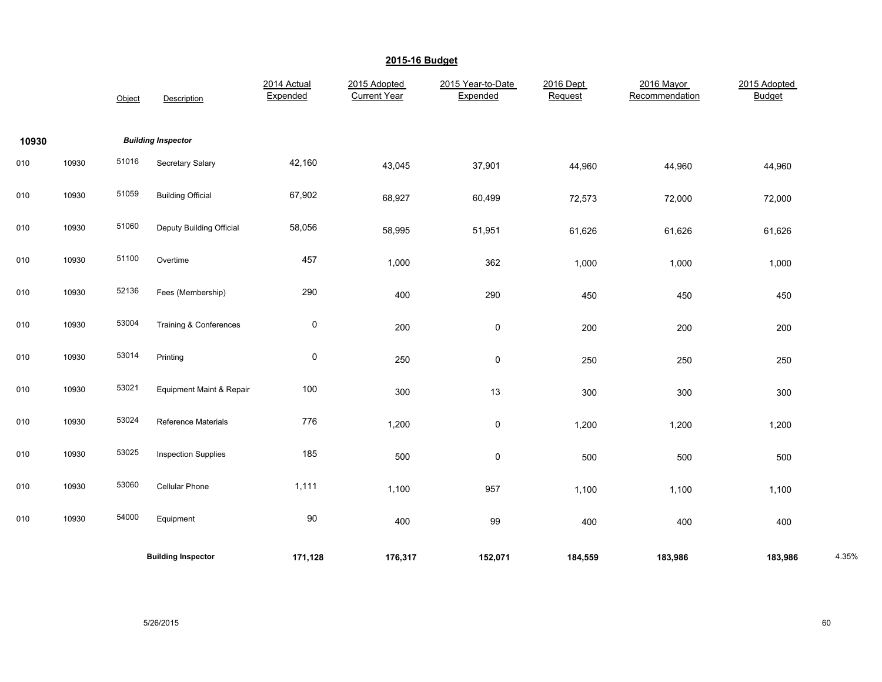|       |       | Object | Description                | 2014 Actual<br>Expended | 2015 Adopted<br><b>Current Year</b> | 2015 Year-to-Date<br>Expended | 2016 Dept<br>Request | 2016 Mayor<br>Recommendation | 2015 Adopted<br><b>Budget</b> |       |
|-------|-------|--------|----------------------------|-------------------------|-------------------------------------|-------------------------------|----------------------|------------------------------|-------------------------------|-------|
| 10930 |       |        | <b>Building Inspector</b>  |                         |                                     |                               |                      |                              |                               |       |
| 010   | 10930 | 51016  | Secretary Salary           | 42,160                  | 43,045                              | 37,901                        | 44,960               | 44,960                       | 44,960                        |       |
| 010   | 10930 | 51059  | <b>Building Official</b>   | 67,902                  | 68,927                              | 60,499                        | 72,573               | 72,000                       | 72,000                        |       |
| 010   | 10930 | 51060  | Deputy Building Official   | 58,056                  | 58,995                              | 51,951                        | 61,626               | 61,626                       | 61,626                        |       |
| 010   | 10930 | 51100  | Overtime                   | 457                     | 1,000                               | 362                           | 1,000                | 1,000                        | 1,000                         |       |
| 010   | 10930 | 52136  | Fees (Membership)          | 290                     | 400                                 | 290                           | 450                  | 450                          | 450                           |       |
| 010   | 10930 | 53004  | Training & Conferences     | 0                       | 200                                 | 0                             | 200                  | 200                          | 200                           |       |
| 010   | 10930 | 53014  | Printing                   | 0                       | 250                                 | 0                             | 250                  | 250                          | 250                           |       |
| 010   | 10930 | 53021  | Equipment Maint & Repair   | 100                     | 300                                 | 13                            | 300                  | 300                          | 300                           |       |
| 010   | 10930 | 53024  | Reference Materials        | 776                     | 1,200                               | 0                             | 1,200                | 1,200                        | 1,200                         |       |
| 010   | 10930 | 53025  | <b>Inspection Supplies</b> | 185                     | 500                                 | 0                             | 500                  | 500                          | 500                           |       |
| 010   | 10930 | 53060  | <b>Cellular Phone</b>      | 1,111                   | 1,100                               | 957                           | 1,100                | 1,100                        | 1,100                         |       |
| 010   | 10930 | 54000  | Equipment                  | 90                      | 400                                 | 99                            | 400                  | 400                          | 400                           |       |
|       |       |        | <b>Building Inspector</b>  | 171,128                 | 176,317                             | 152,071                       | 184,559              | 183,986                      | 183,986                       | 4.35% |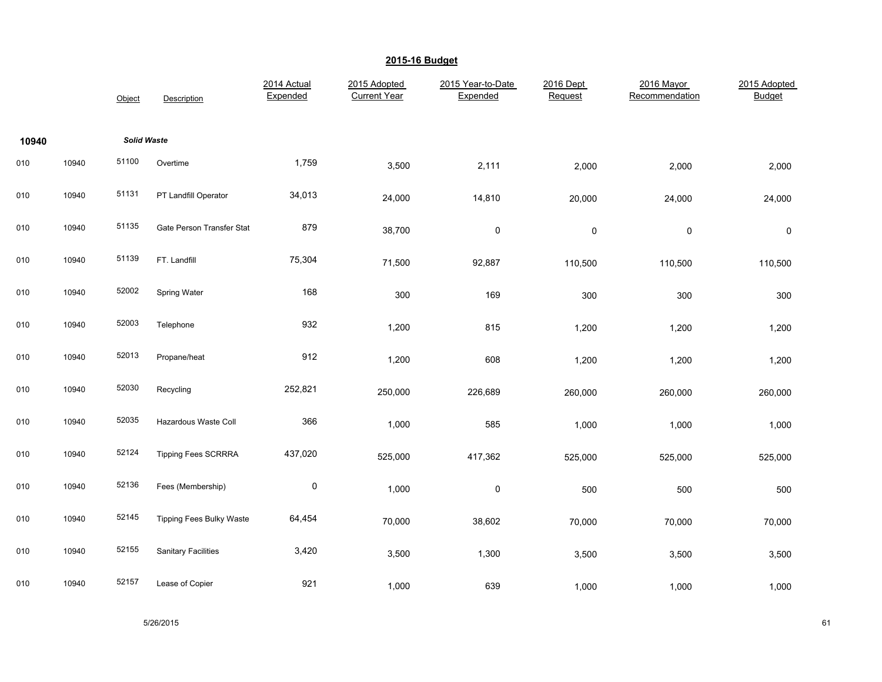|       |       | Object             | Description                | 2014 Actual<br>Expended | 2015 Adopted<br><b>Current Year</b> | 2015 Year-to-Date<br>Expended | 2016 Dept<br>Request | 2016 Mayor<br>Recommendation | 2015 Adopted<br><b>Budget</b> |
|-------|-------|--------------------|----------------------------|-------------------------|-------------------------------------|-------------------------------|----------------------|------------------------------|-------------------------------|
| 10940 |       | <b>Solid Waste</b> |                            |                         |                                     |                               |                      |                              |                               |
| 010   | 10940 | 51100              | Overtime                   | 1,759                   | 3,500                               | 2,111                         | 2,000                | 2,000                        | 2,000                         |
| 010   | 10940 | 51131              | PT Landfill Operator       | 34,013                  | 24,000                              | 14,810                        | 20,000               | 24,000                       | 24,000                        |
| 010   | 10940 | 51135              | Gate Person Transfer Stat  | 879                     | 38,700                              | $\pmb{0}$                     | $\pmb{0}$            | $\mathsf{O}\xspace$          | 0                             |
| 010   | 10940 | 51139              | FT. Landfill               | 75,304                  | 71,500                              | 92,887                        | 110,500              | 110,500                      | 110,500                       |
| 010   | 10940 | 52002              | Spring Water               | 168                     | 300                                 | 169                           | 300                  | 300                          | 300                           |
| 010   | 10940 | 52003              | Telephone                  | 932                     | 1,200                               | 815                           | 1,200                | 1,200                        | 1,200                         |
| 010   | 10940 | 52013              | Propane/heat               | 912                     | 1,200                               | 608                           | 1,200                | 1,200                        | 1,200                         |
| 010   | 10940 | 52030              | Recycling                  | 252,821                 | 250,000                             | 226,689                       | 260,000              | 260,000                      | 260,000                       |
| 010   | 10940 | 52035              | Hazardous Waste Coll       | 366                     | 1,000                               | 585                           | 1,000                | 1,000                        | 1,000                         |
| 010   | 10940 | 52124              | Tipping Fees SCRRRA        | 437,020                 | 525,000                             | 417,362                       | 525,000              | 525,000                      | 525,000                       |
| 010   | 10940 | 52136              | Fees (Membership)          | $\pmb{0}$               | 1,000                               | $\pmb{0}$                     | 500                  | 500                          | 500                           |
| 010   | 10940 | 52145              | Tipping Fees Bulky Waste   | 64,454                  | 70,000                              | 38,602                        | 70,000               | 70,000                       | 70,000                        |
| 010   | 10940 | 52155              | <b>Sanitary Facilities</b> | 3,420                   | 3,500                               | 1,300                         | 3,500                | 3,500                        | 3,500                         |
| 010   | 10940 | 52157              | Lease of Copier            | 921                     | 1,000                               | 639                           | 1,000                | 1,000                        | 1,000                         |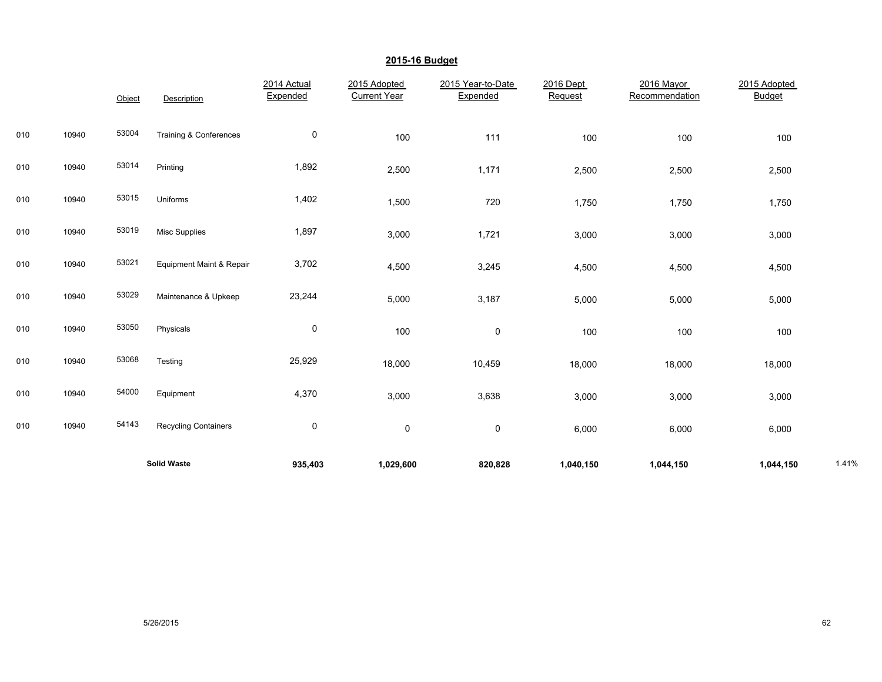|     |       |        | <b>Solid Waste</b>          | 935,403                 | 1,029,600                           | 820,828                       | 1,040,150            | 1,044,150                    | 1,044,150                     | 1.41% |
|-----|-------|--------|-----------------------------|-------------------------|-------------------------------------|-------------------------------|----------------------|------------------------------|-------------------------------|-------|
| 010 | 10940 | 54143  | <b>Recycling Containers</b> | 0                       | 0                                   | 0                             | 6,000                | 6,000                        | 6,000                         |       |
| 010 | 10940 | 54000  | Equipment                   | 4,370                   | 3,000                               | 3,638                         | 3,000                | 3,000                        | 3,000                         |       |
| 010 | 10940 | 53068  | Testing                     | 25,929                  | 18,000                              | 10,459                        | 18,000               | 18,000                       | 18,000                        |       |
| 010 | 10940 | 53050  | Physicals                   | 0                       | 100                                 | $\pmb{0}$                     | 100                  | 100                          | 100                           |       |
| 010 | 10940 | 53029  | Maintenance & Upkeep        | 23,244                  | 5,000                               | 3,187                         | 5,000                | 5,000                        | 5,000                         |       |
| 010 | 10940 | 53021  | Equipment Maint & Repair    | 3,702                   | 4,500                               | 3,245                         | 4,500                | 4,500                        | 4,500                         |       |
| 010 | 10940 | 53019  | <b>Misc Supplies</b>        | 1,897                   | 3,000                               | 1,721                         | 3,000                | 3,000                        | 3,000                         |       |
| 010 | 10940 | 53015  | Uniforms                    | 1,402                   | 1,500                               | 720                           | 1,750                | 1,750                        | 1,750                         |       |
| 010 | 10940 | 53014  | Printing                    | 1,892                   | 2,500                               | 1,171                         | 2,500                | 2,500                        | 2,500                         |       |
| 010 | 10940 | 53004  | Training & Conferences      | 0                       | 100                                 | 111                           | 100                  | 100                          | 100                           |       |
|     |       | Object | Description                 | 2014 Actual<br>Expended | 2015 Adopted<br><b>Current Year</b> | 2015 Year-to-Date<br>Expended | 2016 Dept<br>Request | 2016 Mayor<br>Recommendation | 2015 Adopted<br><b>Budget</b> |       |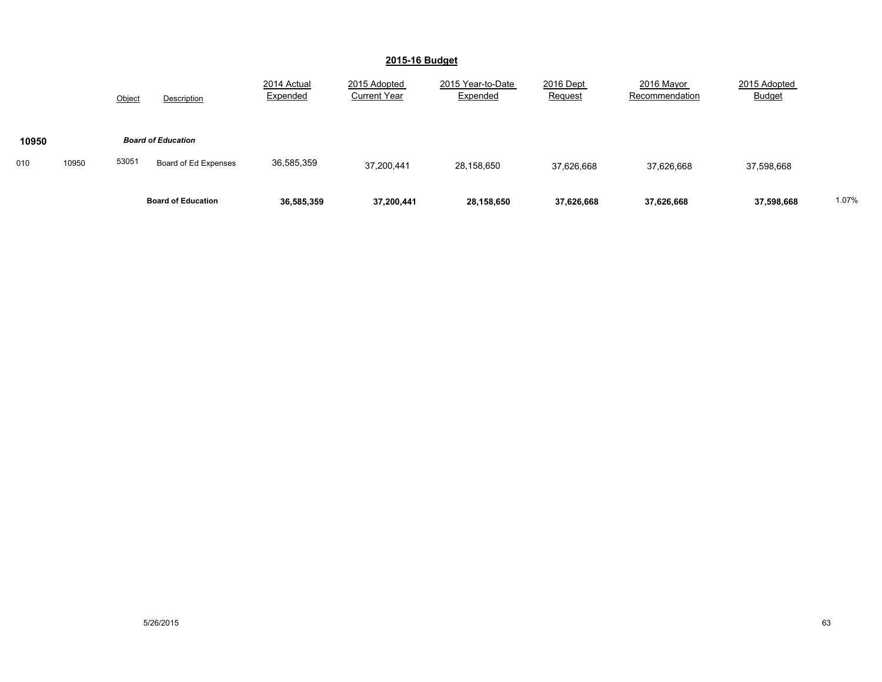|              |        | <b>Board of Education</b> | 36,585,359              | 37,200,441                          | 28,158,650                    | 37,626,668           | 37,626,668                   | 37,598,668                    | 1.07% |
|--------------|--------|---------------------------|-------------------------|-------------------------------------|-------------------------------|----------------------|------------------------------|-------------------------------|-------|
| 10950<br>010 | 53051  | Board of Ed Expenses      | 36,585,359              | 37,200,441                          | 28,158,650                    | 37,626,668           | 37,626,668                   | 37,598,668                    |       |
| 10950        |        | <b>Board of Education</b> |                         |                                     |                               |                      |                              |                               |       |
|              | Object | Description               | 2014 Actual<br>Expended | 2015 Adopted<br><b>Current Year</b> | 2015 Year-to-Date<br>Expended | 2016 Dept<br>Request | 2016 Mayor<br>Recommendation | 2015 Adopted<br><b>Budget</b> |       |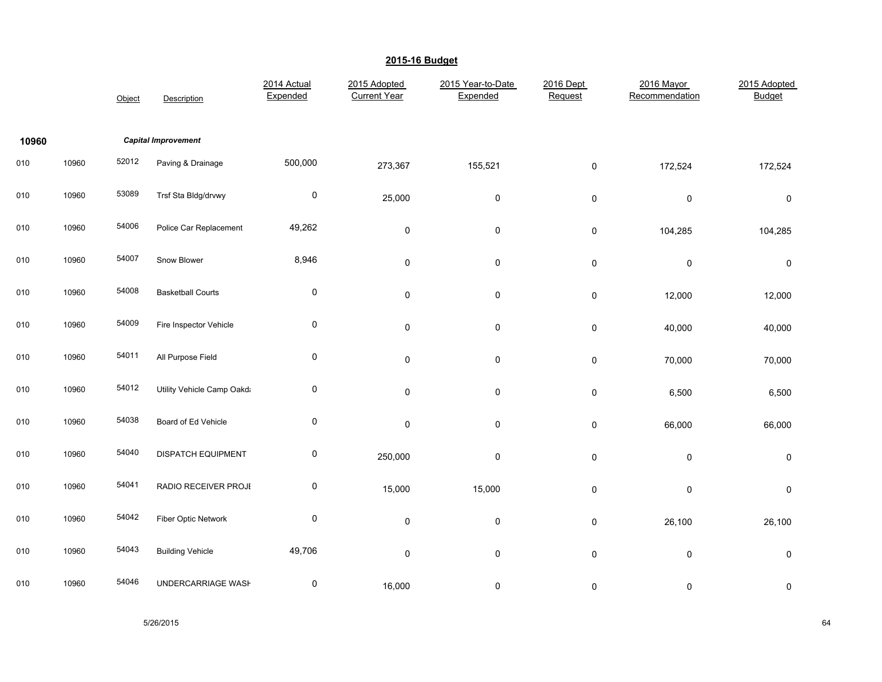|       |       | Object | Description                | 2014 Actual<br>Expended | 2015 Adopted<br><b>Current Year</b> | 2015 Year-to-Date<br>Expended | 2016 Dept<br>Request | 2016 Mayor<br>Recommendation | 2015 Adopted<br><b>Budget</b> |
|-------|-------|--------|----------------------------|-------------------------|-------------------------------------|-------------------------------|----------------------|------------------------------|-------------------------------|
| 10960 |       |        | <b>Capital Improvement</b> |                         |                                     |                               |                      |                              |                               |
| 010   | 10960 | 52012  | Paving & Drainage          | 500,000                 | 273,367                             | 155,521                       | 0                    | 172,524                      | 172,524                       |
| 010   | 10960 | 53089  | Trsf Sta Bldg/drvwy        | $\pmb{0}$               | 25,000                              | $\pmb{0}$                     | $\pmb{0}$            | $\pmb{0}$                    | $\pmb{0}$                     |
| 010   | 10960 | 54006  | Police Car Replacement     | 49,262                  | 0                                   | $\pmb{0}$                     | $\pmb{0}$            | 104,285                      | 104,285                       |
| 010   | 10960 | 54007  | Snow Blower                | 8,946                   | 0                                   | 0                             | $\pmb{0}$            | $\pmb{0}$                    | 0                             |
| 010   | 10960 | 54008  | <b>Basketball Courts</b>   | $\pmb{0}$               | 0                                   | 0                             | $\pmb{0}$            | 12,000                       | 12,000                        |
| 010   | 10960 | 54009  | Fire Inspector Vehicle     | $\pmb{0}$               | 0                                   | $\pmb{0}$                     | $\pmb{0}$            | 40,000                       | 40,000                        |
| 010   | 10960 | 54011  | All Purpose Field          | $\pmb{0}$               | 0                                   | $\mathsf 0$                   | 0                    | 70,000                       | 70,000                        |
| 010   | 10960 | 54012  | Utility Vehicle Camp Oakda | $\pmb{0}$               | 0                                   | $\pmb{0}$                     | $\pmb{0}$            | 6,500                        | 6,500                         |
| 010   | 10960 | 54038  | Board of Ed Vehicle        | $\pmb{0}$               | 0                                   | $\mathsf 0$                   | $\pmb{0}$            | 66,000                       | 66,000                        |
| 010   | 10960 | 54040  | DISPATCH EQUIPMENT         | $\pmb{0}$               | 250,000                             | 0                             | 0                    | $\pmb{0}$                    | 0                             |
| 010   | 10960 | 54041  | RADIO RECEIVER PROJE       | $\pmb{0}$               | 15,000                              | 15,000                        | $\pmb{0}$            | $\pmb{0}$                    | $\pmb{0}$                     |
| 010   | 10960 | 54042  | Fiber Optic Network        | $\pmb{0}$               | $\pmb{0}$                           | $\pmb{0}$                     | $\pmb{0}$            | 26,100                       | 26,100                        |
| 010   | 10960 | 54043  | <b>Building Vehicle</b>    | 49,706                  | 0                                   | 0                             | $\pmb{0}$            | $\pmb{0}$                    | 0                             |
| 010   | 10960 | 54046  | UNDERCARRIAGE WASH         | $\pmb{0}$               | 16,000                              | 0                             | 0                    | 0                            | 0                             |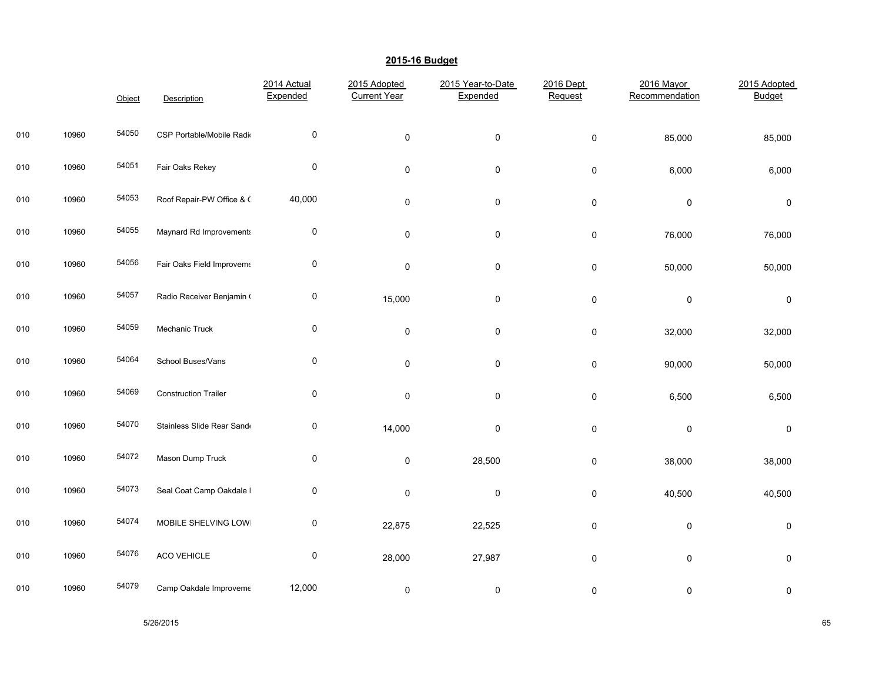|     |       | Object | Description                 | 2014 Actual<br>Expended | 2015 Adopted<br><b>Current Year</b> | 2015 Year-to-Date<br>Expended | 2016 Dept<br>Request | 2016 Mayor<br>Recommendation | 2015 Adopted<br><b>Budget</b> |
|-----|-------|--------|-----------------------------|-------------------------|-------------------------------------|-------------------------------|----------------------|------------------------------|-------------------------------|
| 010 | 10960 | 54050  | CSP Portable/Mobile Radio   | 0                       | $\pmb{0}$                           | $\pmb{0}$                     | $\pmb{0}$            | 85,000                       | 85,000                        |
| 010 | 10960 | 54051  | Fair Oaks Rekey             | $\pmb{0}$               | $\pmb{0}$                           | $\mathsf 0$                   | $\pmb{0}$            | 6,000                        | 6,000                         |
| 010 | 10960 | 54053  | Roof Repair-PW Office & C   | 40,000                  | $\mathbf 0$                         | 0                             | 0                    | 0                            | 0                             |
| 010 | 10960 | 54055  | Maynard Rd Improvements     | 0                       | $\pmb{0}$                           | 0                             | $\pmb{0}$            | 76,000                       | 76,000                        |
| 010 | 10960 | 54056  | Fair Oaks Field Improveme   | 0                       | $\pmb{0}$                           | 0                             | 0                    | 50,000                       | 50,000                        |
| 010 | 10960 | 54057  | Radio Receiver Benjamin (   | 0                       | 15,000                              | 0                             | 0                    | $\pmb{0}$                    | 0                             |
| 010 | 10960 | 54059  | Mechanic Truck              | $\pmb{0}$               | $\pmb{0}$                           | 0                             | $\pmb{0}$            | 32,000                       | 32,000                        |
| 010 | 10960 | 54064  | School Buses/Vans           | $\pmb{0}$               | $\pmb{0}$                           | $\pmb{0}$                     | $\pmb{0}$            | 90,000                       | 50,000                        |
| 010 | 10960 | 54069  | <b>Construction Trailer</b> | $\pmb{0}$               | $\pmb{0}$                           | 0                             | 0                    | 6,500                        | 6,500                         |
| 010 | 10960 | 54070  | Stainless Slide Rear Sand   | $\mathbf 0$             | 14,000                              | 0                             | $\pmb{0}$            | $\pmb{0}$                    | 0                             |
| 010 | 10960 | 54072  | Mason Dump Truck            | 0                       | $\pmb{0}$                           | 28,500                        | $\pmb{0}$            | 38,000                       | 38,000                        |
| 010 | 10960 | 54073  | Seal Coat Camp Oakdale I    | $\pmb{0}$               | $\pmb{0}$                           | 0                             | 0                    | 40,500                       | 40,500                        |
| 010 | 10960 | 54074  | MOBILE SHELVING LOWI        | 0                       | 22,875                              | 22,525                        | 0                    | 0                            | 0                             |
| 010 | 10960 | 54076  | ACO VEHICLE                 | $\pmb{0}$               | 28,000                              | 27,987                        | $\pmb{0}$            | $\mathsf{O}\xspace$          | $\pmb{0}$                     |
| 010 | 10960 | 54079  | Camp Oakdale Improveme      | 12,000                  | 0                                   | 0                             | 0                    | 0                            | 0                             |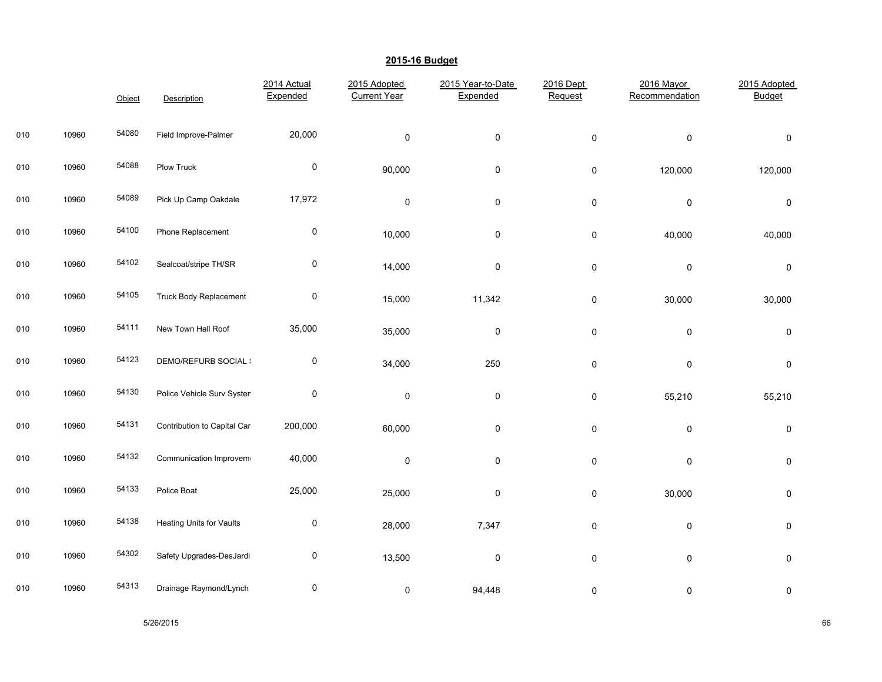|     |       | Object | Description                 | 2014 Actual<br>Expended | 2015 Adopted<br><b>Current Year</b> | 2015 Year-to-Date<br>Expended | 2016 Dept<br>Request | 2016 Mayor<br>Recommendation | 2015 Adopted<br><b>Budget</b> |
|-----|-------|--------|-----------------------------|-------------------------|-------------------------------------|-------------------------------|----------------------|------------------------------|-------------------------------|
| 010 | 10960 | 54080  | Field Improve-Palmer        | 20,000                  | $\pmb{0}$                           | $\pmb{0}$                     | $\pmb{0}$            | $\pmb{0}$                    | $\pmb{0}$                     |
| 010 | 10960 | 54088  | Plow Truck                  | $\pmb{0}$               | 90,000                              | 0                             | $\pmb{0}$            | 120,000                      | 120,000                       |
| 010 | 10960 | 54089  | Pick Up Camp Oakdale        | 17,972                  | $\pmb{0}$                           | 0                             | $\pmb{0}$            | $\pmb{0}$                    | 0                             |
| 010 | 10960 | 54100  | Phone Replacement           | 0                       | 10,000                              | $\pmb{0}$                     | $\pmb{0}$            | 40,000                       | 40,000                        |
| 010 | 10960 | 54102  | Sealcoat/stripe TH/SR       | $\pmb{0}$               | 14,000                              | $\pmb{0}$                     | $\pmb{0}$            | $\pmb{0}$                    | $\pmb{0}$                     |
| 010 | 10960 | 54105  | Truck Body Replacement      | $\pmb{0}$               | 15,000                              | 11,342                        | 0                    | 30,000                       | 30,000                        |
| 010 | 10960 | 54111  | New Town Hall Roof          | 35,000                  | 35,000                              | 0                             | $\pmb{0}$            | $\pmb{0}$                    | 0                             |
| 010 | 10960 | 54123  | <b>DEMO/REFURB SOCIAL:</b>  | 0                       | 34,000                              | 250                           | $\pmb{0}$            | $\pmb{0}$                    | $\pmb{0}$                     |
| 010 | 10960 | 54130  | Police Vehicle Surv Systen  | $\pmb{0}$               | $\pmb{0}$                           | $\pmb{0}$                     | $\pmb{0}$            | 55,210                       | 55,210                        |
| 010 | 10960 | 54131  | Contribution to Capital Car | 200,000                 | 60,000                              | 0                             | $\pmb{0}$            | $\pmb{0}$                    | 0                             |
| 010 | 10960 | 54132  | Communication Improvem      | 40,000                  | $\mathbf 0$                         | 0                             | $\mathsf{O}\xspace$  | $\pmb{0}$                    | 0                             |
| 010 | 10960 | 54133  | Police Boat                 | 25,000                  | 25,000                              | $\pmb{0}$                     | $\pmb{0}$            | 30,000                       | $\pmb{0}$                     |
| 010 | 10960 | 54138  | Heating Units for Vaults    | 0                       | 28,000                              | 7,347                         | $\pmb{0}$            | $\pmb{0}$                    | $\pmb{0}$                     |
| 010 | 10960 | 54302  | Safety Upgrades-DesJardi    | $\pmb{0}$               | 13,500                              | $\pmb{0}$                     | $\pmb{0}$            | $\pmb{0}$                    | $\pmb{0}$                     |
| 010 | 10960 | 54313  | Drainage Raymond/Lynch      | $\pmb{0}$               | $\pmb{0}$                           | 94,448                        | $\pmb{0}$            | $\mathsf 0$                  | 0                             |